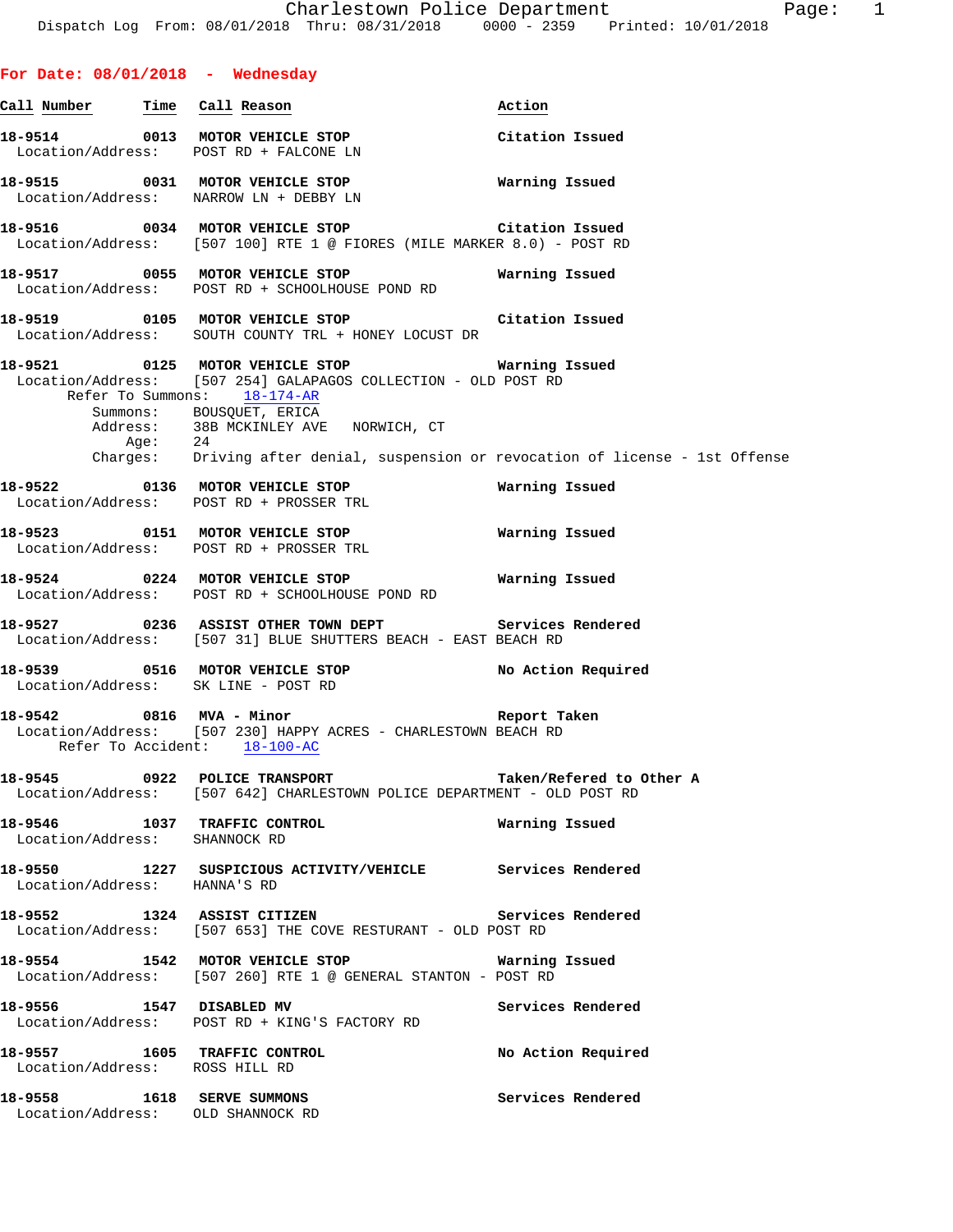# **For Date: 08/01/2018 - Wednesday Call Number Time Call Reason Action**

**18-9514** 0013 MOTOR VEHICLE STOP Citation Issued<br>
Location/Address: POST RD + FALCONE LN POST RD + FALCONE LN **18-9515 0031 MOTOR VEHICLE STOP Warning Issued**  Location/Address: NARROW LN + DEBBY LN

**18-9516 0034 MOTOR VEHICLE STOP Citation Issued**  Location/Address: [507 100] RTE 1 @ FIORES (MILE MARKER 8.0) - POST RD

**18-9517 0055 MOTOR VEHICLE STOP Warning Issued**  Location/Address: POST RD + SCHOOLHOUSE POND RD

**18-9519 0105 MOTOR VEHICLE STOP Citation Issued**  Location/Address: SOUTH COUNTY TRL + HONEY LOCUST DR

**18-9521 0125 MOTOR VEHICLE STOP Warning Issued**  Location/Address: [507 254] GALAPAGOS COLLECTION - OLD POST RD Refer To Summons: 18-174-AR Summons: BOUSQUET, ERICA<br>Address: 38B MCKINLEY AVE 38B MCKINLEY AVE NORWICH, CT 24 Age: Charges: Driving after denial, suspension or revocation of license - 1st Offense

**18-9522 0136 MOTOR VEHICLE STOP Warning Issued**  Location/Address: POST RD + PROSSER TRL

**18-9523 0151 MOTOR VEHICLE STOP Warning Issued**  Location/Address: POST RD + PROSSER TRL

**18-9524 0224 MOTOR VEHICLE STOP Warning Issued**  Location/Address: POST RD + SCHOOLHOUSE POND RD

**18-9527 0236 ASSIST OTHER TOWN DEPT Services Rendered**  Location/Address: [507 31] BLUE SHUTTERS BEACH - EAST BEACH RD

**18-9539 0516 MOTOR VEHICLE STOP No Action Required**  Location/Address: SK LINE - POST RD

**18-9542 0816 MVA - Minor Report Taken**  Location/Address: [507 230] HAPPY ACRES - CHARLESTOWN BEACH RD Refer To Accident: 18-100-AC

**18-9545 0922 POLICE TRANSPORT Taken/Refered to Other A**  Location/Address: [507 642] CHARLESTOWN POLICE DEPARTMENT - OLD POST RD

**18-9546 1037 TRAFFIC CONTROL Warning Issued**  Location/Address: SHANNOCK RD

**18-9550 1227 SUSPICIOUS ACTIVITY/VEHICLE Services Rendered**  Location/Address: HANNA'S RD

**18-9552 1324 ASSIST CITIZEN Services Rendered**  Location/Address: [507 653] THE COVE RESTURANT - OLD POST RD

**18-9554 1542 MOTOR VEHICLE STOP Warning Issued**  Location/Address: [507 260] RTE 1 @ GENERAL STANTON - POST RD

**18-9556 1547 DISABLED MV Services Rendered**  Location/Address: POST RD + KING'S FACTORY RD

**18-9557 1605 TRAFFIC CONTROL No Action Required**  Location/Address: ROSS HILL RD

**18-9558 1618 SERVE SUMMONS Services Rendered**  Location/Address: OLD SHANNOCK RD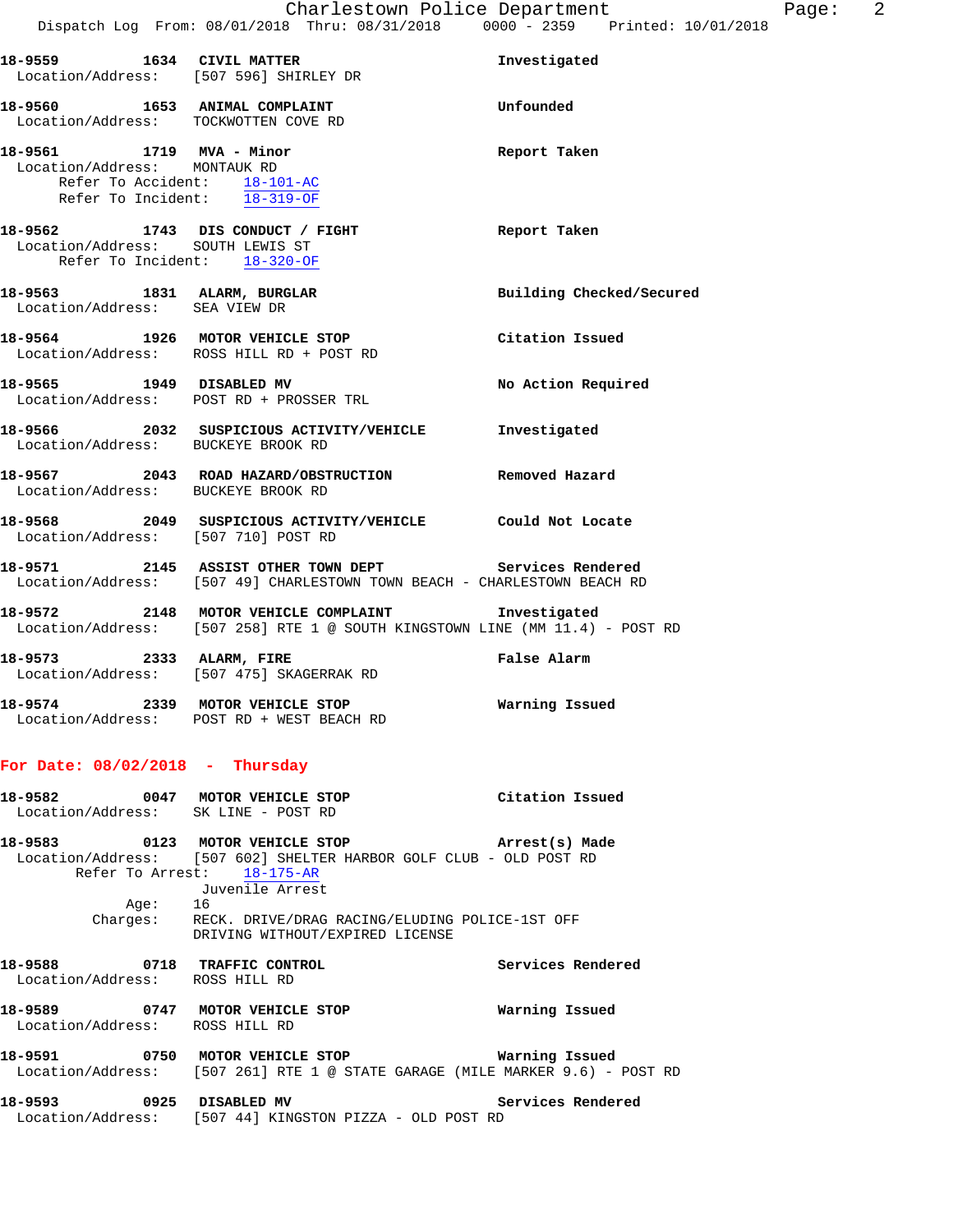|                                                          | 18-9559 1634 CIVIL MATTER<br>Location/Address: [507 596] SHIRLEY DR                                                               | Investigated             |
|----------------------------------------------------------|-----------------------------------------------------------------------------------------------------------------------------------|--------------------------|
|                                                          | 18-9560 1653 ANIMAL COMPLAINT<br>Location/Address: TOCKWOTTEN COVE RD                                                             | Unfounded                |
| 18-9561 1719 MVA - Minor<br>Location/Address: MONTAUK RD | Refer To Accident: 18-101-AC<br>Refer To Incident: 18-319-OF                                                                      | Report Taken             |
| Location/Address: SOUTH LEWIS ST                         | 18-9562 1743 DIS CONDUCT / FIGHT<br>Refer To Incident: 18-320-OF                                                                  | Report Taken             |
| Location/Address: SEA VIEW DR                            | 18-9563 1831 ALARM, BURGLAR                                                                                                       | Building Checked/Secured |
|                                                          | 18-9564 1926 MOTOR VEHICLE STOP<br>Location/Address: ROSS HILL RD + POST RD                                                       | Citation Issued          |
|                                                          | 18-9565 1949 DISABLED MV<br>Location/Address: POST RD + PROSSER TRL                                                               | No Action Required       |
| Location/Address: BUCKEYE BROOK RD                       | 18-9566 2032 SUSPICIOUS ACTIVITY/VEHICLE Investigated                                                                             |                          |
| Location/Address: BUCKEYE BROOK RD                       | 18-9567 2043 ROAD HAZARD/OBSTRUCTION Removed Hazard                                                                               |                          |
|                                                          | 18-9568 2049 SUSPICIOUS ACTIVITY/VEHICLE Could Not Locate<br>Location/Address: [507 710] POST RD                                  |                          |
|                                                          | 18-9571 2145 ASSIST OTHER TOWN DEPT Services Rendered<br>Location/Address: [507 49] CHARLESTOWN TOWN BEACH - CHARLESTOWN BEACH RD |                          |
|                                                          | 18-9572 2148 MOTOR VEHICLE COMPLAINT 1nvestigated<br>Location/Address: [507 258] RTE 1 @ SOUTH KINGSTOWN LINE (MM 11.4) - POST RD |                          |
| 18-9573 2333 ALARM, FIRE                                 | Location/Address: [507 475] SKAGERRAK RD                                                                                          | False Alarm              |
|                                                          | 18-9574 2339 MOTOR VEHICLE STOP<br>Location/Address: POST RD + WEST BEACH RD                                                      | Warning Issued           |

### **For Date: 08/02/2018 - Thursday**

| 18-9582 | 0047 | MOTOR VEHICLE STOP<br>Location/Address: SK LINE - POST RD                                  | Citation Issued   |
|---------|------|--------------------------------------------------------------------------------------------|-------------------|
| 18-9583 | 0123 | MOTOR VEHICLE STOP                                                                         | Arrest(s) Made    |
|         |      | Location/Address: [507 602] SHELTER HARBOR GOLF CLUB - OLD POST RD                         |                   |
|         |      | Refer To Arrest: 18-175-AR                                                                 |                   |
|         |      | Juvenile Arrest                                                                            |                   |
|         | Aqe: | 16                                                                                         |                   |
|         |      | Charges: RECK. DRIVE/DRAG RACING/ELUDING POLICE-1ST OFF<br>DRIVING WITHOUT/EXPIRED LICENSE |                   |
| 18-9588 | 0718 | <b>TRAFFIC CONTROL</b><br>Location/Address: ROSS HILL RD                                   | Services Rendered |

**18-9589 0747 MOTOR VEHICLE STOP Warning Issued**  Location/Address: ROSS HILL RD

**18-9591 0750 MOTOR VEHICLE STOP Warning Issued**  Location/Address: [507 261] RTE 1 @ STATE GARAGE (MILE MARKER 9.6) - POST RD

18-9593 **0925** DISABLED MV **Services Rendered** Location/Address: [507 44] KINGSTON PIZZA - OLD POST RD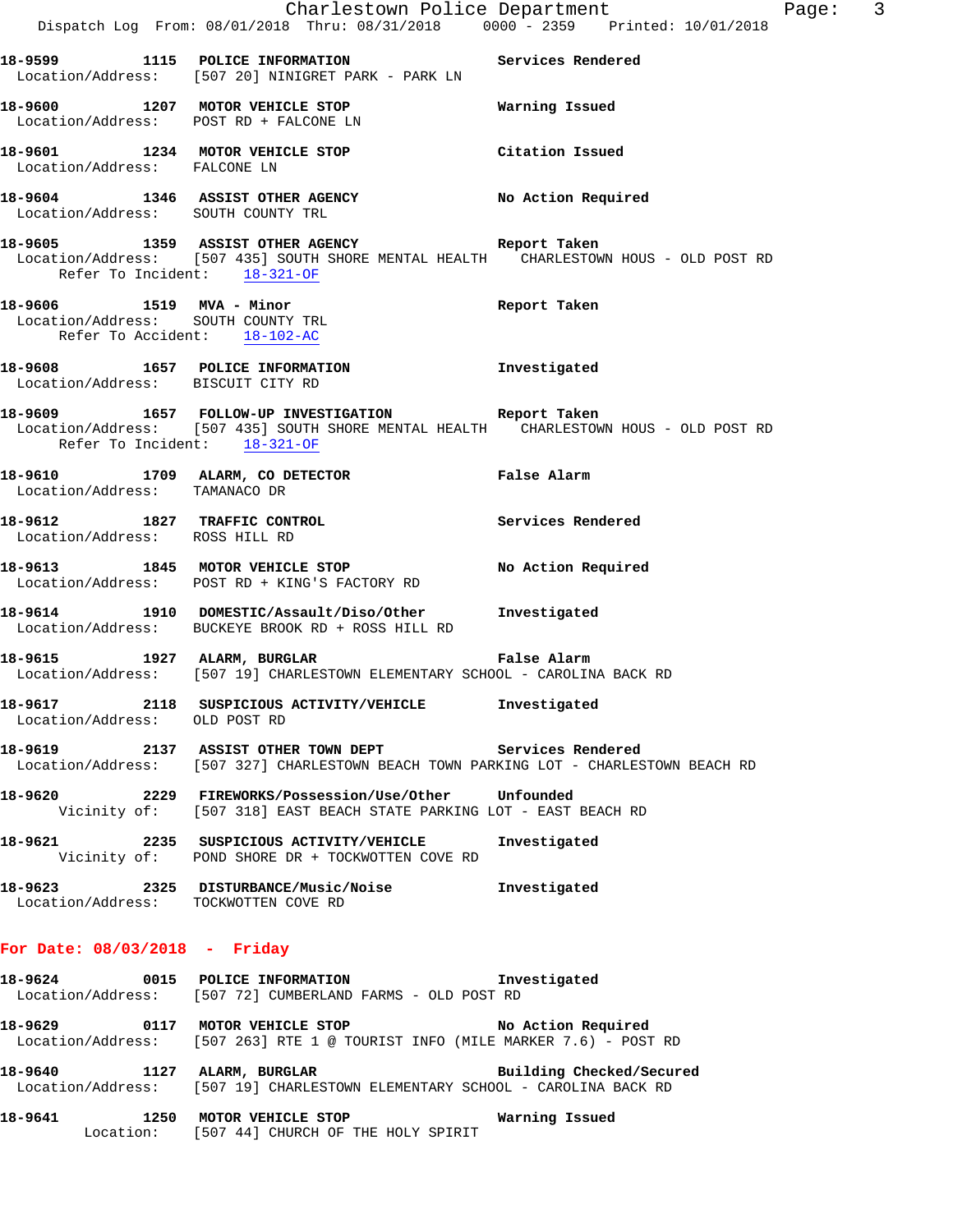|                                                                    | Dispatch Log From: 08/01/2018 Thru: 08/31/2018 0000 - 2359 Printed: 10/01/2018                                                                       | Charlestown Police Department<br>Page: 3 |  |
|--------------------------------------------------------------------|------------------------------------------------------------------------------------------------------------------------------------------------------|------------------------------------------|--|
|                                                                    | 18-9599 1115 POLICE INFORMATION Services Rendered<br>Location/Address: [507 20] NINIGRET PARK - PARK LN                                              |                                          |  |
|                                                                    | 18-9600 1207 MOTOR VEHICLE STOP <b>National Manual</b><br>Location/Address: POST RD + FALCONE LN                                                     |                                          |  |
| Location/Address: FALCONE LN                                       | 18-9601 1234 MOTOR VEHICLE STOP                                                                                                                      | Citation Issued                          |  |
| Location/Address: SOUTH COUNTY TRL                                 | 18-9604 1346 ASSIST OTHER AGENCY No Action Required                                                                                                  |                                          |  |
| Refer To Incident: 18-321-OF                                       | 18-9605 1359 ASSIST OTHER AGENCY Report Taken<br>  Location/Address: [507 435] SOUTH SHORE MENTAL HEALTH CHARLESTOWN HOUS - OLD POST RD              |                                          |  |
| Location/Address: SOUTH COUNTY TRL<br>Refer To Accident: 18-102-AC | 18-9606 1519 MVA - Minor                                                                                                                             | Report Taken                             |  |
| Location/Address: BISCUIT CITY RD                                  | 18-9608 1657 POLICE INFORMATION 1NVestigated                                                                                                         |                                          |  |
| Refer To Incident: 18-321-OF                                       | 18-9609 1657 FOLLOW-UP INVESTIGATION Report Taken<br>Location/Address: [507 435] SOUTH SHORE MENTAL HEALTH CHARLESTOWN HOUS - OLD POST RD            |                                          |  |
| Location/Address: TAMANACO DR                                      | 18-9610 1709 ALARM, CO DETECTOR                                                                                                                      | False Alarm                              |  |
| Location/Address: ROSS HILL RD                                     | 18-9612 1827 TRAFFIC CONTROL 18-9612 Services Rendered                                                                                               |                                          |  |
|                                                                    | 18-9613 1845 MOTOR VEHICLE STOP<br>Location/Address: POST RD + KING'S FACTORY RD                                                                     | No Action Required                       |  |
|                                                                    | 18-9614 1910 DOMESTIC/Assault/Diso/Other Investigated<br>Location/Address: BUCKEYE BROOK RD + ROSS HILL RD                                           |                                          |  |
|                                                                    | 18-9615 1927 ALARM, BURGLAR NERET RAISE Alarm<br>Location/Address: [507 19] CHARLESTOWN ELEMENTARY SCHOOL - CAROLINA BACK RD                         |                                          |  |
| Location/Address: OLD POST RD                                      | 18-9617 2118 SUSPICIOUS ACTIVITY/VEHICLE Investigated                                                                                                |                                          |  |
|                                                                    | 18-9619 		 2137 ASSIST OTHER TOWN DEPT 		 Services Rendered<br>Location/Address: [507 327] CHARLESTOWN BEACH TOWN PARKING LOT - CHARLESTOWN BEACH RD |                                          |  |
|                                                                    | 18-9620 12229 FIREWORKS/Possession/Use/Other Unfounded<br>Vicinity of: [507 318] EAST BEACH STATE PARKING LOT - EAST BEACH RD                        |                                          |  |
|                                                                    | 18-9621 2235 SUSPICIOUS ACTIVITY/VEHICLE<br>Vicinity of: POND SHORE DR + TOCKWOTTEN COVE RD                                                          | Investigated                             |  |
|                                                                    | 18-9623 2325 DISTURBANCE/Music/Noise<br>Location/Address: TOCKWOTTEN COVE RD                                                                         | Investigated                             |  |
| For Date: $08/03/2018$ - Friday                                    |                                                                                                                                                      |                                          |  |
|                                                                    | 18-9624 0015 POLICE INFORMATION Threstigated<br>Location/Address: [507 72] CUMBERLAND FARMS - OLD POST RD                                            |                                          |  |
|                                                                    | Location/Address: [507 263] RTE 1 @ TOURIST INFO (MILE MARKER 7.6) - POST RD                                                                         |                                          |  |
|                                                                    | 18-9640 1127 ALARM, BURGLAR BURGER Building Checked/Secured<br>Location/Address: [507 19] CHARLESTOWN ELEMENTARY SCHOOL - CAROLINA BACK RD           |                                          |  |

**18-9641 1250 MOTOR VEHICLE STOP Warning Issued** 

Location: [507 44] CHURCH OF THE HOLY SPIRIT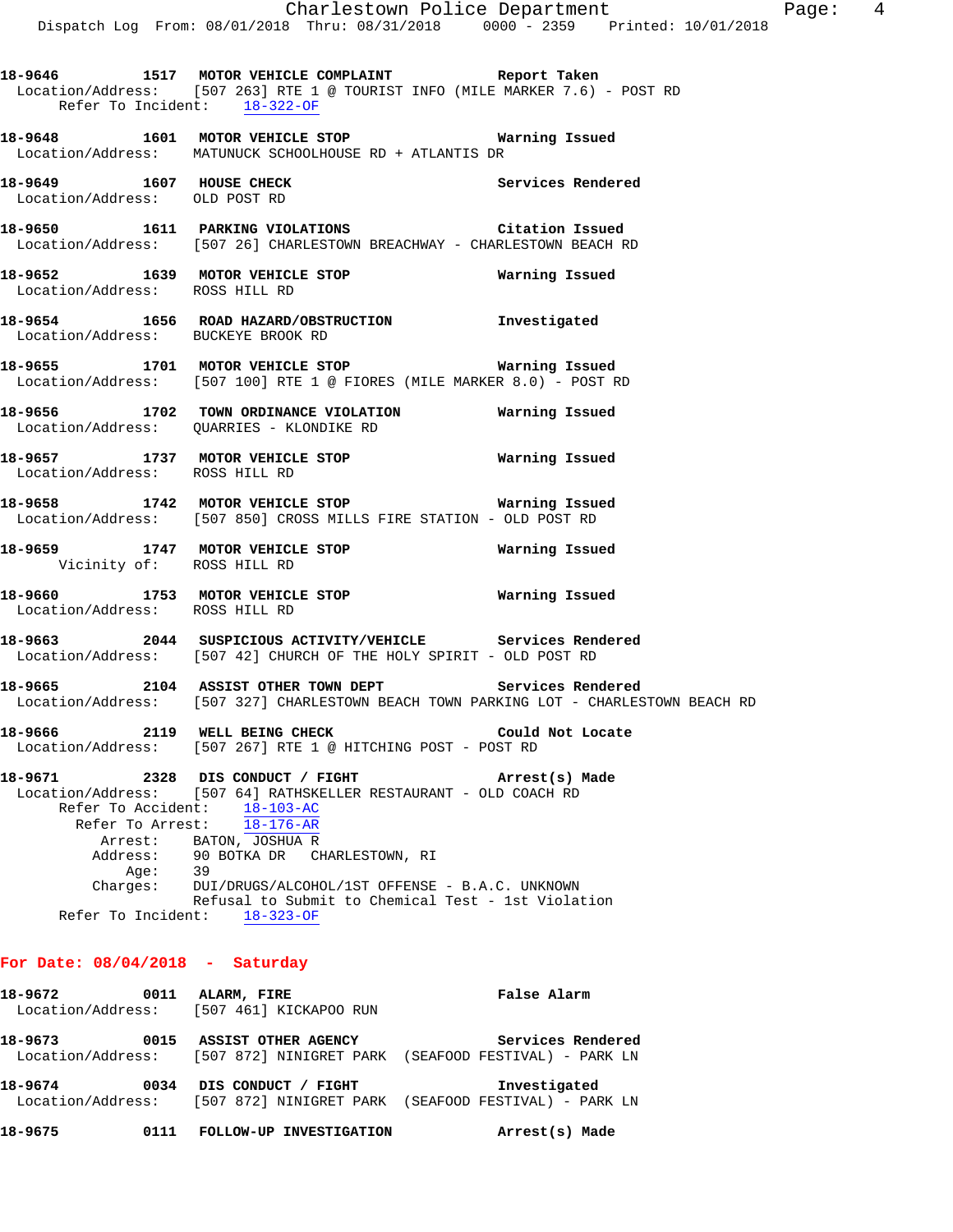**18-9648 1601 MOTOR VEHICLE STOP Warning Issued**  Location/Address: MATUNUCK SCHOOLHOUSE RD + ATLANTIS DR

18-9649 1607 HOUSE CHECK **1899 1808** Services Rendered Location/Address: OLD POST RD

**18-9650 1611 PARKING VIOLATIONS Citation Issued**  Location/Address: [507 26] CHARLESTOWN BREACHWAY - CHARLESTOWN BEACH RD

**18-9652 1639 MOTOR VEHICLE STOP Warning Issued**  Location/Address: ROSS HILL RD

**18-9654 1656 ROAD HAZARD/OBSTRUCTION Investigated**  Location/Address: BUCKEYE BROOK RD

**18-9655 1701 MOTOR VEHICLE STOP Warning Issued**  Location/Address: [507 100] RTE 1 @ FIORES (MILE MARKER 8.0) - POST RD

**18-9656 1702 TOWN ORDINANCE VIOLATION Warning Issued**  Location/Address: QUARRIES - KLONDIKE RD

**18-9657 1737 MOTOR VEHICLE STOP Warning Issued**  Location/Address: ROSS HILL RD

**18-9658 1742 MOTOR VEHICLE STOP Warning Issued**  Location/Address: [507 850] CROSS MILLS FIRE STATION - OLD POST RD

**18-9659 1747 MOTOR VEHICLE STOP Warning Issued**  Vicinity of: ROSS HILL RD

**18-9660 1753 MOTOR VEHICLE STOP Warning Issued**  Location/Address: ROSS HILL RD

**18-9663 2044 SUSPICIOUS ACTIVITY/VEHICLE Services Rendered**  Location/Address: [507 42] CHURCH OF THE HOLY SPIRIT - OLD POST RD

**18-9665 2104 ASSIST OTHER TOWN DEPT Services Rendered**  Location/Address: [507 327] CHARLESTOWN BEACH TOWN PARKING LOT - CHARLESTOWN BEACH RD

**18-9666 2119 WELL BEING CHECK Could Not Locate**  Location/Address: [507 267] RTE 1 @ HITCHING POST - POST RD

**18-9671 2328 DIS CONDUCT / FIGHT Arrest(s) Made**  Location/Address: [507 64] RATHSKELLER RESTAURANT - OLD COACH RD Refer To Accident: 18-103-AC Refer To Arrest: 18-176-AR Arrest: BATON, JOSHUA R Address: 90 BOTKA DR CHARLESTOWN, RI<br>Ade: 39 Age: Charges: DUI/DRUGS/ALCOHOL/1ST OFFENSE - B.A.C. UNKNOWN Refusal to Submit to Chemical Test - 1st Violation Refer To Incident: 18-323-OF

## **For Date: 08/04/2018 - Saturday**

| 18-9672 | 0011 | ALARM, FIRE                              | False Alarm                                                            |
|---------|------|------------------------------------------|------------------------------------------------------------------------|
|         |      | Location/Address: [507 461] KICKAPOO RUN |                                                                        |
| 18-9673 | 0015 | ASSIST OTHER AGENCY                      | Services Rendered                                                      |
|         |      |                                          | Location/Address: [507 872] NINIGRET PARK (SEAFOOD FESTIVAL) - PARK LN |
| 18-9674 | 0034 | DIS CONDUCT / FIGHT                      | Investigated                                                           |
|         |      |                                          | Location/Address: [507 872] NINIGRET PARK (SEAFOOD FESTIVAL) - PARK LN |
| 18-9675 | 0111 | FOLLOW-UP INVESTIGATION                  | Arrest(s) Made                                                         |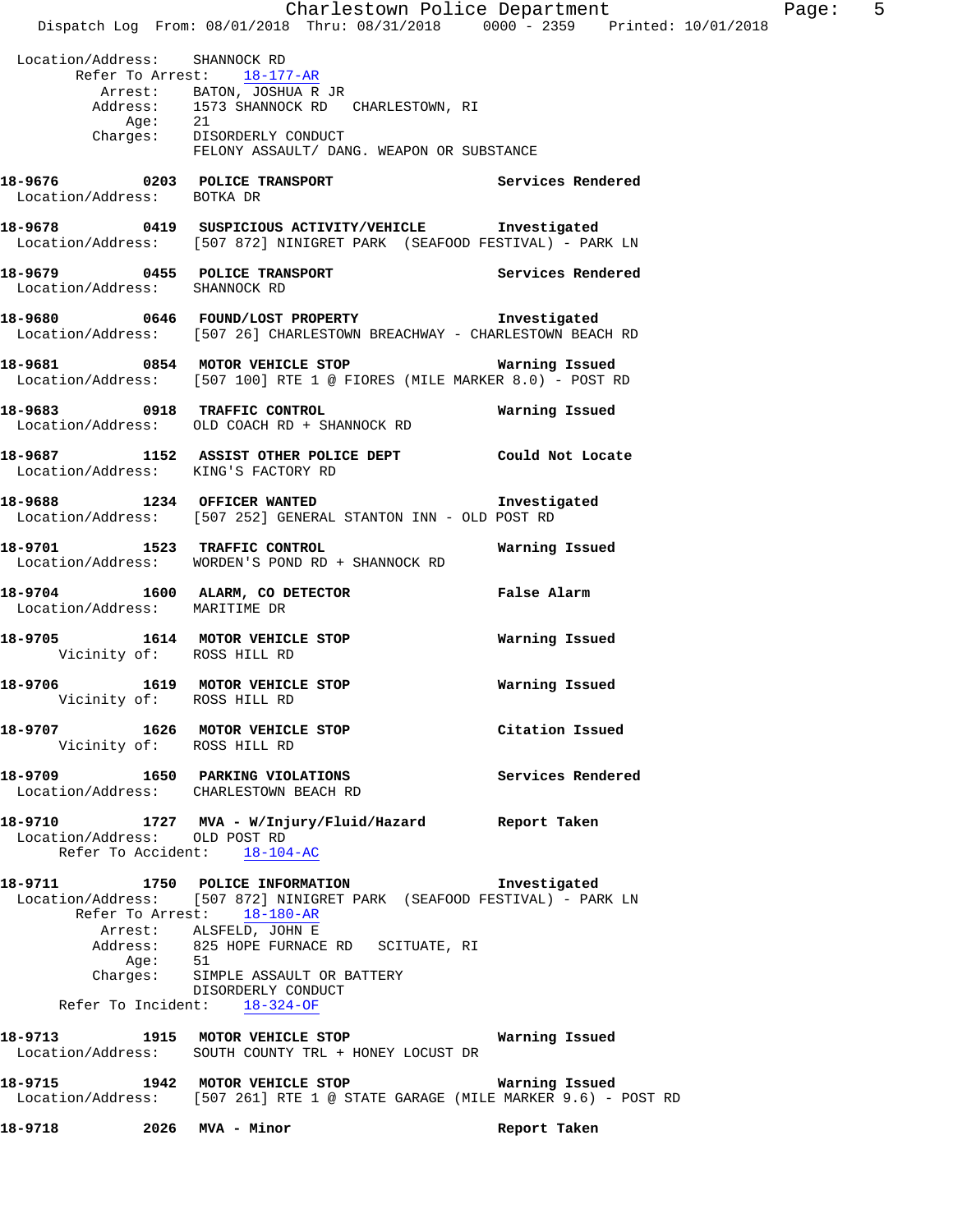Charlestown Police Department Page: 5 Dispatch Log From: 08/01/2018 Thru: 08/31/2018 0000 - 2359 Printed: 10/01/2018 Location/Address: SHANNOCK RD Refer To Arrest: 18-177-AR Arrest: BATON, JOSHUA R JR Address: 1573 SHANNOCK RD CHARLESTOWN, RI Age: 21 Charges: DISORDERLY CONDUCT FELONY ASSAULT/ DANG. WEAPON OR SUBSTANCE **18-9676 0203 POLICE TRANSPORT Services Rendered**  Location/Address: BOTKA DR **18-9678 0419 SUSPICIOUS ACTIVITY/VEHICLE Investigated**  Location/Address: [507 872] NINIGRET PARK (SEAFOOD FESTIVAL) - PARK LN **18-9679 0455 POLICE TRANSPORT Services Rendered**  Location/Address: SHANNOCK RD **18-9680 0646 FOUND/LOST PROPERTY Investigated**  Location/Address: [507 26] CHARLESTOWN BREACHWAY - CHARLESTOWN BEACH RD **18-9681 0854 MOTOR VEHICLE STOP Warning Issued**  Location/Address: [507 100] RTE 1 @ FIORES (MILE MARKER 8.0) - POST RD **18-9683 0918 TRAFFIC CONTROL Warning Issued**  Location/Address: OLD COACH RD + SHANNOCK RD **18-9687 1152 ASSIST OTHER POLICE DEPT Could Not Locate**  Location/Address: KING'S FACTORY RD **18-9688 1234 OFFICER WANTED Investigated**  Location/Address: [507 252] GENERAL STANTON INN - OLD POST RD **18-9701 1523 TRAFFIC CONTROL Warning Issued**  Location/Address: WORDEN'S POND RD + SHANNOCK RD **18-9704 1600 ALARM, CO DETECTOR False Alarm**  Location/Address: MARITIME DR **18-9705 1614 MOTOR VEHICLE STOP Warning Issued**  Vicinity of: ROSS HILL RD **18-9706 1619 MOTOR VEHICLE STOP Warning Issued**  Vicinity of: ROSS HILL RD **18-9707 1626 MOTOR VEHICLE STOP Citation Issued**  Vicinity of: ROSS HILL RD **18-9709 1650 PARKING VIOLATIONS Services Rendered**  Location/Address: CHARLESTOWN BEACH RD **18-9710 1727 MVA - W/Injury/Fluid/Hazard Report Taken**  Location/Address: OLD POST RD Refer To Accident: 18-104-AC **18-9711 1750 POLICE INFORMATION Investigated**  Location/Address: [507 872] NINIGRET PARK (SEAFOOD FESTIVAL) - PARK LN Refer To Arrest: 18-180-AR Arrest: ALSFELD, JOHN E Address: 825 HOPE FURNACE RD SCITUATE, RI Age: 51<br>Charges: SII SIMPLE ASSAULT OR BATTERY DISORDERLY CONDUCT Refer To Incident: 18-324-OF **18-9713 1915 MOTOR VEHICLE STOP Warning Issued**  Location/Address: SOUTH COUNTY TRL + HONEY LOCUST DR **18-9715 1942 MOTOR VEHICLE STOP Warning Issued**  Location/Address: [507 261] RTE 1 @ STATE GARAGE (MILE MARKER 9.6) - POST RD **18-9718 2026 MVA - Minor Report Taken**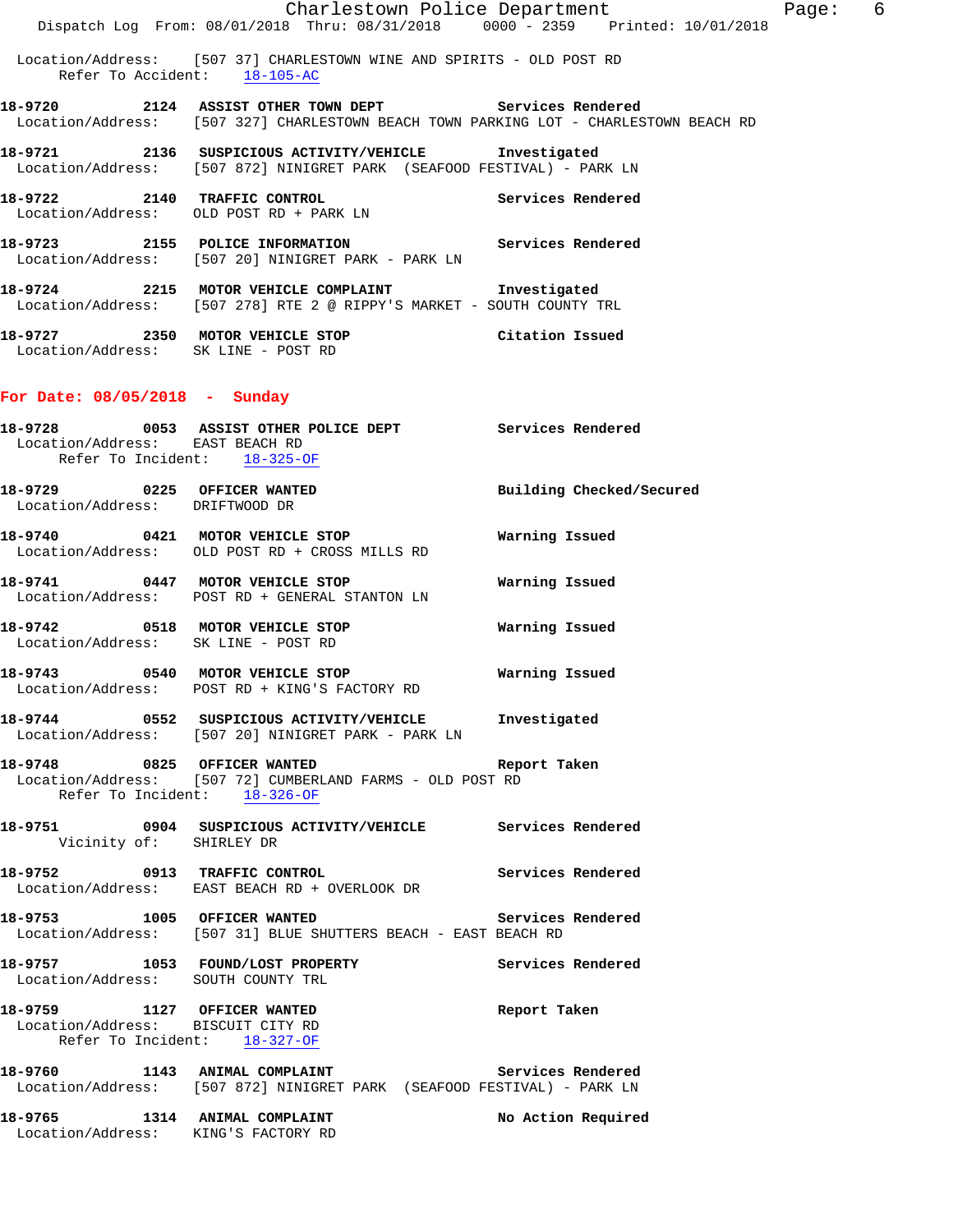|                                                                                                                                 | Investigated                  |  |
|---------------------------------------------------------------------------------------------------------------------------------|-------------------------------|--|
| Location/Address: [507 20] NINIGRET PARK - PARK LN                                                                              |                               |  |
| Location/Address: OLD POST RD + PARK LN                                                                                         |                               |  |
| 18-9721 2136 SUSPICIOUS ACTIVITY/VEHICLE Investigated<br>Location/Address: [507 872] NINIGRET PARK (SEAFOOD FESTIVAL) - PARK LN |                               |  |
| Location/Address: [507 327] CHARLESTOWN BEACH TOWN PARKING LOT - CHARLESTOWN BEACH RD                                           |                               |  |
| Location/Address: [507 37] CHARLESTOWN WINE AND SPIRITS - OLD POST RD<br>Refer To Accident: 18-105-AC                           |                               |  |
| Dispatch Log From: 08/01/2018 Thru: 08/31/2018 0000 - 2359 Printed: 10/01/2018                                                  |                               |  |
|                                                                                                                                 | Charlestown Police Department |  |

Location/Address: [507 278] RTE 2 @ RIPPY'S MARKET - SOUTH COUNTY TRL

**18-9727 2350 MOTOR VEHICLE STOP Citation Issued**  Location/Address: SK LINE - POST RD

## **For Date: 08/05/2018 - Sunday**

|                                                                      | 18-9728 6053 ASSIST OTHER POLICE DEPT Services Rendered                                                                   |                          |
|----------------------------------------------------------------------|---------------------------------------------------------------------------------------------------------------------------|--------------------------|
| Location/Address: EAST BEACH RD<br>Refer To Incident: 18-325-OF      |                                                                                                                           |                          |
| 18-9729 0225 OFFICER WANTED<br>Location/Address: DRIFTWOOD DR        |                                                                                                                           | Building Checked/Secured |
|                                                                      | 18-9740 0421 MOTOR VEHICLE STOP<br>Location/Address: OLD POST RD + CROSS MILLS RD                                         | Warning Issued           |
|                                                                      | 18-9741 0447 MOTOR VEHICLE STOP 6 Warning Issued<br>Location/Address: POST RD + GENERAL STANTON LN                        |                          |
|                                                                      | 18-9742 0518 MOTOR VEHICLE STOP Warning Issued<br>Location/Address: SK LINE - POST RD                                     |                          |
|                                                                      | 18-9743 0540 MOTOR VEHICLE STOP<br>Location/Address: POST RD + KING'S FACTORY RD                                          | Warning Issued           |
|                                                                      | 18-9744 0552 SUSPICIOUS ACTIVITY/VEHICLE Investigated<br>Location/Address: [507 20] NINIGRET PARK - PARK LN               |                          |
| 18-9748 0825 OFFICER WANTED<br>Refer To Incident: 18-326-OF          | Location/Address: [507 72] CUMBERLAND FARMS - OLD POST RD                                                                 | Report Taken             |
| Vicinity of: SHIRLEY DR                                              | 18-9751 0904 SUSPICIOUS ACTIVITY/VEHICLE Services Rendered                                                                |                          |
|                                                                      | 18-9752 0913 TRAFFIC CONTROL CONTROL Services Rendered<br>Location/Address: EAST BEACH RD + OVERLOOK DR                   |                          |
| 18-9753 1005 OFFICER WANTED                                          | Location/Address: [507 31] BLUE SHUTTERS BEACH - EAST BEACH RD                                                            | Services Rendered        |
|                                                                      | 18-9757 1053 FOUND/LOST PROPERTY Services Rendered Location/Address: SOUTH COUNTY TRL                                     |                          |
| Location/Address: BISCUIT CITY RD<br>Refer To Incident: 18-327-OF    | 18-9759 1127 OFFICER WANTED                                                                                               | Report Taken             |
|                                                                      | 18-9760 1143 ANIMAL COMPLAINT Services Rendered<br>Location/Address: [507 872] NINIGRET PARK (SEAFOOD FESTIVAL) - PARK LN | Services Rendered        |
| 18-9765 1314 ANIMAL COMPLAINT<br>Location/Address: KING'S FACTORY RD |                                                                                                                           | No Action Required       |

Page: 6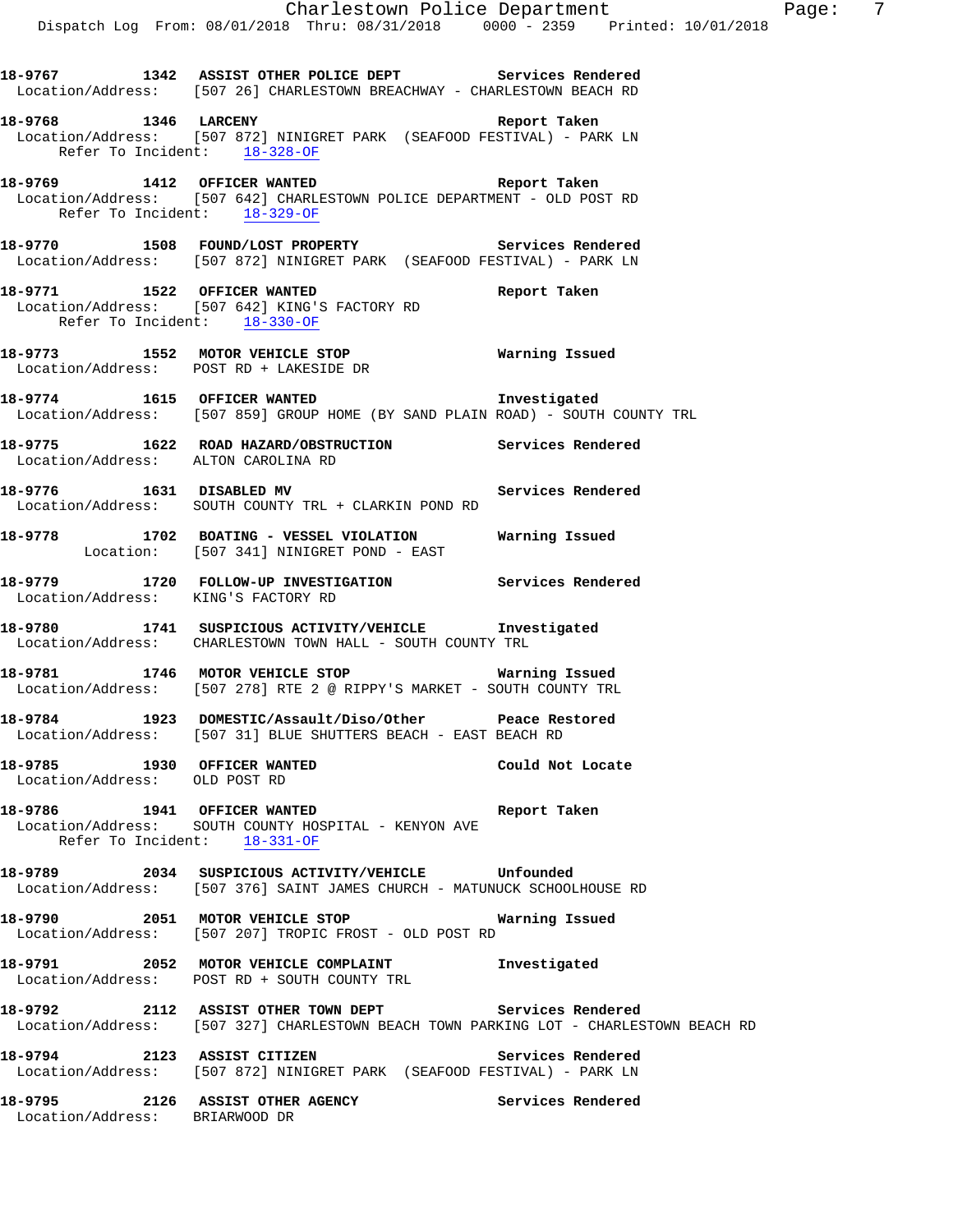|                                                              | 18-9767 1342 ASSIST OTHER POLICE DEPT Services Rendered<br>Location/Address: [507 26] CHARLESTOWN BREACHWAY - CHARLESTOWN BEACH RD                  |                   |
|--------------------------------------------------------------|-----------------------------------------------------------------------------------------------------------------------------------------------------|-------------------|
|                                                              | 18-9768 1346 LARCENY 18-9768 Report Taken<br>Location/Address: [507 872] NINIGRET PARK (SEAFOOD FESTIVAL) - PARK LN<br>Refer To Incident: 18-328-OF |                   |
| Refer To Incident: 18-329-OF                                 | 18-9769 1412 OFFICER WANTED Report Taken<br>Location/Address: [507 642] CHARLESTOWN POLICE DEPARTMENT - OLD POST RD                                 |                   |
|                                                              | 18-9770 1508 FOUND/LOST PROPERTY Services Rendered<br>Location/Address: [507 872] NINIGRET PARK (SEAFOOD FESTIVAL) - PARK LN                        |                   |
|                                                              | 18-9771 1522 OFFICER WANTED 18-9771<br>Location/Address: [507 642] KING'S FACTORY RD<br>Refer To Incident: 18-330-OF                                |                   |
|                                                              | 18-9773 1552 MOTOR VEHICLE STOP 18-9773<br>Location/Address: POST RD + LAKESIDE DR                                                                  |                   |
|                                                              | 18-9774 1615 OFFICER WANTED Investigated<br>Location/Address: [507 859] GROUP HOME (BY SAND PLAIN ROAD) - SOUTH COUNTY TRL                          |                   |
|                                                              | 18-9775 1622 ROAD HAZARD/OBSTRUCTION Services Rendered Location/Address: ALTON CAROLINA RD                                                          |                   |
|                                                              | 18-9776 1631 DISABLED MV<br>Location/Address: SOUTH COUNTY TRL + CLARKIN POND RD                                                                    | Services Rendered |
|                                                              | 18-9778 1702 BOATING - VESSEL VIOLATION Warning Issued<br>Location: [507 341] NINIGRET POND - EAST                                                  |                   |
| Location/Address: KING'S FACTORY RD                          | 18-9779 1720 FOLLOW-UP INVESTIGATION Services Rendered                                                                                              |                   |
|                                                              | 18-9780 1741 SUSPICIOUS ACTIVITY/VEHICLE 1nvestigated<br>Location/Address: CHARLESTOWN TOWN HALL - SOUTH COUNTY TRL                                 |                   |
|                                                              | 18-9781 1746 MOTOR VEHICLE STOP 18-9781<br>Location/Address: [507 278] RTE 2 @ RIPPY'S MARKET - SOUTH COUNTY TRL                                    |                   |
|                                                              | 18-9784 1923 DOMESTIC/Assault/Diso/Other Peace Restored<br>Location/Address: [507 31] BLUE SHUTTERS BEACH - EAST BEACH RD                           |                   |
| 18-9785 1930 OFFICER WANTED<br>Location/Address: OLD POST RD |                                                                                                                                                     | Could Not Locate  |
|                                                              | 18-9786 1941 OFFICER WANTED<br>Location/Address: SOUTH COUNTY HOSPITAL - KENYON AVE<br>Refer To Incident: 18-331-OF                                 | Report Taken      |
|                                                              | 18-9789 2034 SUSPICIOUS ACTIVITY/VEHICLE Unfounded<br>Location/Address: [507 376] SAINT JAMES CHURCH - MATUNUCK SCHOOLHOUSE RD                      |                   |
|                                                              | 18-9790 2051 MOTOR VEHICLE STOP 6 Warning Issued<br>Location/Address: [507 207] TROPIC FROST - OLD POST RD                                          |                   |
|                                                              | 18-9791 2052 MOTOR VEHICLE COMPLAINT 1nvestigated<br>Location/Address: POST RD + SOUTH COUNTY TRL                                                   |                   |
|                                                              | 18-9792 2112 ASSIST OTHER TOWN DEPT Services Rendered<br>Location/Address: [507 327] CHARLESTOWN BEACH TOWN PARKING LOT - CHARLESTOWN BEACH RD      |                   |
|                                                              | 18-9794 2123 ASSIST CITIZEN<br>Location/Address: [507 872] NINIGRET PARK (SEAFOOD FESTIVAL) - PARK LN                                               | Services Rendered |
| Location/Address: BRIARWOOD DR                               | 18-9795 2126 ASSIST OTHER AGENCY                                                                                                                    | Services Rendered |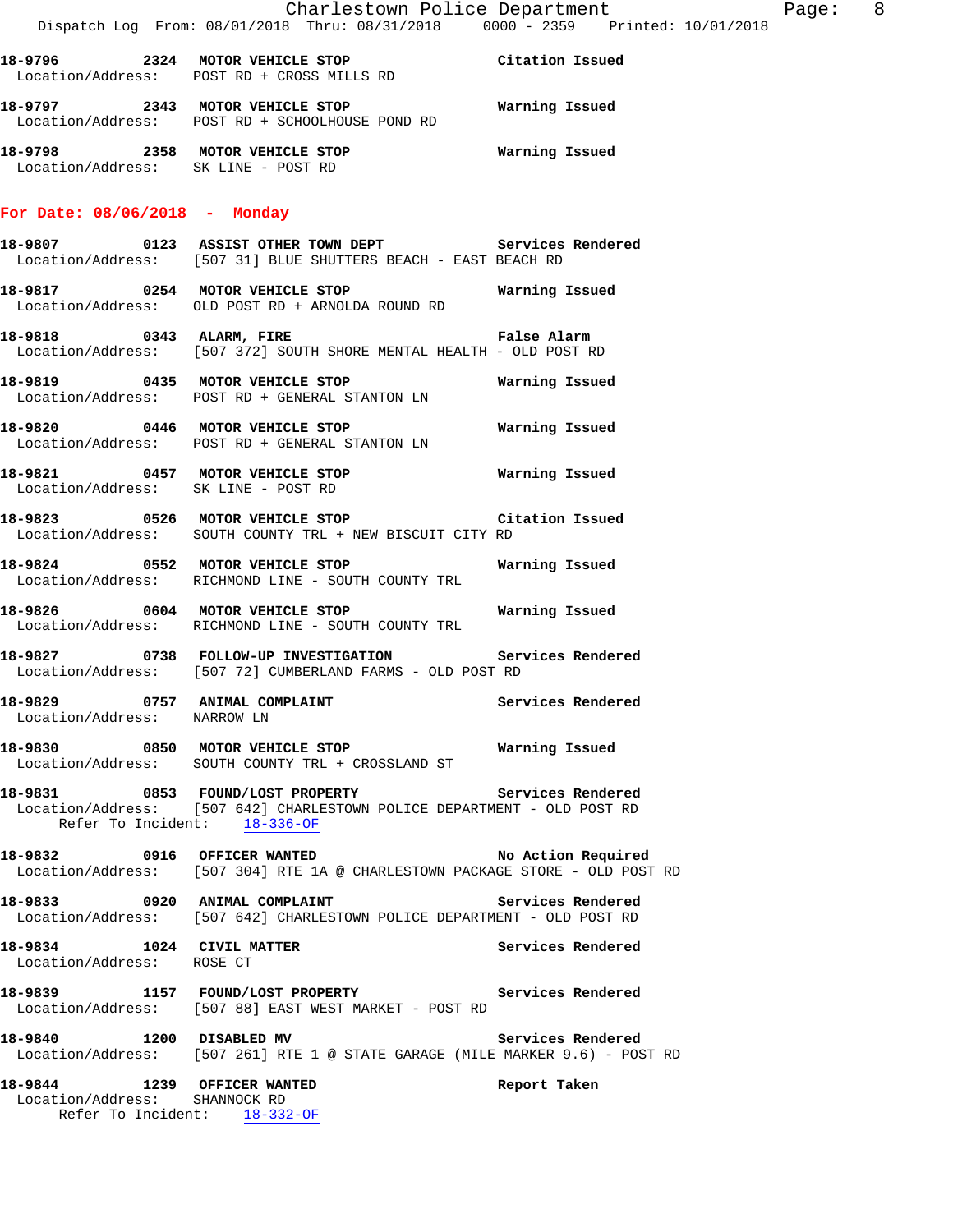| 18–9796 | 2324 MOTOR VEHICLE STOP<br>Location/Address: POST RD + CROSS MILLS RD      | Citation Issued |
|---------|----------------------------------------------------------------------------|-----------------|
| 18-9797 | 2343 MOTOR VEHICLE STOP<br>Location/Address: POST RD + SCHOOLHOUSE POND RD | Warning Issued  |

**18-9798 2358 MOTOR VEHICLE STOP Warning Issued**  Location/Address: SK LINE - POST RD

#### **For Date: 08/06/2018 - Monday**

- **18-9807 0123 ASSIST OTHER TOWN DEPT Services Rendered**  Location/Address: [507 31] BLUE SHUTTERS BEACH - EAST BEACH RD
- **18-9817 0254 MOTOR VEHICLE STOP Warning Issued**  Location/Address: OLD POST RD + ARNOLDA ROUND RD
- **18-9818 0343 ALARM, FIRE False Alarm**  Location/Address: [507 372] SOUTH SHORE MENTAL HEALTH - OLD POST RD
- **18-9819 0435 MOTOR VEHICLE STOP Warning Issued**  Location/Address: POST RD + GENERAL STANTON LN
- **18-9820 0446 MOTOR VEHICLE STOP Warning Issued**  Location/Address: POST RD + GENERAL STANTON LN
- **18-9821 0457 MOTOR VEHICLE STOP Warning Issued**  Location/Address: SK LINE - POST RD
- **18-9823 0526 MOTOR VEHICLE STOP Citation Issued**  Location/Address: SOUTH COUNTY TRL + NEW BISCUIT CITY RD
- **18-9824 0552 MOTOR VEHICLE STOP Warning Issued**  Location/Address: RICHMOND LINE - SOUTH COUNTY TRL
- **18-9826 0604 MOTOR VEHICLE STOP Warning Issued**  Location/Address: RICHMOND LINE - SOUTH COUNTY TRL
- **18-9827 0738 FOLLOW-UP INVESTIGATION Services Rendered**  Location/Address: [507 72] CUMBERLAND FARMS - OLD POST RD
- **18-9829 0757 ANIMAL COMPLAINT Services Rendered**  Location/Address:
- **18-9830 0850 MOTOR VEHICLE STOP Warning Issued**  Location/Address: SOUTH COUNTY TRL + CROSSLAND ST
- **18-9831 0853 FOUND/LOST PROPERTY Services Rendered**  Location/Address: [507 642] CHARLESTOWN POLICE DEPARTMENT - OLD POST RD Refer To Incident: 18-336-OF
- **18-9832 0916 OFFICER WANTED No Action Required**  Location/Address: [507 304] RTE 1A @ CHARLESTOWN PACKAGE STORE - OLD POST RD
- **18-9833 0920 ANIMAL COMPLAINT Services Rendered**  Location/Address: [507 642] CHARLESTOWN POLICE DEPARTMENT - OLD POST RD
- **18-9834 1024 CIVIL MATTER Services Rendered**  Location/Address: ROSE CT
- **18-9839 1157 FOUND/LOST PROPERTY Services Rendered**  Location/Address: [507 88] EAST WEST MARKET - POST RD
- **18-9840 1200 DISABLED MV Services Rendered**  Location/Address: [507 261] RTE 1 @ STATE GARAGE (MILE MARKER 9.6) - POST RD
- **18-9844 1239 OFFICER WANTED Report Taken**  Location/Address: SHANNOCK RD Refer To Incident: 18-332-OF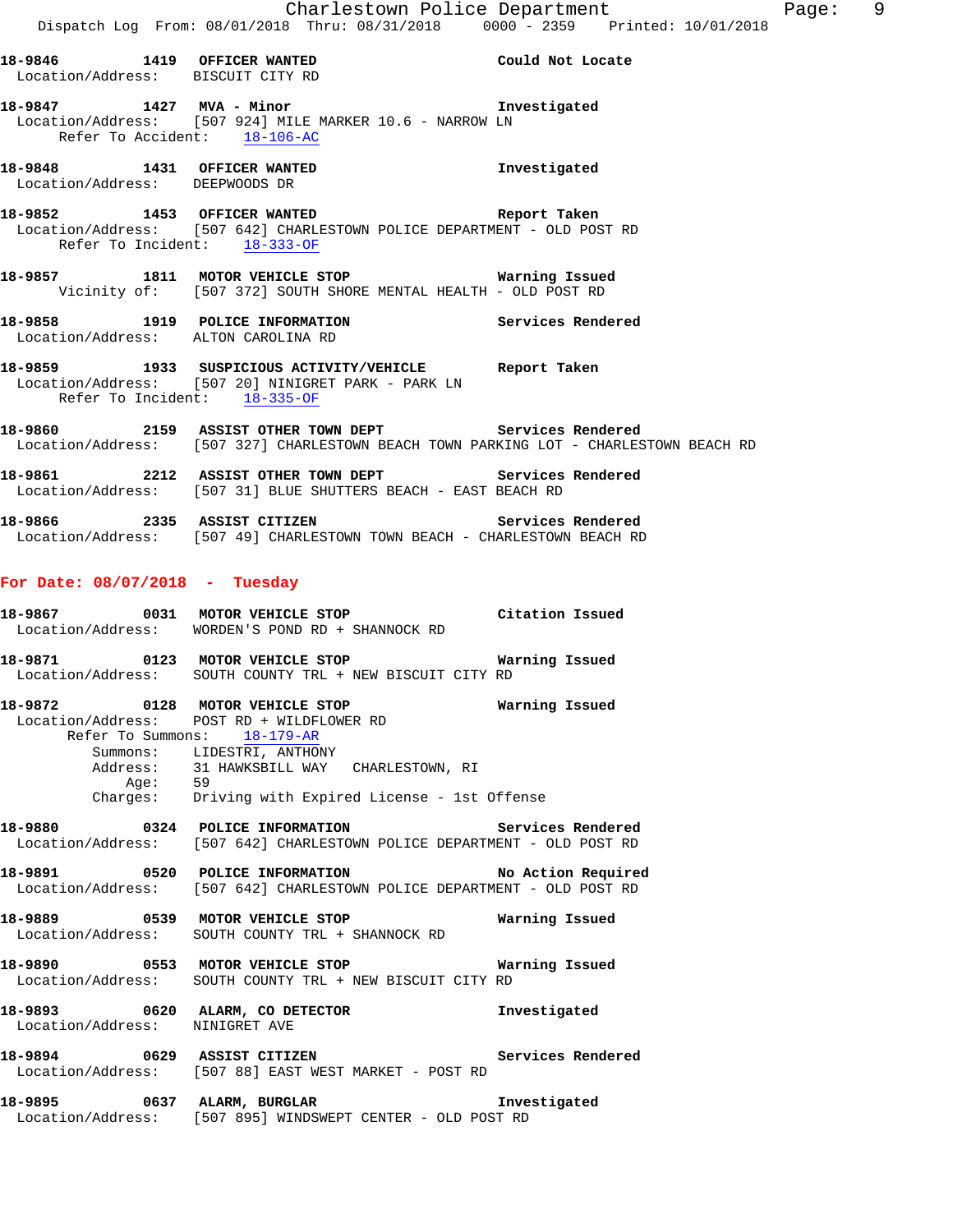**18-9846 1419 OFFICER WANTED Could Not Locate**  Location/Address: BISCUIT CITY RD **18-9847 1427 MVA - Minor Investigated**  Location/Address: [507 924] MILE MARKER 10.6 - NARROW LN Refer To Accident: 18-106-AC **18-9848 1431 OFFICER WANTED Investigated**  Location/Address: DEEPWOODS DR **18-9852 1453 OFFICER WANTED Report Taken**  Location/Address: [507 642] CHARLESTOWN POLICE DEPARTMENT - OLD POST RD Refer To Incident: 18-333-OF **18-9857 1811 MOTOR VEHICLE STOP Warning Issued**  Vicinity of: [507 372] SOUTH SHORE MENTAL HEALTH - OLD POST RD **18-9858 1919 POLICE INFORMATION Services Rendered**  Location/Address: ALTON CAROLINA RD **18-9859 1933 SUSPICIOUS ACTIVITY/VEHICLE Report Taken**  Location/Address: [507 20] NINIGRET PARK - PARK LN Refer To Incident: 18-335-OF **18-9860 2159 ASSIST OTHER TOWN DEPT Services Rendered**  Location/Address: [507 327] CHARLESTOWN BEACH TOWN PARKING LOT - CHARLESTOWN BEACH RD

**18-9861 2212 ASSIST OTHER TOWN DEPT Services Rendered**  Location/Address: [507 31] BLUE SHUTTERS BEACH - EAST BEACH RD

**18-9866 2335 ASSIST CITIZEN Services Rendered**  Location/Address: [507 49] CHARLESTOWN TOWN BEACH - CHARLESTOWN BEACH RD

#### **For Date: 08/07/2018 - Tuesday**

| 18-9867           | 0031 | MOTOR VEHICLE STOP             | Citation Issued |
|-------------------|------|--------------------------------|-----------------|
| Location/Address: |      | WORDEN'S POND RD + SHANNOCK RD |                 |
| 18-9871           | 0123 | MOTOR VEHICLE STOP             | Warning Issued  |

Location/Address: SOUTH COUNTY TRL + NEW BISCUIT CITY RD

**18-9872 0128 MOTOR VEHICLE STOP Warning Issued**  Location/Address: POST RD + WILDFLOWER RD Refer To Summons: 18-179-AR Summons: LIDESTRI, ANTHONY Address: 31 HAWKSBILL WAY CHARLESTOWN, RI Age: 59 Charges: Driving with Expired License - 1st Offense

**18-9880 0324 POLICE INFORMATION Services Rendered**  Location/Address: [507 642] CHARLESTOWN POLICE DEPARTMENT - OLD POST RD

**18-9891 0520 POLICE INFORMATION No Action Required**  Location/Address: [507 642] CHARLESTOWN POLICE DEPARTMENT - OLD POST RD

**18-9889 0539 MOTOR VEHICLE STOP Warning Issued**  Location/Address: SOUTH COUNTY TRL + SHANNOCK RD

**18-9890 0553 MOTOR VEHICLE STOP Warning Issued**  Location/Address: SOUTH COUNTY TRL + NEW BISCUIT CITY RD

**18-9893 0620 ALARM, CO DETECTOR Investigated**  Location/Address: NINIGRET AVE

**18-9894 0629 ASSIST CITIZEN Services Rendered**  Location/Address: [507 88] EAST WEST MARKET - POST RD

**18-9895 0637 ALARM, BURGLAR Investigated**  Location/Address: [507 895] WINDSWEPT CENTER - OLD POST RD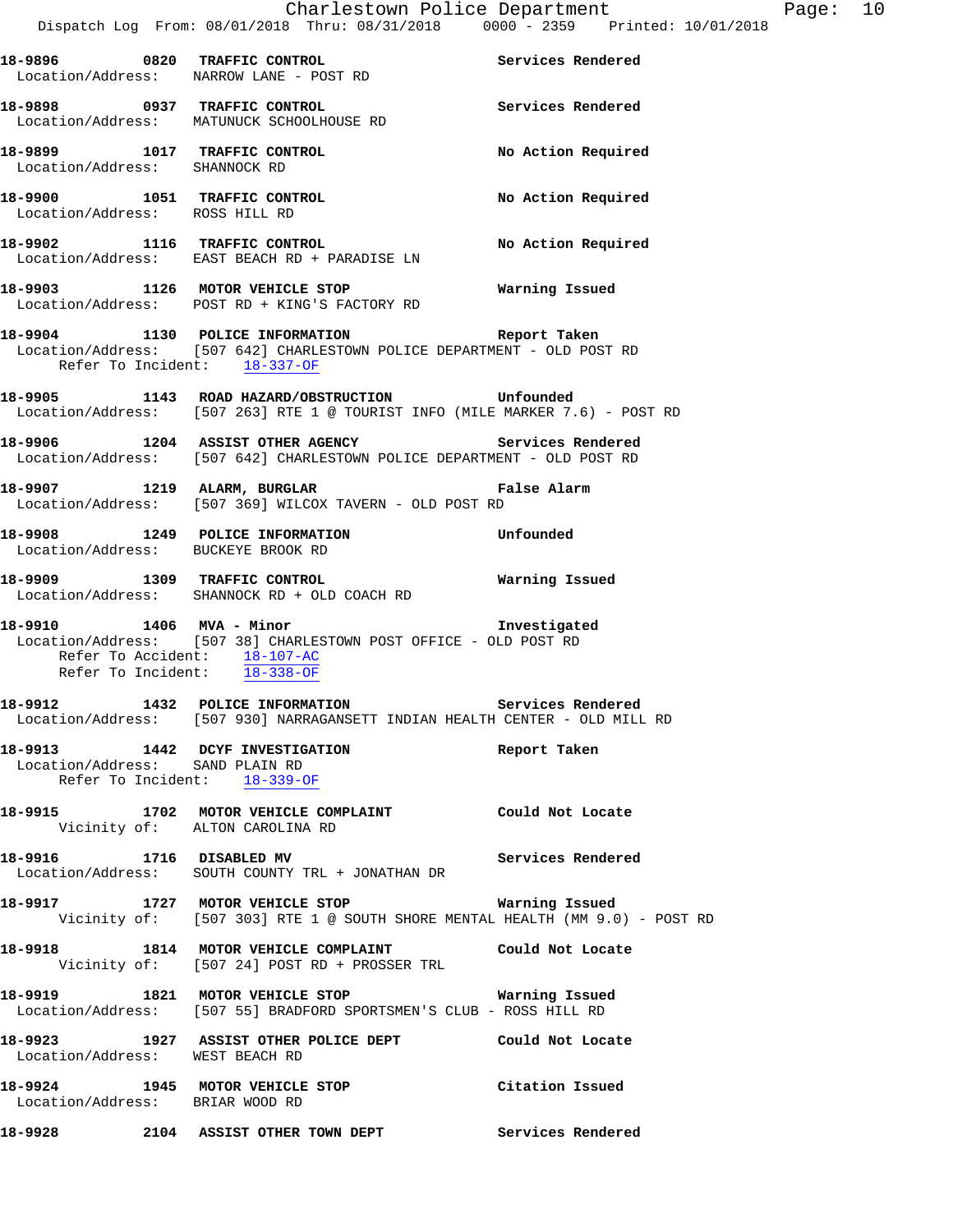|                                                  | 18-9896 0820 TRAFFIC CONTROL Services Rendered<br>Location/Address: NARROW LANE - POST RD                                        |                    |
|--------------------------------------------------|----------------------------------------------------------------------------------------------------------------------------------|--------------------|
|                                                  | 18-9898 0937 TRAFFIC CONTROL<br>Location/Address: MATUNUCK SCHOOLHOUSE RD                                                        | Services Rendered  |
|                                                  | 18-9899 1017 TRAFFIC CONTROL No Action Required Location/Address: SHANNOCK RD                                                    |                    |
| Location/Address: ROSS HILL RD                   | 18-9900 1051 TRAFFIC CONTROL                                                                                                     | No Action Required |
|                                                  | 18-9902 1116 TRAFFIC CONTROL No Action Required<br>Location/Address: EAST BEACH RD + PARADISE LN                                 |                    |
|                                                  | 18-9903 1126 MOTOR VEHICLE STOP <b>18-9903</b> Warning Issued<br>Location/Address: POST RD + KING'S FACTORY RD                   |                    |
| Refer To Incident: 18-337-OF                     | 18-9904 1130 POLICE INFORMATION Report Taken<br>Location/Address: [507 642] CHARLESTOWN POLICE DEPARTMENT - OLD POST RD          |                    |
|                                                  | 18-9905 1143 ROAD HAZARD/OBSTRUCTION Unfounded<br>Location/Address: [507 263] RTE 1 @ TOURIST INFO (MILE MARKER 7.6) - POST RD   |                    |
|                                                  | 18-9906 1204 ASSIST OTHER AGENCY Services Rendered<br>Location/Address: [507 642] CHARLESTOWN POLICE DEPARTMENT - OLD POST RD    |                    |
|                                                  | 18-9907 1219 ALARM, BURGLAR<br>Location/Address: [507 369] WILCOX TAVERN - OLD POST RD                                           |                    |
|                                                  | 18-9908 1249 POLICE INFORMATION Unfounded<br>Location/Address: BUCKEYE BROOK RD                                                  |                    |
|                                                  | -<br>18-9909 1309 TRAFFIC CONTROL 1999 - Marning Issued<br>Location/Address: SHANNOCK RD + OLD COACH RD                          |                    |
| Refer To Accident: $\frac{18-107-AC}{18-338-OF}$ | 18-9910 1406 MVA - Minor 18-9910<br>Location/Address: [507 38] CHARLESTOWN POST OFFICE - OLD POST RD                             |                    |
|                                                  | 18-9912 1432 POLICE INFORMATION Services Rendered<br>Location/Address: [507 930] NARRAGANSETT INDIAN HEALTH CENTER - OLD MILL RD |                    |
|                                                  | 18-9913 1442 DCYF INVESTIGATION<br>Location/Address: SAND PLAIN RD<br>Refer To Incident: $18-339-OF$                             | Report Taken       |
| Vicinity of: ALTON CAROLINA RD                   | 18-9915 1702 MOTOR VEHICLE COMPLAINT Could Not Locate                                                                            |                    |
| 18-9916 1716 DISABLED MV                         | Location/Address: SOUTH COUNTY TRL + JONATHAN DR                                                                                 | Services Rendered  |
|                                                  | 18-9917 1727 MOTOR VEHICLE STOP 18 Warning Issued<br>Vicinity of: [507 303] RTE 1 @ SOUTH SHORE MENTAL HEALTH (MM 9.0) - POST RD |                    |
|                                                  | 18-9918 1814 MOTOR VEHICLE COMPLAINT Could Not Locate<br>Vicinity of: [507 24] POST RD + PROSSER TRL                             |                    |
|                                                  | 18-9919 1821 MOTOR VEHICLE STOP Warning Issued<br>Location/Address: [507 55] BRADFORD SPORTSMEN'S CLUB - ROSS HILL RD            |                    |
| Location/Address: WEST BEACH RD                  | 18-9923 1927 ASSIST OTHER POLICE DEPT Could Not Locate                                                                           |                    |
|                                                  | 18-9924 1945 MOTOR VEHICLE STOP Citation Issued<br>Location/Address: BRIAR WOOD RD                                               |                    |
|                                                  | 18-9928 2104 ASSIST OTHER TOWN DEPT Services Rendered                                                                            |                    |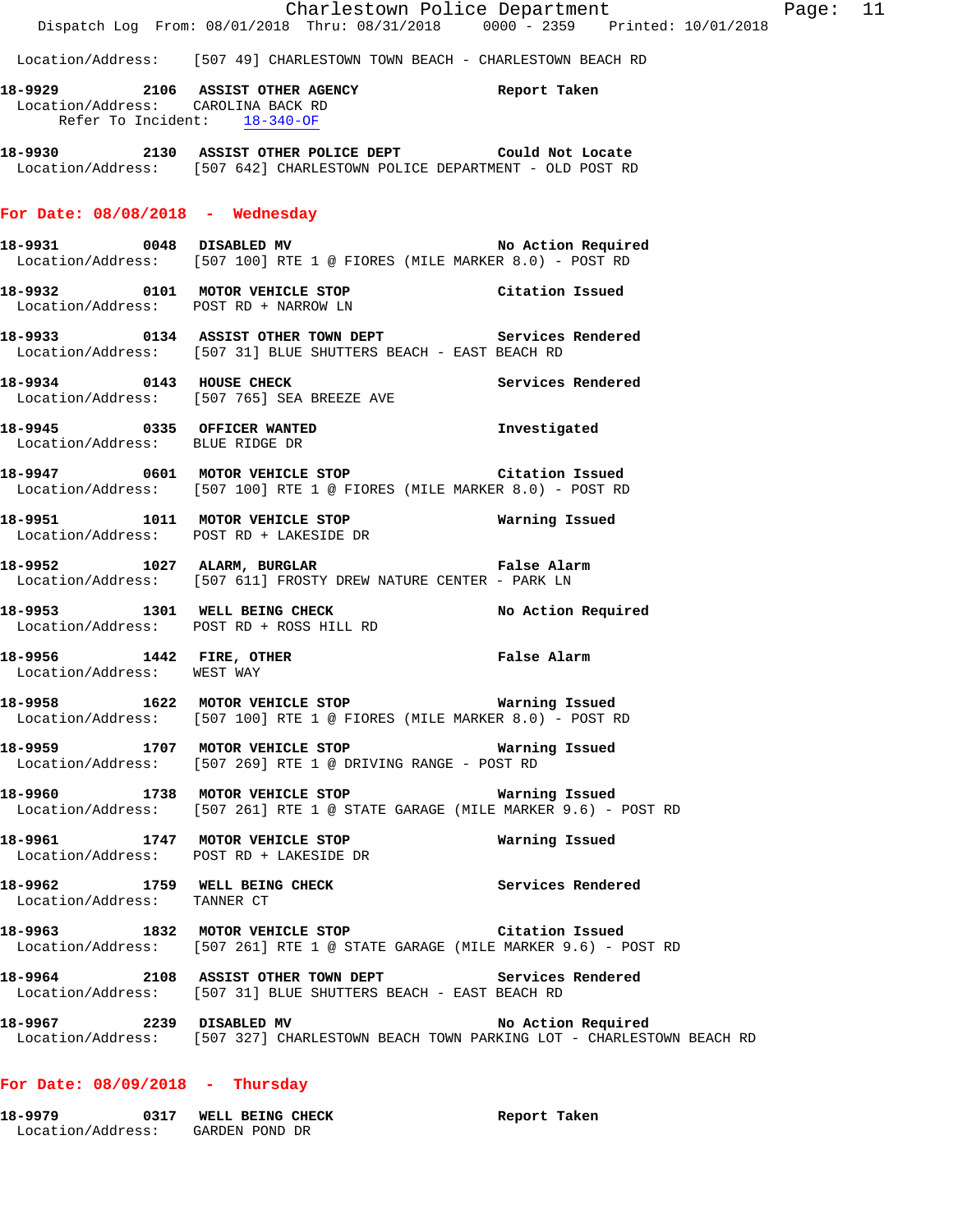|                                  | Charlestown Police Department                                                                                                           | Dispatch Log From: 08/01/2018 Thru: 08/31/2018 0000 - 2359 Printed: 10/01/2018                              |
|----------------------------------|-----------------------------------------------------------------------------------------------------------------------------------------|-------------------------------------------------------------------------------------------------------------|
|                                  | Location/Address: [507 49] CHARLESTOWN TOWN BEACH - CHARLESTOWN BEACH RD                                                                |                                                                                                             |
|                                  | 18-9929 2106 ASSIST OTHER AGENCY Report Taken<br>Location/Address: CAROLINA BACK RD<br>Refer To Incident: 18-340-OF                     |                                                                                                             |
|                                  | 18-9930 2130 ASSIST OTHER POLICE DEPT Could Not Locate<br>Location/Address: [507 642] CHARLESTOWN POLICE DEPARTMENT - OLD POST RD       |                                                                                                             |
| For Date: 08/08/2018 - Wednesday |                                                                                                                                         |                                                                                                             |
|                                  | 18-9931 0048 DISABLED MV 18-9931 No Action Required<br>Location/Address: [507 100] RTE 1 @ FIORES (MILE MARKER 8.0) - POST RD           |                                                                                                             |
|                                  | 18-9932 0101 MOTOR VEHICLE STOP Citation Issued<br>Location/Address: POST RD + NARROW LN                                                |                                                                                                             |
|                                  | 18-9933 0134 ASSIST OTHER TOWN DEPT Services Rendered<br>Location/Address: [507 31] BLUE SHUTTERS BEACH - EAST BEACH RD                 |                                                                                                             |
|                                  | 18-9934 0143 HOUSE CHECK 2000 Services Rendered<br>Location/Address: [507 765] SEA BREEZE AVE                                           |                                                                                                             |
| Location/Address: BLUE RIDGE DR  | 18-9945 0335 OFFICER WANTED 18-9945                                                                                                     |                                                                                                             |
|                                  | 18-9947 0601 MOTOR VEHICLE STOP Citation Issued<br>Location/Address: [507 100] RTE 1 @ FIORES (MILE MARKER 8.0) - POST RD               |                                                                                                             |
|                                  | Location/Address: POST RD + LAKESIDE DR                                                                                                 |                                                                                                             |
|                                  | 18-9952 1027 ALARM, BURGLAR 18-9952 False Alarm<br>Location/Address: [507 611] FROSTY DREW NATURE CENTER - PARK LN                      |                                                                                                             |
|                                  | 18-9953 1301 WELL BEING CHECK NO Action Required<br>Location/Address: POST RD + ROSS HILL RD                                            |                                                                                                             |
| Location/Address: WEST WAY       | 18-9956 1442 FIRE, OTHER TRE False Alarm                                                                                                |                                                                                                             |
|                                  | 18-9958 1622 MOTOR VEHICLE STOP <b>18-9958</b> Warning Issued<br>Location/Address: [507 100] RTE 1 @ FIORES (MILE MARKER 8.0) - POST RD |                                                                                                             |
|                                  | 18-9959 1707 MOTOR VEHICLE STOP 6 Warning Issued<br>Location/Address: [507 269] RTE 1 @ DRIVING RANGE - POST RD                         |                                                                                                             |
|                                  | 18-9960 1738 MOTOR VEHICLE STOP <b>Marning Issued</b><br>Location/Address: [507 261] RTE 1 @ STATE GARAGE (MILE MARKER 9.6) - POST RD   |                                                                                                             |
|                                  | 18-9961 1747 MOTOR VEHICLE STOP 18 Warning Issued<br>Location/Address: POST RD + LAKESIDE DR                                            |                                                                                                             |
| Location/Address: TANNER CT      | 18-9962 1759 WELL BEING CHECK 1980 Services Rendered                                                                                    |                                                                                                             |
|                                  | 18-9963 1832 MOTOR VEHICLE STOP Citation Issued<br>Location/Address: [507 261] RTE 1 @ STATE GARAGE (MILE MARKER 9.6) - POST RD         |                                                                                                             |
|                                  | 18-9964 2108 ASSIST OTHER TOWN DEPT Services Rendered<br>Location/Address: [507 31] BLUE SHUTTERS BEACH - EAST BEACH RD                 |                                                                                                             |
|                                  | 18-9967 2239 DISABLED MV                                                                                                                | No Action Required<br>Location/Address: [507 327] CHARLESTOWN BEACH TOWN PARKING LOT - CHARLESTOWN BEACH RD |

Page: 11

## **For Date: 08/09/2018 - Thursday**

| 18-9979           | WELL BEING CHECK |  | Report Taken |  |
|-------------------|------------------|--|--------------|--|
| Location/Address: | GARDEN POND DR   |  |              |  |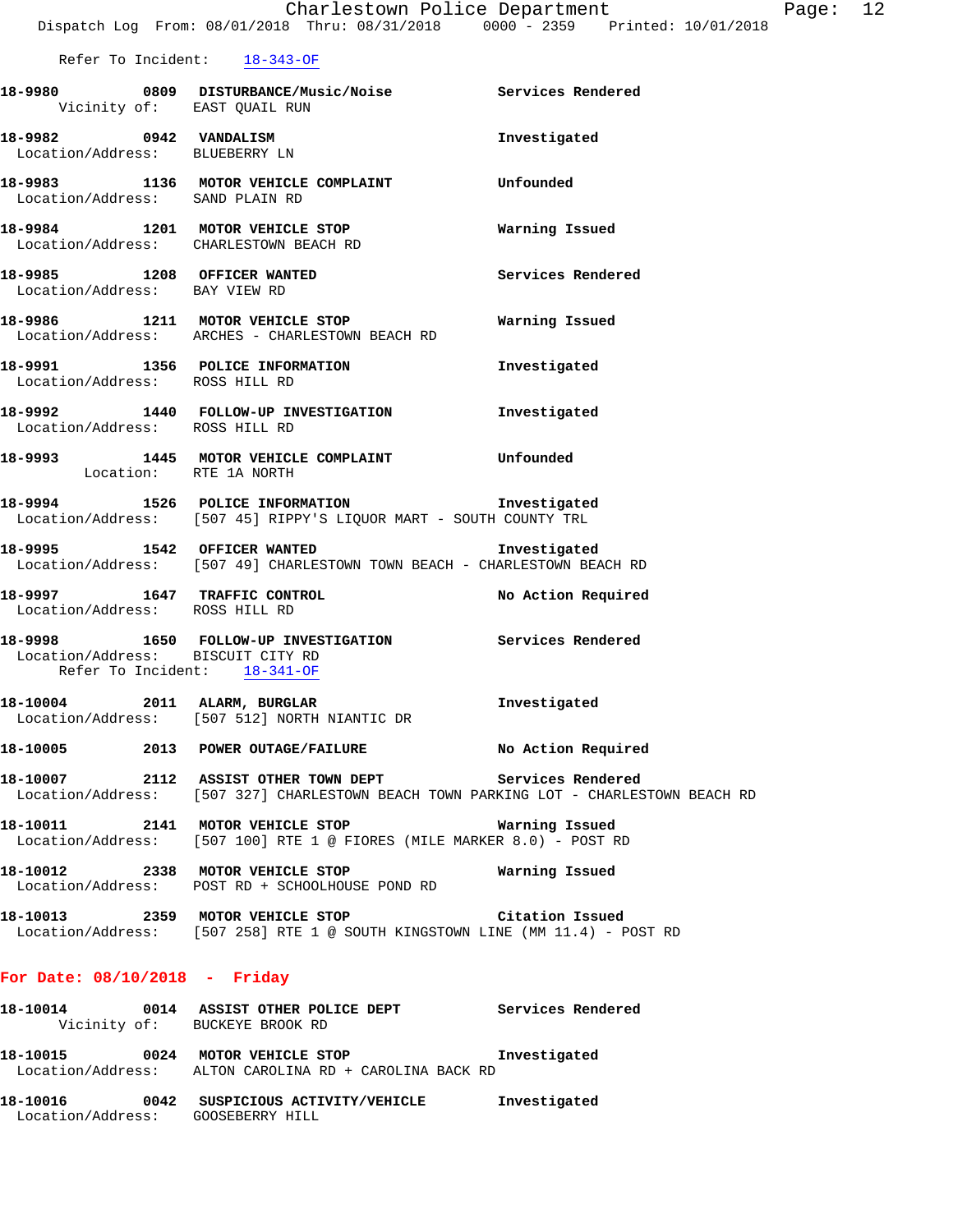|                                                                   | Dispatch Log From: 08/01/2018 Thru: 08/31/2018 0000 - 2359 Printed: 10/01/2018                                            | Charlestown Police Department | Page: 12 |  |
|-------------------------------------------------------------------|---------------------------------------------------------------------------------------------------------------------------|-------------------------------|----------|--|
|                                                                   | Refer To Incident: 18-343-OF                                                                                              |                               |          |  |
| Vicinity of: EAST QUAIL RUN                                       |                                                                                                                           |                               |          |  |
| 18-9982 0942 VANDALISM<br>Location/Address: BLUEBERRY LN          |                                                                                                                           | Investigated                  |          |  |
| Location/Address: SAND PLAIN RD                                   | 18-9983 1136 MOTOR VEHICLE COMPLAINT Unfounded                                                                            |                               |          |  |
|                                                                   | 18-9984 1201 MOTOR VEHICLE STOP<br>Location/Address: CHARLESTOWN BEACH RD                                                 | Warning Issued                |          |  |
| 18-9985 1208 OFFICER WANTED<br>Location/Address: BAY VIEW RD      |                                                                                                                           | Services Rendered             |          |  |
|                                                                   | 18-9986 1211 MOTOR VEHICLE STOP<br>Location/Address: ARCHES - CHARLESTOWN BEACH RD                                        | Warning Issued                |          |  |
| Location/Address: ROSS HILL RD                                    | 18-9991 1356 POLICE INFORMATION                                                                                           | Investigated                  |          |  |
| Location/Address: ROSS HILL RD                                    | 18-9992 1440 FOLLOW-UP INVESTIGATION                                                                                      | Investigated                  |          |  |
| Location: RTE 1A NORTH                                            | 18-9993 1445 MOTOR VEHICLE COMPLAINT                                                                                      | Unfounded                     |          |  |
|                                                                   | 18-9994 1526 POLICE INFORMATION 18-9994 Investigated<br>Location/Address: [507 45] RIPPY'S LIQUOR MART - SOUTH COUNTY TRL |                               |          |  |
|                                                                   | 18-9995 1542 OFFICER WANTED<br>Location/Address: [507 49] CHARLESTOWN TOWN BEACH - CHARLESTOWN BEACH RD                   | Investigated                  |          |  |
| Location/Address: ROSS HILL RD                                    | 18-9997 1647 TRAFFIC CONTROL 18-9997 No Action Required                                                                   |                               |          |  |
| Location/Address: BISCUIT CITY RD<br>Refer To Incident: 18-341-OF | 18-9998 1650 FOLLOW-UP INVESTIGATION Services Rendered                                                                    |                               |          |  |
| 18-10004 2011 ALARM, BURGLAR                                      | Location/Address: [507 512] NORTH NIANTIC DR                                                                              | Investigated                  |          |  |
|                                                                   | 18-10005 2013 POWER OUTAGE/FAILURE                                                                                        | No Action Required            |          |  |
|                                                                   | Location/Address: [507 327] CHARLESTOWN BEACH TOWN PARKING LOT - CHARLESTOWN BEACH RD                                     | Services Rendered             |          |  |
|                                                                   | 18-10011 2141 MOTOR VEHICLE STOP<br>Location/Address: [507 100] RTE 1 @ FIORES (MILE MARKER 8.0) - POST RD                | Warning Issued                |          |  |
|                                                                   | 18-10012 2338 MOTOR VEHICLE STOP<br>Location/Address: POST RD + SCHOOLHOUSE POND RD                                       | Warning Issued                |          |  |
|                                                                   | 18-10013 2359 MOTOR VEHICLE STOP<br>Location/Address: $[507 258]$ RTE 1 @ SOUTH KINGSTOWN LINE (MM 11.4) - POST RD        | Citation Issued               |          |  |
|                                                                   |                                                                                                                           |                               |          |  |

## **For Date: 08/10/2018 - Friday**

| 18-10014                      | 0014 | ASSIST OTHER POLICE DEPT                                   | Services Rendered |
|-------------------------------|------|------------------------------------------------------------|-------------------|
|                               |      | Vicinity of: BUCKEYE BROOK RD                              |                   |
| 18-10015<br>Location/Address: | 0024 | MOTOR VEHICLE STOP<br>ALTON CAROLINA RD + CAROLINA BACK RD | Investigated      |
| 18-10016<br>Location/Address: | 0042 | SUSPICIOUS ACTIVITY/VEHICLE<br>GOOSEBERRY HILL             | Investigated      |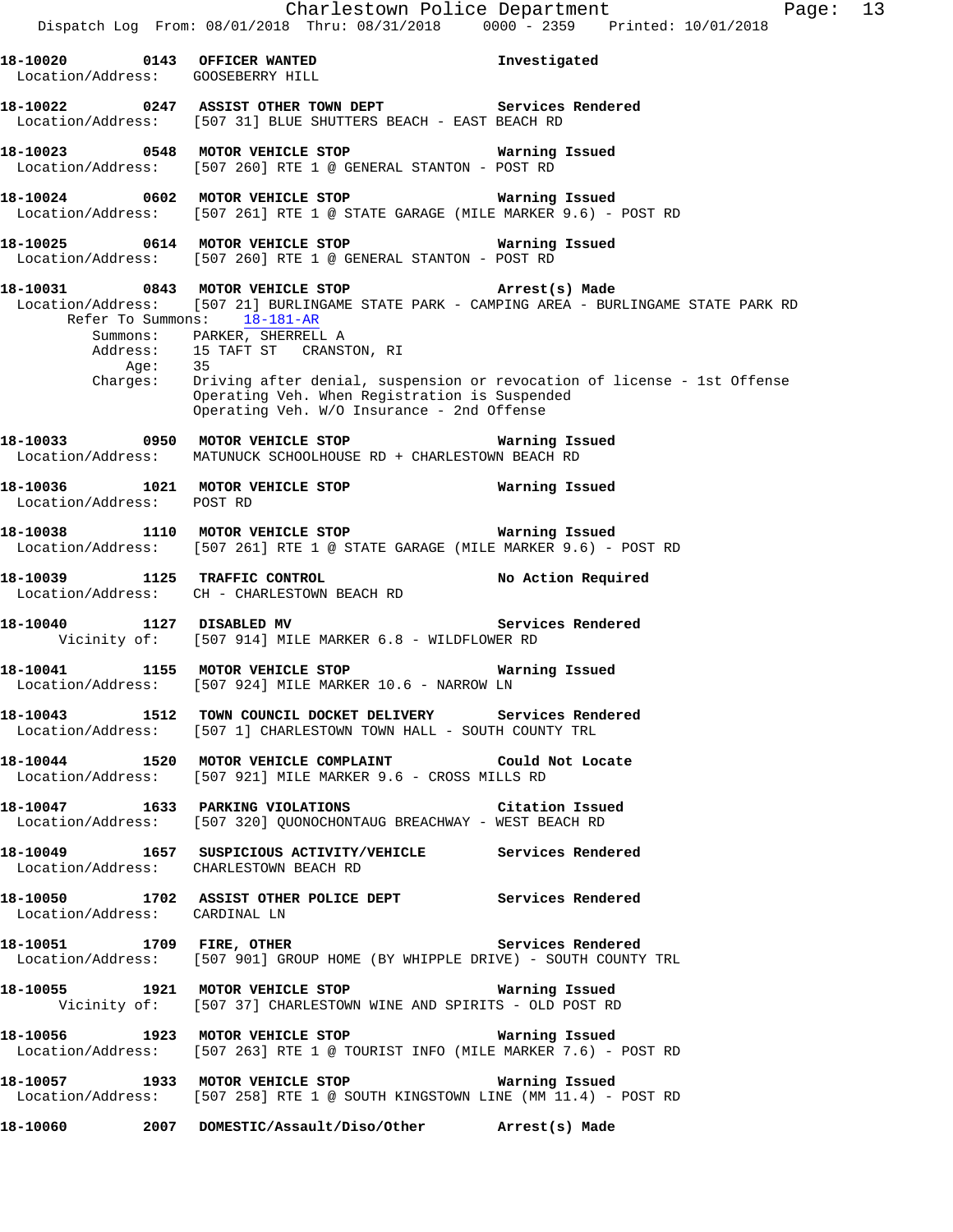|                                        | Dispatch Log From: 08/01/2018 Thru: 08/31/2018 0000 - 2359 Printed: 10/01/2018                                                                                                                                                                                             | Charlestown Police Department<br>Page: 13                                                                                                                                      |
|----------------------------------------|----------------------------------------------------------------------------------------------------------------------------------------------------------------------------------------------------------------------------------------------------------------------------|--------------------------------------------------------------------------------------------------------------------------------------------------------------------------------|
| Location/Address: GOOSEBERRY HILL      | 18-10020 0143 OFFICER WANTED                                                                                                                                                                                                                                               | Investigated                                                                                                                                                                   |
|                                        | 18-10022 0247 ASSIST OTHER TOWN DEPT Services Rendered<br>Location/Address: [507 31] BLUE SHUTTERS BEACH - EAST BEACH RD                                                                                                                                                   |                                                                                                                                                                                |
|                                        | 18-10023 0548 MOTOR VEHICLE STOP 6 Warning Issued<br>Location/Address: [507 260] RTE 1 @ GENERAL STANTON - POST RD                                                                                                                                                         |                                                                                                                                                                                |
|                                        | 18-10024 0602 MOTOR VEHICLE STOP <b>Warning Issued</b><br>Location/Address: [507 261] RTE 1 @ STATE GARAGE (MILE MARKER 9.6) - POST RD                                                                                                                                     |                                                                                                                                                                                |
|                                        | 18-10025 6614 MOTOR VEHICLE STOP 6614 MOTOR VEHICLE STOP<br>Location/Address: [507 260] RTE 1 @ GENERAL STANTON - POST RD                                                                                                                                                  |                                                                                                                                                                                |
| Age:                                   | 18-10031 0843 MOTOR VEHICLE STOP <b>Example 2018</b> Arrest(s) Made<br>Refer To Summons: 18-181-AR<br>Summons: PARKER, SHERRELL A<br>Address: 15 TAFT ST CRANSTON, RI<br>35<br>Operating Veh. When Registration is Suspended<br>Operating Veh. W/O Insurance - 2nd Offense | Location/Address: [507 21] BURLINGAME STATE PARK - CAMPING AREA - BURLINGAME STATE PARK RD<br>Charges: Driving after denial, suspension or revocation of license - 1st Offense |
|                                        | Location/Address: MATUNUCK SCHOOLHOUSE RD + CHARLESTOWN BEACH RD                                                                                                                                                                                                           | Warning Issued                                                                                                                                                                 |
| Location/Address: POST RD              | 18-10036 1021 MOTOR VEHICLE STOP <b>Warning Issued</b>                                                                                                                                                                                                                     |                                                                                                                                                                                |
|                                        | Location/Address: [507 261] RTE 1 @ STATE GARAGE (MILE MARKER 9.6) - POST RD                                                                                                                                                                                               |                                                                                                                                                                                |
|                                        | 18-10039 1125 TRAFFIC CONTROL<br>Location/Address: CH - CHARLESTOWN BEACH RD                                                                                                                                                                                               | No Action Required                                                                                                                                                             |
| 18-10040 1127 DISABLED MV              | Vicinity of: [507 914] MILE MARKER 6.8 - WILDFLOWER RD                                                                                                                                                                                                                     | Services Rendered                                                                                                                                                              |
|                                        | 18-10041 1155 MOTOR VEHICLE STOP<br>Location/Address: [507 924] MILE MARKER 10.6 - NARROW LN                                                                                                                                                                               | Warning Issued                                                                                                                                                                 |
|                                        | 18-10043 1512 TOWN COUNCIL DOCKET DELIVERY Services Rendered<br>Location/Address: [507 1] CHARLESTOWN TOWN HALL - SOUTH COUNTY TRL                                                                                                                                         |                                                                                                                                                                                |
|                                        | 18-10044 1520 MOTOR VEHICLE COMPLAINT Could Not Locate<br>Location/Address: [507 921] MILE MARKER 9.6 - CROSS MILLS RD                                                                                                                                                     |                                                                                                                                                                                |
|                                        | 18-10047 1633 PARKING VIOLATIONS Citation Issued<br>Location/Address: [507 320] QUONOCHONTAUG BREACHWAY - WEST BEACH RD                                                                                                                                                    |                                                                                                                                                                                |
| Location/Address: CHARLESTOWN BEACH RD | 18-10049 1657 SUSPICIOUS ACTIVITY/VEHICLE Services Rendered                                                                                                                                                                                                                |                                                                                                                                                                                |
| Location/Address: CARDINAL LN          | 18-10050 1702 ASSIST OTHER POLICE DEPT Services Rendered                                                                                                                                                                                                                   |                                                                                                                                                                                |
|                                        | 18-10051 1709 FIRE, OTHER Services Rendered<br>Location/Address: [507 901] GROUP HOME (BY WHIPPLE DRIVE) - SOUTH COUNTY TRL                                                                                                                                                |                                                                                                                                                                                |
|                                        | 18-10055 1921 MOTOR VEHICLE STOP 6 Warning Issued<br>Vicinity of: [507 37] CHARLESTOWN WINE AND SPIRITS - OLD POST RD                                                                                                                                                      |                                                                                                                                                                                |
|                                        | 18-10056 1923 MOTOR VEHICLE STOP <b>18-10056</b> Warning Issued<br>Location/Address: [507 263] RTE 1 @ TOURIST INFO (MILE MARKER 7.6) - POST RD                                                                                                                            |                                                                                                                                                                                |
|                                        | 18-10057 1933 MOTOR VEHICLE STOP <b>Warning Issued</b><br>Location/Address: [507 258] RTE 1 @ SOUTH KINGSTOWN LINE (MM 11.4) - POST RD                                                                                                                                     |                                                                                                                                                                                |
|                                        | 18-10060 2007 DOMESTIC/Assault/Diso/Other Arrest(s) Made                                                                                                                                                                                                                   |                                                                                                                                                                                |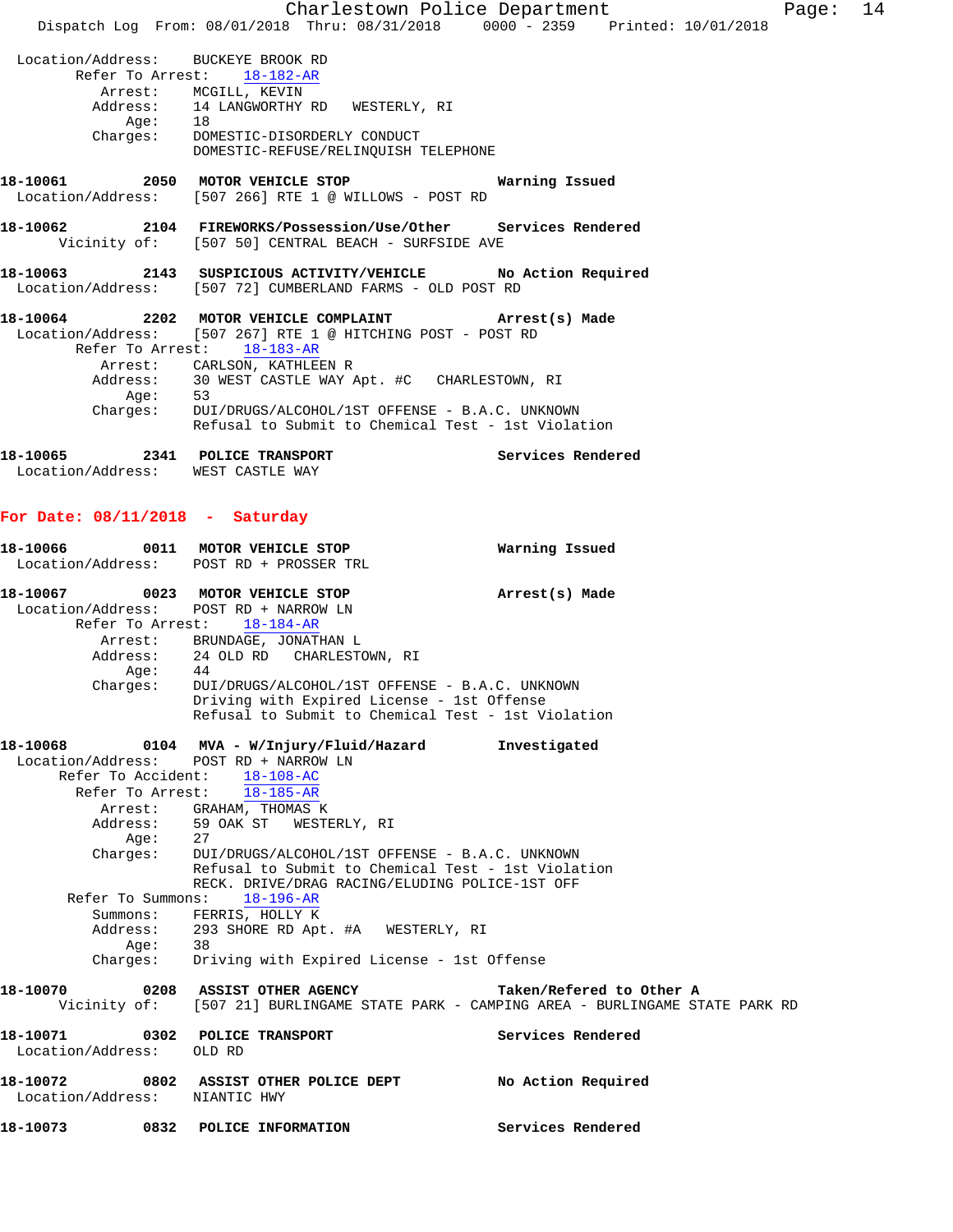Charlestown Police Department Fage: 14 Dispatch Log From: 08/01/2018 Thru: 08/31/2018 0000 - 2359 Printed: 10/01/2018 Location/Address: BUCKEYE BROOK RD Refer To Arrest: 18-182-AR Arrest: MCGILL, KEVIN Address: 14 LANGWORTHY RD WESTERLY, RI<br>Aqe: 18 Age: Charges: DOMESTIC-DISORDERLY CONDUCT DOMESTIC-REFUSE/RELINQUISH TELEPHONE **18-10061 2050 MOTOR VEHICLE STOP Warning Issued**  Location/Address: [507 266] RTE 1 @ WILLOWS - POST RD **18-10062 2104 FIREWORKS/Possession/Use/Other Services Rendered**  Vicinity of: [507 50] CENTRAL BEACH - SURFSIDE AVE **18-10063 2143 SUSPICIOUS ACTIVITY/VEHICLE No Action Required**  Location/Address: [507 72] CUMBERLAND FARMS - OLD POST RD **18-10064 2202 MOTOR VEHICLE COMPLAINT Arrest(s) Made**  Location/Address: [507 267] RTE 1 @ HITCHING POST - POST RD Refer To Arrest: 18-183-AR Arrest: CARLSON, KATHLEEN R Address: 30 WEST CASTLE WAY Apt. #C CHARLESTOWN, RI Age: 53<br>Charges: DUI DUI/DRUGS/ALCOHOL/1ST OFFENSE - B.A.C. UNKNOWN Refusal to Submit to Chemical Test - 1st Violation **18-10065 2341 POLICE TRANSPORT Services Rendered**  Location/Address: WEST CASTLE WAY **For Date: 08/11/2018 - Saturday 18-10066 0011 MOTOR VEHICLE STOP Warning Issued**  Location/Address: POST RD + PROSSER TRL **18-10067 0023 MOTOR VEHICLE STOP Arrest(s) Made**  Location/Address: POST RD + NARROW LN Refer To Arrest: 18-184-AR Arrest: BRUNDAGE, JONATHAN L Address: 24 OLD RD CHARLESTOWN, RI Age: 44 Charges: DUI/DRUGS/ALCOHOL/1ST OFFENSE - B.A.C. UNKNOWN Driving with Expired License - 1st Offense Refusal to Submit to Chemical Test - 1st Violation **18-10068 0104 MVA - W/Injury/Fluid/Hazard Investigated**  Location/Address: POST RD + NARROW LN Refer To Accident: 18-108-AC Refer To Arrest: 18-185-AR Arrest: GRAHAM, THOMAS K Address: 59 OAK ST WESTERLY, RI Age: 27<br>Charges: DUI DUI/DRUGS/ALCOHOL/1ST OFFENSE - B.A.C. UNKNOWN Refusal to Submit to Chemical Test - 1st Violation RECK. DRIVE/DRAG RACING/ELUDING POLICE-1ST OFF Refer To Summons: 18-196-AR Summons: FERRIS, HOLLY K Address: 293 SHORE RD Apt. #A WESTERLY, RI Age: 38 Charges: Driving with Expired License - 1st Offense **18-10070 0208 ASSIST OTHER AGENCY Taken/Refered to Other A**  Vicinity of: [507 21] BURLINGAME STATE PARK - CAMPING AREA - BURLINGAME STATE PARK RD **18-10071 0302 POLICE TRANSPORT Services Rendered**  Location/Address: OLD RD **18-10072 0802 ASSIST OTHER POLICE DEPT No Action Required**  Location/Address: NIANTIC HWY **18-10073 0832 POLICE INFORMATION Services Rendered**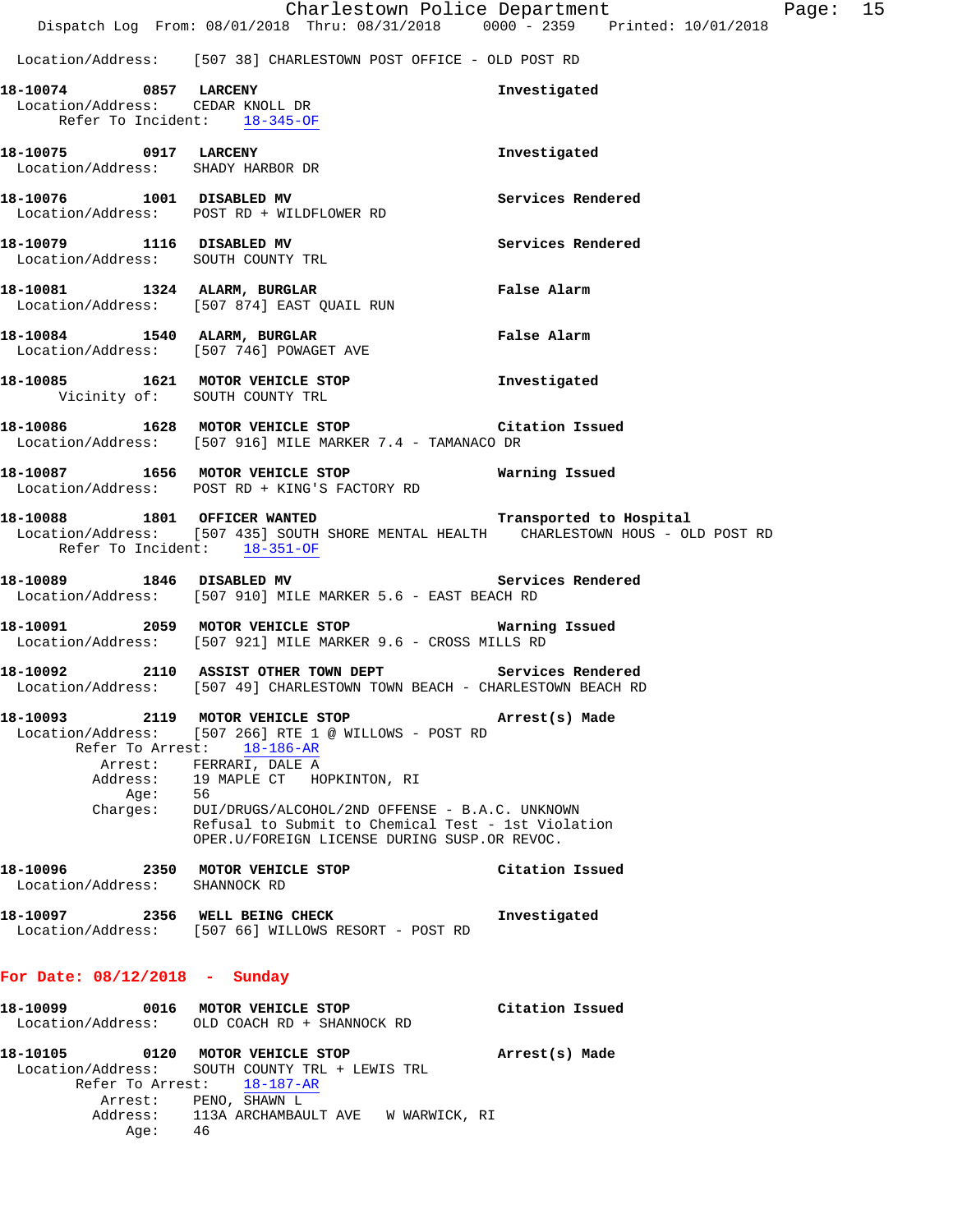Location/Address: [507 38] CHARLESTOWN POST OFFICE - OLD POST RD

|                                           |      | 18-10074 0857 LARCENY<br>Location/Address: CEDAR KNOLL DR<br>Refer To Incident: $18-345-OF$                                                                                                                    | Investigated       |
|-------------------------------------------|------|----------------------------------------------------------------------------------------------------------------------------------------------------------------------------------------------------------------|--------------------|
|                                           |      | 18-10075 0917 LARCENY<br>Location/Address: SHADY HARBOR DR                                                                                                                                                     | Investigated       |
|                                           |      | 18-10076 1001 DISABLED MV<br>Location/Address: POST RD + WILDFLOWER RD                                                                                                                                         | Services Rendered  |
|                                           |      | 18-10079 1116 DISABLED MV<br>Location/Address: SOUTH COUNTY TRL                                                                                                                                                | Services Rendered  |
|                                           |      | 18-10081 1324 ALARM, BURGLAR<br>Location/Address: [507 874] EAST QUAIL RUN                                                                                                                                     | <b>False Alarm</b> |
|                                           |      | 18-10084 1540 ALARM, BURGLAR<br>Location/Address: [507 746] POWAGET AVE                                                                                                                                        | False Alarm        |
|                                           |      | 18-10085 1621 MOTOR VEHICLE STOP 1nvestigated<br>Vicinity of: SOUTH COUNTY TRL                                                                                                                                 |                    |
|                                           |      | 18-10086 1628 MOTOR VEHICLE STOP Citation Issued<br>Location/Address: [507 916] MILE MARKER 7.4 - TAMANACO DR                                                                                                  |                    |
|                                           |      | 18-10087 1656 MOTOR VEHICLE STOP<br>Location/Address: POST RD + KING'S FACTORY RD                                                                                                                              | Warning Issued     |
|                                           |      | 18-10088 1801 OFFICER WANTED Transported to Hospital<br>Location/Address: [507 435] SOUTH SHORE MENTAL HEALTH CHARLESTOWN HOUS - OLD POST RD<br>Refer To Incident: 18-351-OF                                   |                    |
|                                           |      | 18-10089 1846 DISABLED MV<br>Location/Address: [507 910] MILE MARKER 5.6 - EAST BEACH RD                                                                                                                       | Services Rendered  |
|                                           |      | 18-10091 2059 MOTOR VEHICLE STOP <b>WATNING ISSUED</b><br>Location/Address: [507 921] MILE MARKER 9.6 - CROSS MILLS RD                                                                                         |                    |
|                                           |      | 18-10092 2110 ASSIST OTHER TOWN DEPT Services Rendered<br>Location/Address: [507 49] CHARLESTOWN TOWN BEACH - CHARLESTOWN BEACH RD                                                                             |                    |
|                                           | Age: | 18-10093 2119 MOTOR VEHICLE STOP (Arrest(s) Made<br>Location/Address: [507 266] RTE 1 @ WILLOWS - POST RD<br>Refer To Arrest: 18-186-AR<br>Arrest: FERRARI, DALE A<br>Address: 19 MAPLE CT HOPKINTON, RI<br>56 |                    |
|                                           |      | Charges: DUI/DRUGS/ALCOHOL/2ND OFFENSE - B.A.C. UNKNOWN<br>Refusal to Submit to Chemical Test - 1st Violation<br>OPER.U/FOREIGN LICENSE DURING SUSP.OR REVOC.                                                  |                    |
| 18-10096<br>Location/Address: SHANNOCK RD |      | 2350 MOTOR VEHICLE STOP                                                                                                                                                                                        | Citation Issued    |
|                                           |      | 18-10097 2356 WELL BEING CHECK<br>Location/Address: [507 66] WILLOWS RESORT - POST RD                                                                                                                          | Investigated       |
| For Date: $08/12/2018$ - Sunday           |      |                                                                                                                                                                                                                |                    |
|                                           |      | 18-10099 0016 MOTOR VEHICLE STOP<br>Location/Address: OLD COACH RD + SHANNOCK RD                                                                                                                               | Citation Issued    |

| 18-10105<br>0120 | MOTOR VEHICLE STOP                             | Arrest(s) Made |
|------------------|------------------------------------------------|----------------|
|                  | Location/Address: SOUTH COUNTY TRL + LEWIS TRL |                |
|                  | Refer To Arrest: 18-187-AR                     |                |
|                  | Arrest: PENO, SHAWN L                          |                |
|                  | Address: 113A ARCHAMBAULT AVE W WARWICK, RI    |                |
| Age:             | 46                                             |                |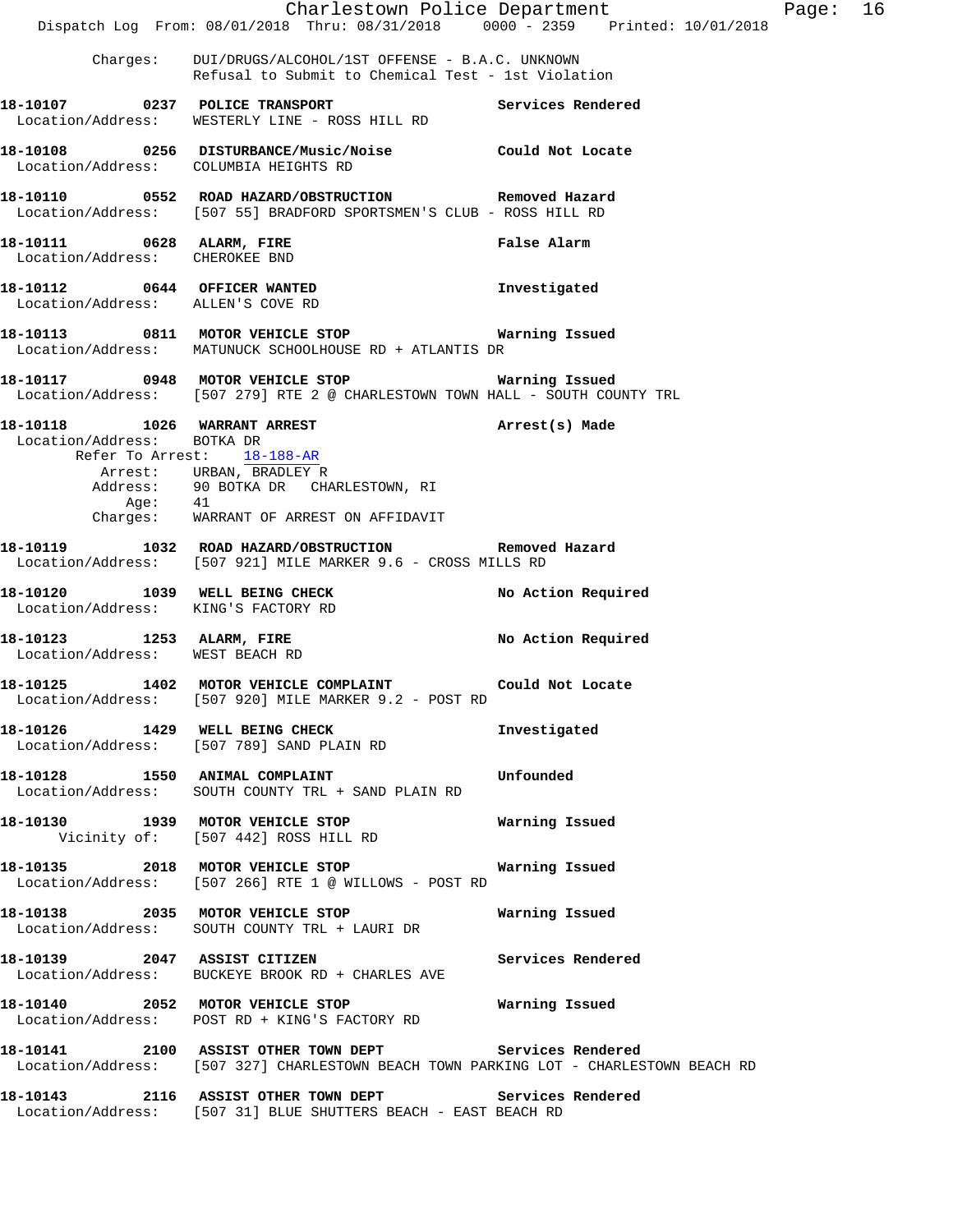|                                                             | Dispatch Log From: 08/01/2018 Thru: 08/31/2018 0000 - 2359 Printed: 10/01/2018                                                                       | Charlestown Police Department | Page: 16 |  |
|-------------------------------------------------------------|------------------------------------------------------------------------------------------------------------------------------------------------------|-------------------------------|----------|--|
|                                                             | Charges: DUI/DRUGS/ALCOHOL/1ST OFFENSE - B.A.C. UNKNOWN<br>Refusal to Submit to Chemical Test - 1st Violation                                        |                               |          |  |
| 18-10107 0237 POLICE TRANSPORT                              | Location/Address: WESTERLY LINE - ROSS HILL RD                                                                                                       | Services Rendered             |          |  |
|                                                             | 18-10108  0256  DISTURBANCE/Music/Noise  Could Not Locate  Location/Address:  COLUMBIA HEIGHTS RD                                                    |                               |          |  |
|                                                             | 18-10110 0552 ROAD HAZARD/OBSTRUCTION Removed Hazard<br>Location/Address: [507 55] BRADFORD SPORTSMEN'S CLUB - ROSS HILL RD                          |                               |          |  |
| 18-10111 0628 ALARM, FIRE<br>Location/Address: CHEROKEE BND |                                                                                                                                                      | False Alarm                   |          |  |
| Location/Address: ALLEN'S COVE RD                           | 18-10112 0644 OFFICER WANTED                                                                                                                         | Investigated                  |          |  |
|                                                             | 18-10113 0811 MOTOR VEHICLE STOP 60 Warning Issued<br>Location/Address: MATUNUCK SCHOOLHOUSE RD + ATLANTIS DR                                        |                               |          |  |
|                                                             | 18-10117 0948 MOTOR VEHICLE STOP <b>WATNING ISSUED</b><br>Location/Address: [507 279] RTE 2 @ CHARLESTOWN TOWN HALL - SOUTH COUNTY TRL               |                               |          |  |
| Location/Address: BOTKA DR                                  | 18-10118    1026    MARRANT ARREST                                                                                                                   | Arrest(s) Made                |          |  |
|                                                             | Refer To Arrest: 18-188-AR<br>Arrest: URBAN, BRADLEY R<br>Address: 90 BOTKA DR CHARLESTOWN, RI<br>Age: 41<br>Charges: WARRANT OF ARREST ON AFFIDAVIT |                               |          |  |
|                                                             | 18-10119 1032 ROAD HAZARD/OBSTRUCTION Removed Hazard<br>Location/Address: [507 921] MILE MARKER 9.6 - CROSS MILLS RD                                 |                               |          |  |
| Location/Address: KING'S FACTORY RD                         | 18-10120 1039 WELL BEING CHECK                                                                                                                       | No Action Required            |          |  |
| Location/Address: WEST BEACH RD                             | 18-10123 1253 ALARM, FIRE                                                                                                                            | No Action Required            |          |  |
|                                                             | 18-10125 1402 MOTOR VEHICLE COMPLAINT<br>Location/Address: [507 920] MILE MARKER 9.2 - POST RD                                                       | Could Not Locate              |          |  |
|                                                             | 18-10126 1429 WELL BEING CHECK<br>Location/Address: [507 789] SAND PLAIN RD                                                                          | Investigated                  |          |  |
|                                                             | 18-10128 1550 ANIMAL COMPLAINT 18-10128 Unfounded<br>Location/Address: SOUTH COUNTY TRL + SAND PLAIN RD                                              |                               |          |  |
|                                                             | 18-10130 1939 MOTOR VEHICLE STOP Warning Issued<br>Vicinity of: [507 442] ROSS HILL RD                                                               |                               |          |  |
|                                                             | 18-10135 2018 MOTOR VEHICLE STOP 6 Warning Issued<br>Location/Address: [507 266] RTE 1 @ WILLOWS - POST RD                                           |                               |          |  |
|                                                             | Location/Address: SOUTH COUNTY TRL + LAURI DR                                                                                                        |                               |          |  |
|                                                             | 18-10139 2047 ASSIST CITIZEN<br>Location/Address: BUCKEYE BROOK RD + CHARLES AVE                                                                     | Services Rendered             |          |  |
|                                                             | 18-10140  2052 MOTOR VEHICLE STOP <b>Warning Issued</b><br>Location/Address: POST RD + KING'S FACTORY RD                                             |                               |          |  |
|                                                             | 18-10141 2100 ASSIST OTHER TOWN DEPT Services Rendered<br>Location/Address: [507 327] CHARLESTOWN BEACH TOWN PARKING LOT - CHARLESTOWN BEACH RD      |                               |          |  |
|                                                             | 18-10143 2116 ASSIST OTHER TOWN DEPT Services Rendered<br>Location/Address: [507 31] BLUE SHUTTERS BEACH - EAST BEACH RD                             |                               |          |  |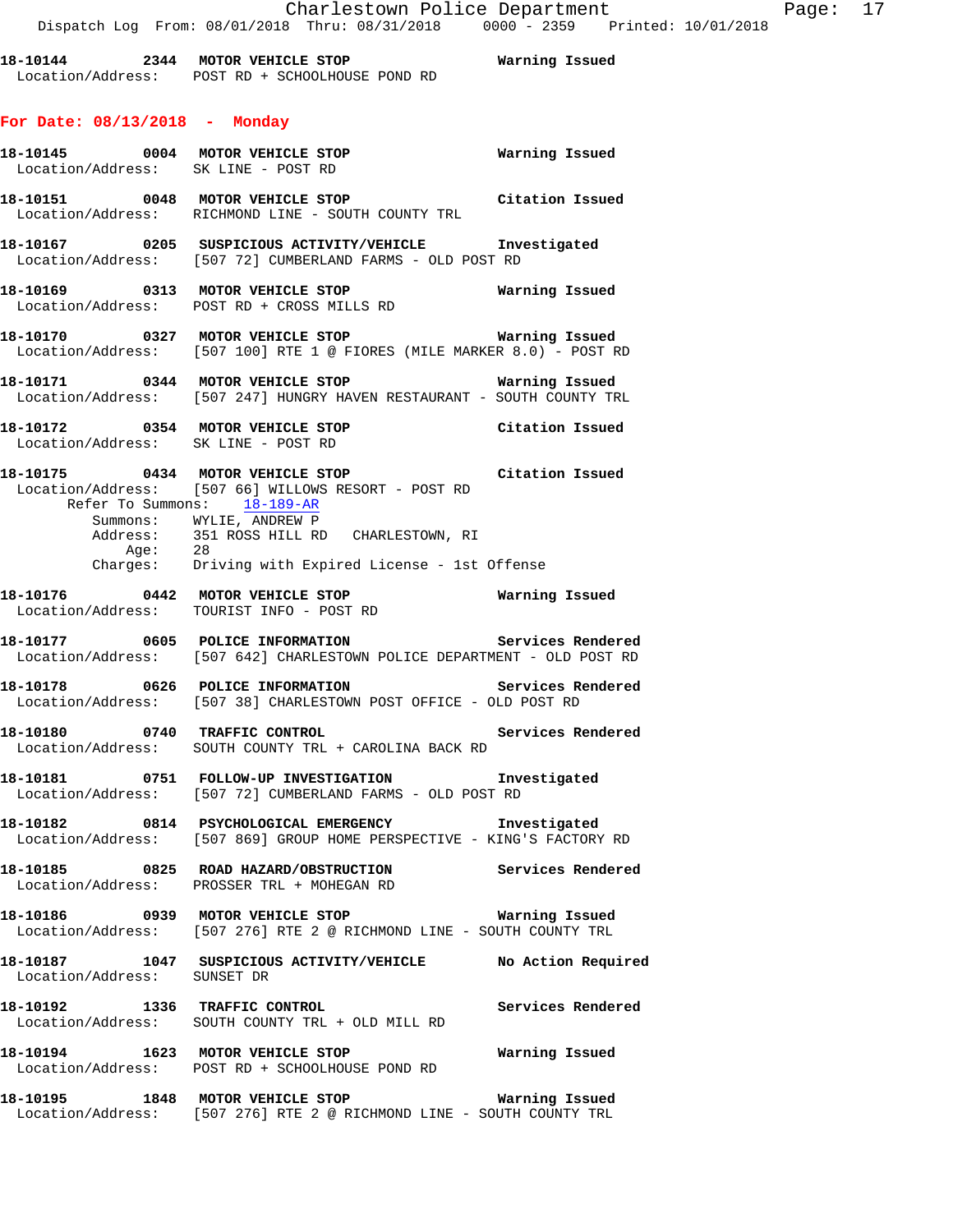**18-10144 2344 MOTOR VEHICLE STOP Warning Issued**  Location/Address: POST RD + SCHOOLHOUSE POND RD

## **For Date: 08/13/2018 - Monday**

|                                  | Location/Address: SK LINE - POST RD                                                                                                     |                    |
|----------------------------------|-----------------------------------------------------------------------------------------------------------------------------------------|--------------------|
|                                  | 18-10151 0048 MOTOR VEHICLE STOP<br>Location/Address: RICHMOND LINE - SOUTH COUNTY TRL                                                  | Citation Issued    |
|                                  | 18-10167 0205 SUSPICIOUS ACTIVITY/VEHICLE Investigated<br>Location/Address: [507 72] CUMBERLAND FARMS - OLD POST RD                     |                    |
|                                  | 18-10169 0313 MOTOR VEHICLE STOP Warning Issued<br>Location/Address: POST RD + CROSS MILLS RD                                           |                    |
|                                  | <b>18-10170</b> 0327 MOTOR VEHICLE STOP <b>Warning Issued</b><br>Location/Address: [507 100] RTE 1 @ FIORES (MILE MARKER 8.0) - POST RD |                    |
|                                  | 18-10171 0344 MOTOR VEHICLE STOP <b>Warning Issued</b><br>Location/Address: [507 247] HUNGRY HAVEN RESTAURANT - SOUTH COUNTY TRL        |                    |
|                                  | 18-10172   0354   MOTOR VEHICLE STOP   Citation Issued<br>Location/Address:   SK LINE - POST RD                                         |                    |
| Refer To Summons: 18-189-AR      | 18-10175 0434 MOTOR VEHICLE STOP <b>18-10175</b> Citation Issued<br>Location/Address: [507 66] WILLOWS RESORT - POST RD                 |                    |
|                                  | Summons: WYLIE, ANDREW P<br>Address: 351 ROSS HILL RD CHARLESTOWN, RI<br>Age: 28<br>Charges: Driving with Expired License - 1st Offense |                    |
|                                  |                                                                                                                                         |                    |
|                                  | 18-10176   0442   MOTOR VEHICLE STOP   UNITALLY   Marning Issued   Location/Address:   TOURIST INFO - POST RD                           |                    |
|                                  | Location/Address: [507 642] CHARLESTOWN POLICE DEPARTMENT - OLD POST RD                                                                 |                    |
|                                  | 18-10178 0626 POLICE INFORMATION Services Rendered<br>Location/Address: [507 38] CHARLESTOWN POST OFFICE - OLD POST RD                  |                    |
|                                  | Location/Address: SOUTH COUNTY TRL + CAROLINA BACK RD                                                                                   |                    |
|                                  | 18-10181 0751 FOLLOW-UP INVESTIGATION 1nvestigated<br>Location/Address: [507 72] CUMBERLAND FARMS - OLD POST RD                         |                    |
|                                  | 18-10182 0814 PSYCHOLOGICAL EMERGENCY 1nvestigated<br>Location/Address: [507 869] GROUP HOME PERSPECTIVE - KING'S FACTORY RD            |                    |
|                                  | 18-10185 		 0825 ROAD HAZARD/OBSTRUCTION Services Rendered<br>Location/Address: PROSSER TRL + MOHEGAN RD                                |                    |
|                                  | 18-10186 0939 MOTOR VEHICLE STOP<br>Location/Address: [507 276] RTE 2 @ RICHMOND LINE - SOUTH COUNTY TRL                                | Warning Issued     |
|                                  |                                                                                                                                         | No Action Required |
| 18-10192 1336 TRAFFIC CONTROL    | Location/Address: SOUTH COUNTY TRL + OLD MILL RD                                                                                        | Services Rendered  |
| 18-10194 1623 MOTOR VEHICLE STOP | Location/Address: POST RD + SCHOOLHOUSE POND RD                                                                                         | Warning Issued     |
| 18-10195 1848 MOTOR VEHICLE STOP |                                                                                                                                         | Warning Issued     |

Location/Address: [507 276] RTE 2 @ RICHMOND LINE - SOUTH COUNTY TRL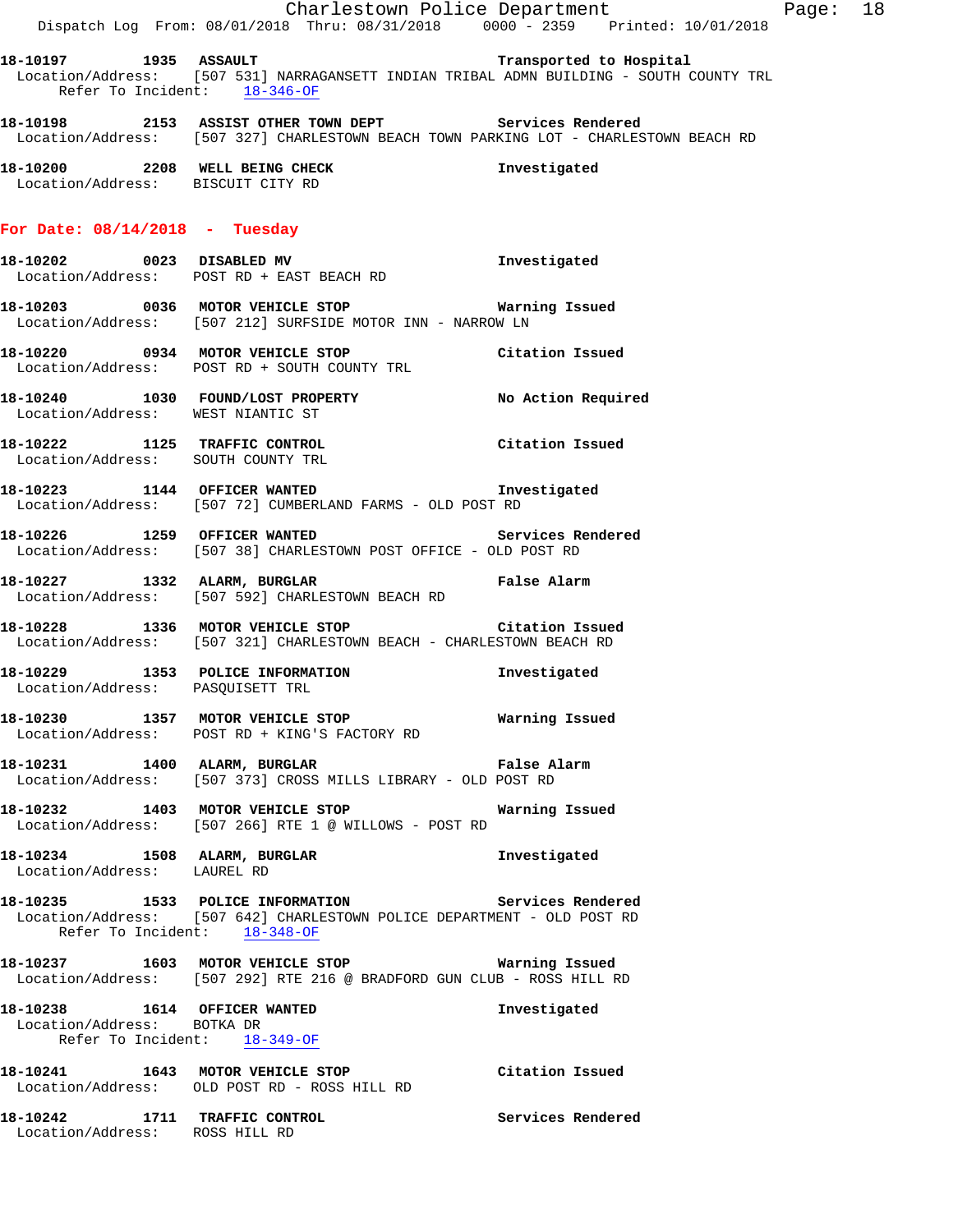|                                                                                            | Charlestown Police Department Page: 18<br>Dispatch Log From: 08/01/2018 Thru: 08/31/2018 0000 - 2359 Printed: 10/01/2018                        |                   |  |
|--------------------------------------------------------------------------------------------|-------------------------------------------------------------------------------------------------------------------------------------------------|-------------------|--|
| Refer To Incident: 18-346-OF                                                               | Location/Address: [507 531] NARRAGANSETT INDIAN TRIBAL ADMN BUILDING - SOUTH COUNTY TRL                                                         |                   |  |
|                                                                                            | 18-10198 2153 ASSIST OTHER TOWN DEPT Services Rendered<br>Location/Address: [507 327] CHARLESTOWN BEACH TOWN PARKING LOT - CHARLESTOWN BEACH RD |                   |  |
| Location/Address: BISCUIT CITY RD                                                          | 18-10200 2208 WELL BEING CHECK 1 Threstigated                                                                                                   |                   |  |
| For Date: $08/14/2018$ - Tuesday                                                           |                                                                                                                                                 |                   |  |
|                                                                                            | 18-10202 0023 DISABLED MV<br>Location/Address: POST RD + EAST BEACH RD                                                                          | Investigated      |  |
|                                                                                            | 18-10203 0036 MOTOR VEHICLE STOP <b>Marning Issued</b><br>Location/Address: [507 212] SURFSIDE MOTOR INN - NARROW LN                            |                   |  |
|                                                                                            | 18-10220 0934 MOTOR VEHICLE STOP Citation Issued<br>Location/Address: POST RD + SOUTH COUNTY TRL                                                |                   |  |
| Location/Address: WEST NIANTIC ST                                                          | 18-10240 1030 FOUND/LOST PROPERTY No Action Required                                                                                            |                   |  |
|                                                                                            | 18-10222 1125 TRAFFIC CONTROL<br>Location/Address: SOUTH COUNTY TRL                                                                             | Citation Issued   |  |
|                                                                                            | 18-10223 1144 OFFICER WANTED<br>Location/Address: [507 72] CUMBERLAND FARMS - OLD POST RD                                                       | Investigated      |  |
|                                                                                            | 18-10226 1259 OFFICER WANTED Services Rendered Location/Address: [507 38] CHARLESTOWN POST OFFICE - OLD POST RD                                 |                   |  |
|                                                                                            | 18-10227 1332 ALARM, BURGLAR 1999 1999 Palse Alarm<br>Location/Address: [507 592] CHARLESTOWN BEACH RD                                          |                   |  |
|                                                                                            | 18-10228 1336 MOTOR VEHICLE STOP Citation Issued<br>Location/Address: [507 321] CHARLESTOWN BEACH - CHARLESTOWN BEACH RD                        |                   |  |
| 18-10229 1353 POLICE INFORMATION<br>Location/Address: PASQUISETT TRL                       |                                                                                                                                                 | Investigated      |  |
|                                                                                            | 18-10230 1357 MOTOR VEHICLE STOP<br>Location/Address: POST RD + KING'S FACTORY RD                                                               | Warning Issued    |  |
|                                                                                            | 18-10231 1400 ALARM, BURGLAR<br>Location/Address: [507 373] CROSS MILLS LIBRARY - OLD POST RD                                                   | False Alarm       |  |
|                                                                                            | 18-10232 1403 MOTOR VEHICLE STOP 6 Warning Issued<br>Location/Address: [507 266] RTE 1 @ WILLOWS - POST RD                                      |                   |  |
| Location/Address: LAUREL RD                                                                | 18-10234 1508 ALARM, BURGLAR                                                                                                                    | Investigated      |  |
| Refer To Incident: 18-348-OF                                                               | 18-10235 1533 POLICE INFORMATION Services Rendered<br>Location/Address: [507 642] CHARLESTOWN POLICE DEPARTMENT - OLD POST RD                   |                   |  |
|                                                                                            | 18-10237 1603 MOTOR VEHICLE STOP 5 Warning Issued<br>Location/Address: [507 292] RTE 216 @ BRADFORD GUN CLUB - ROSS HILL RD                     |                   |  |
| 18-10238 1614 OFFICER WANTED<br>Location/Address: BOTKA DR<br>Refer To Incident: 18-349-OF |                                                                                                                                                 | Investigated      |  |
|                                                                                            | 18-10241 1643 MOTOR VEHICLE STOP<br>Location/Address: OLD POST RD - ROSS HILL RD                                                                | Citation Issued   |  |
| Location/Address: ROSS HILL RD                                                             | 18-10242 1711 TRAFFIC CONTROL                                                                                                                   | Services Rendered |  |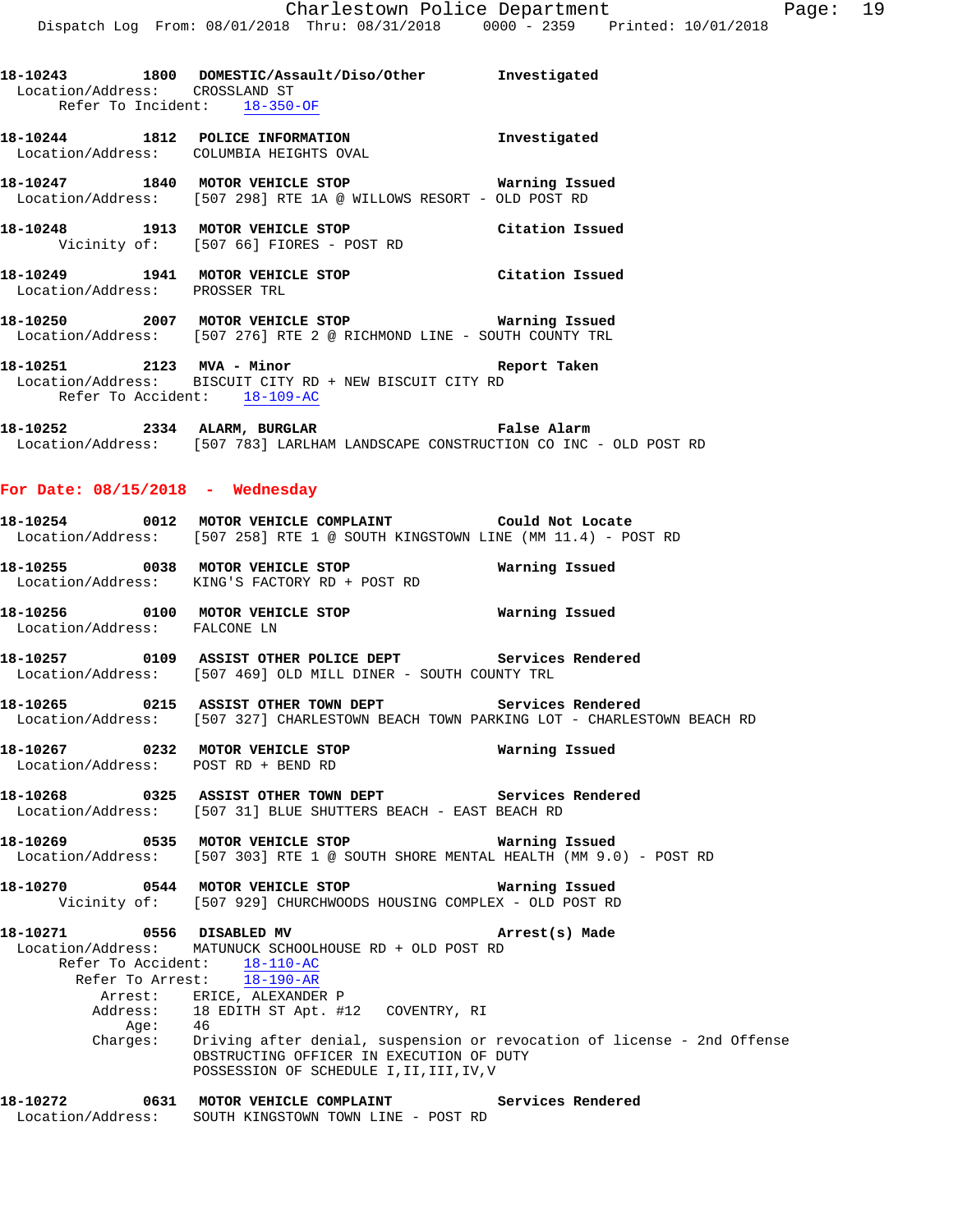| Location/Address: CROSSLAND ST                |      | 18-10243 1800 DOMESTIC/Assault/Diso/Other Investigated                                                                                                               |                |
|-----------------------------------------------|------|----------------------------------------------------------------------------------------------------------------------------------------------------------------------|----------------|
| Refer To Incident: 18-350-OF                  |      |                                                                                                                                                                      |                |
|                                               |      | 18-10244 1812 POLICE INFORMATION Investigated<br>Location/Address: COLUMBIA HEIGHTS OVAL                                                                             |                |
|                                               |      | 18-10247 1840 MOTOR VEHICLE STOP <b>WATER WATER</b><br>Location/Address: [507 298] RTE 1A @ WILLOWS RESORT - OLD POST RD                                             |                |
|                                               |      | 18-10248 1913 MOTOR VEHICLE STOP Citation Issued<br>Vicinity of: [507 66] FIORES - POST RD                                                                           |                |
| Location/Address: PROSSER TRL                 |      | 18-10249 1941 MOTOR VEHICLE STOP Citation Issued                                                                                                                     |                |
|                                               |      | 18-10250 2007 MOTOR VEHICLE STOP 6 Warning Issued<br>Location/Address: [507 276] RTE 2 @ RICHMOND LINE - SOUTH COUNTY TRL                                            |                |
| Refer To Accident: 18-109-AC                  |      | 18-10251 2123 MVA - Minor<br>Location/Address: BISCUIT CITY RD + NEW BISCUIT CITY RD<br>Report Taken                                                                 |                |
|                                               |      | 18-10252 2334 ALARM, BURGLAR 2008 Palse Alarm<br>Location/Address: [507 783] LARLHAM LANDSCAPE CONSTRUCTION CO INC - OLD POST RD                                     |                |
| For Date: $08/15/2018$ - Wednesday            |      |                                                                                                                                                                      |                |
|                                               |      | 18-10254 0012 MOTOR VEHICLE COMPLAINT Could Not Locate<br>Location/Address: [507 258] RTE 1 @ SOUTH KINGSTOWN LINE (MM 11.4) - POST RD                               |                |
|                                               |      | Location/Address: KING'S FACTORY RD + POST RD                                                                                                                        |                |
| Location/Address: FALCONE LN                  |      |                                                                                                                                                                      |                |
|                                               |      | 18-10257 0109 ASSIST OTHER POLICE DEPT Services Rendered<br>Location/Address: [507 469] OLD MILL DINER - SOUTH COUNTY TRL                                            |                |
|                                               |      | 18-10265 0215 ASSIST OTHER TOWN DEPT Services Rendered<br>Location/Address: [507 327] CHARLESTOWN BEACH TOWN PARKING LOT - CHARLESTOWN BEACH RD                      |                |
|                                               |      | 18-10267 0232 MOTOR VEHICLE STOP<br>Location/Address: POST RD + BEND RD                                                                                              | Warning Issued |
|                                               |      | 18-10268 		 0325 ASSIST OTHER TOWN DEPT 		 Services Rendered<br>Location/Address: [507 31] BLUE SHUTTERS BEACH - EAST BEACH RD                                       |                |
| 18-10269                                      |      | 18-10269      0535    MOTOR VEHICLE STOP             Warning Issued<br>Location/Address:   [507 303] RTE 1 @ SOUTH SHORE MENTAL HEALTH (MM 9.0) - POST RD            |                |
|                                               |      | 18-10270 0544 MOTOR VEHICLE STOP<br>Vicinity of: [507 929] CHURCHWOODS HOUSING COMPLEX - OLD POST RD                                                                 | Warning Issued |
| 18-10271 0556 DISABLED MV<br>Refer To Arrest: |      | Location/Address: MATUNUCK SCHOOLHOUSE RD + OLD POST RD<br>Refer To Accident: $\frac{18-110-AC}{1}$<br>$18 - 190 - AR$                                               | Arrest(s) Made |
|                                               | Age: | Arrest: ERICE, ALEXANDER P<br>Address: 18 EDITH ST Apt. #12 COVENTRY, RI<br>- 46<br>Charges: Driving after denial, suspension or revocation of license - 2nd Offense |                |
|                                               |      | OBSTRUCTING OFFICER IN EXECUTION OF DUTY<br>POSSESSION OF SCHEDULE I, II, III, IV, V                                                                                 |                |
|                                               |      | 18-10272 0631 MOTOR VEHICLE COMPLAINT Services Rendered<br>Location/Address: SOUTH KINGSTOWN TOWN LINE - POST RD                                                     |                |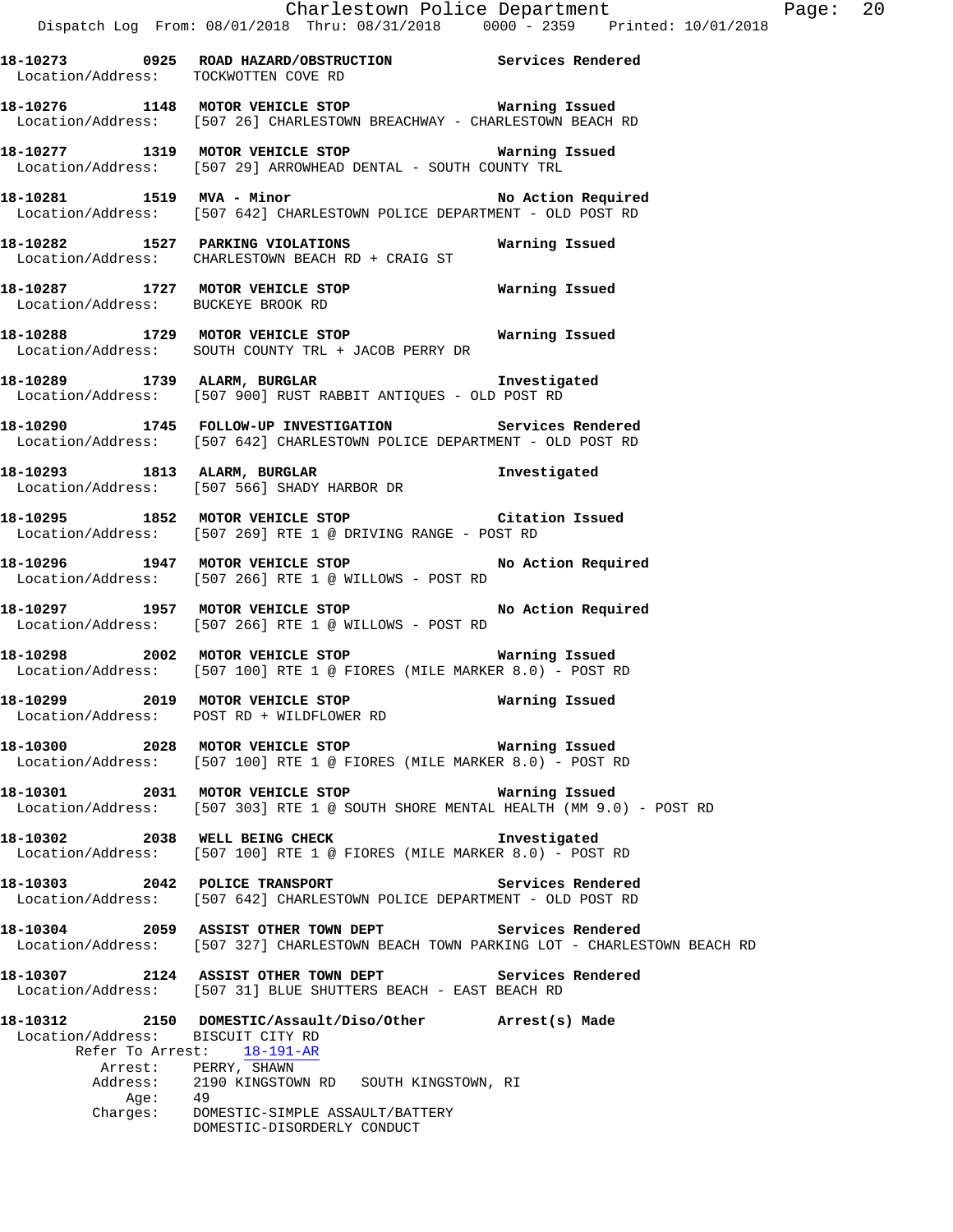**18-10273 0925 ROAD HAZARD/OBSTRUCTION Services Rendered**  Location/Address: TOCKWOTTEN COVE RD

**18-10276 1148 MOTOR VEHICLE STOP Warning Issued**  Location/Address: [507 26] CHARLESTOWN BREACHWAY - CHARLESTOWN BEACH RD

**18-10277 1319 MOTOR VEHICLE STOP Warning Issued**  Location/Address: [507 29] ARROWHEAD DENTAL - SOUTH COUNTY TRL

18-10281 1519 MVA - Minor **No Action Required** Location/Address: [507 642] CHARLESTOWN POLICE DEPARTMENT - OLD POST RD

**18-10282 1527 PARKING VIOLATIONS Warning Issued**  Location/Address: CHARLESTOWN BEACH RD + CRAIG ST

**18-10287 1727 MOTOR VEHICLE STOP Warning Issued**  Location/Address: BUCKEYE BROOK RD

**18-10288 1729 MOTOR VEHICLE STOP Warning Issued**  Location/Address: SOUTH COUNTY TRL + JACOB PERRY DR

**18-10289 1739 ALARM, BURGLAR Investigated**  Location/Address: [507 900] RUST RABBIT ANTIQUES - OLD POST RD

**18-10290 1745 FOLLOW-UP INVESTIGATION Services Rendered**  Location/Address: [507 642] CHARLESTOWN POLICE DEPARTMENT - OLD POST RD

**18-10293 1813 ALARM, BURGLAR Investigated**  Location/Address: [507 566] SHADY HARBOR DR

**18-10295 1852 MOTOR VEHICLE STOP Citation Issued**  Location/Address: [507 269] RTE 1 @ DRIVING RANGE - POST RD

**18-10296 1947 MOTOR VEHICLE STOP No Action Required**  Location/Address: [507 266] RTE 1 @ WILLOWS - POST RD

**18-10297 1957 MOTOR VEHICLE STOP No Action Required**  Location/Address: [507 266] RTE 1 @ WILLOWS - POST RD

**18-10298 2002 MOTOR VEHICLE STOP Warning Issued**  Location/Address: [507 100] RTE 1 @ FIORES (MILE MARKER 8.0) - POST RD

**18-10299 2019 MOTOR VEHICLE STOP Warning Issued**  Location/Address: POST RD + WILDFLOWER RD

**18-10300 2028 MOTOR VEHICLE STOP Warning Issued**  Location/Address: [507 100] RTE 1 @ FIORES (MILE MARKER 8.0) - POST RD

**18-10301 2031 MOTOR VEHICLE STOP Warning Issued**  Location/Address: [507 303] RTE 1 @ SOUTH SHORE MENTAL HEALTH (MM 9.0) - POST RD

**18-10302 2038 WELL BEING CHECK Investigated**  Location/Address: [507 100] RTE 1 @ FIORES (MILE MARKER 8.0) - POST RD

**18-10303 2042 POLICE TRANSPORT Services Rendered**  Location/Address: [507 642] CHARLESTOWN POLICE DEPARTMENT - OLD POST RD

**18-10304 2059 ASSIST OTHER TOWN DEPT Services Rendered**  Location/Address: [507 327] CHARLESTOWN BEACH TOWN PARKING LOT - CHARLESTOWN BEACH RD

**18-10307 2124 ASSIST OTHER TOWN DEPT Services Rendered**  Location/Address: [507 31] BLUE SHUTTERS BEACH - EAST BEACH RD

**18-10312 2150 DOMESTIC/Assault/Diso/Other Arrest(s) Made**  Location/Address: BISCUIT CITY RD Refer To Arrest: 18-191-AR Arrest: PERRY, SHAWN<br>Address: 2190 KINGSTOW 2190 KINGSTOWN RD SOUTH KINGSTOWN, RI Age: 49 Charges: DOMESTIC-SIMPLE ASSAULT/BATTERY DOMESTIC-DISORDERLY CONDUCT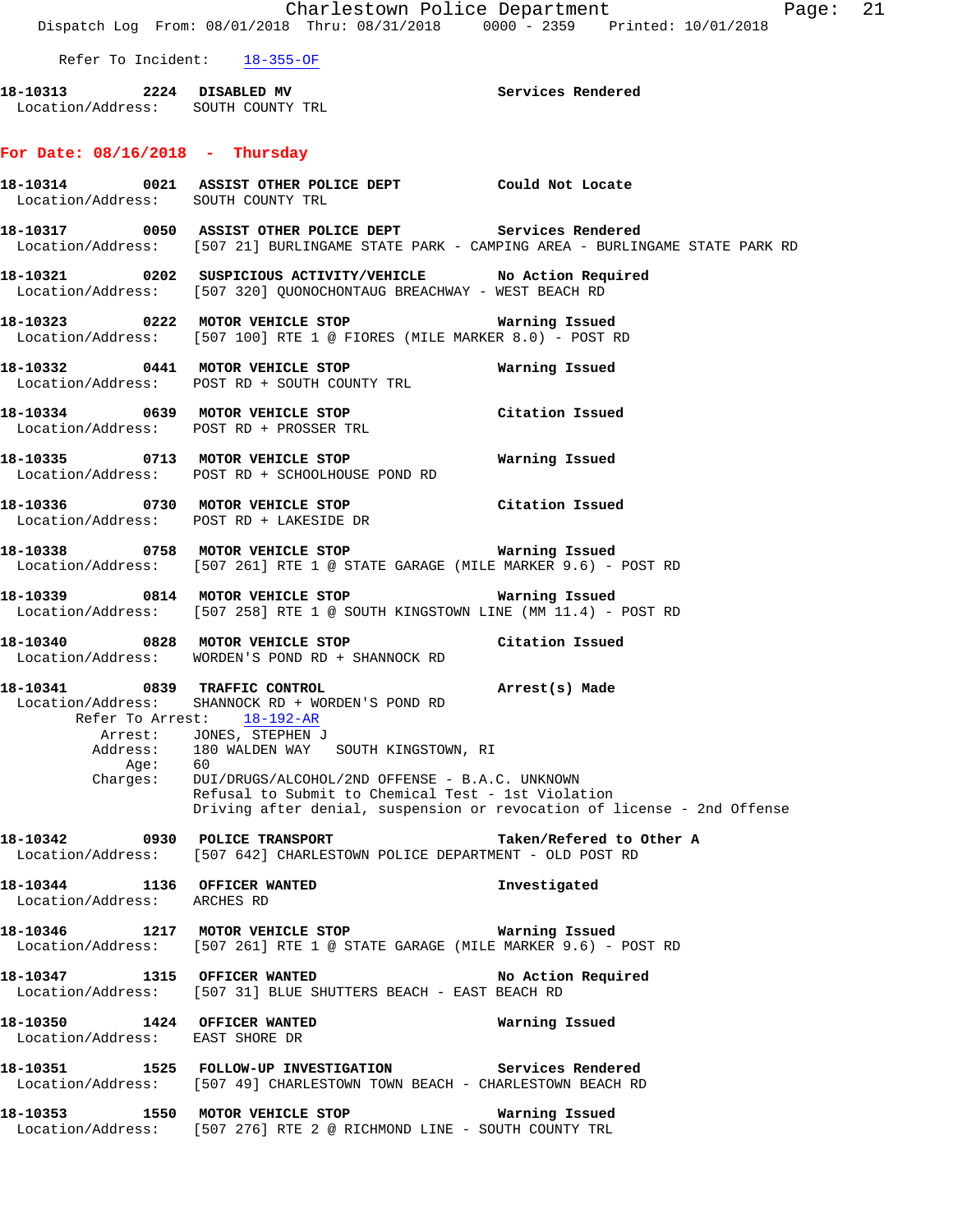Charlestown Police Department Fage: 21 Dispatch Log From: 08/01/2018 Thru: 08/31/2018 0000 - 2359 Printed: 10/01/2018 Refer To Incident: 18-355-OF **18-10313 2224 DISABLED MV Services Rendered**  Location/Address: SOUTH COUNTY TRL **For Date: 08/16/2018 - Thursday 18-10314 0021 ASSIST OTHER POLICE DEPT Could Not Locate**  Location/Address: SOUTH COUNTY TRL **18-10317 0050 ASSIST OTHER POLICE DEPT Services Rendered**  Location/Address: [507 21] BURLINGAME STATE PARK - CAMPING AREA - BURLINGAME STATE PARK RD **18-10321 0202 SUSPICIOUS ACTIVITY/VEHICLE No Action Required**  Location/Address: [507 320] QUONOCHONTAUG BREACHWAY - WEST BEACH RD **18-10323 0222 MOTOR VEHICLE STOP Warning Issued**  Location/Address: [507 100] RTE 1 @ FIORES (MILE MARKER 8.0) - POST RD **18-10332 0441 MOTOR VEHICLE STOP Warning Issued**  Location/Address: POST RD + SOUTH COUNTY TRL **18-10334 0639 MOTOR VEHICLE STOP Citation Issued**  Location/Address: POST RD + PROSSER TRL **18-10335 0713 MOTOR VEHICLE STOP Warning Issued**  Location/Address: POST RD + SCHOOLHOUSE POND RD **18-10336 0730 MOTOR VEHICLE STOP Citation Issued**  Location/Address: POST RD + LAKESIDE DR **18-10338 0758 MOTOR VEHICLE STOP Warning Issued**  Location/Address: [507 261] RTE 1 @ STATE GARAGE (MILE MARKER 9.6) - POST RD **18-10339 0814 MOTOR VEHICLE STOP Warning Issued**  Location/Address: [507 258] RTE 1 @ SOUTH KINGSTOWN LINE (MM 11.4) - POST RD **18-10340 0828 MOTOR VEHICLE STOP Citation Issued**  Location/Address: WORDEN'S POND RD + SHANNOCK RD **18-10341 0839 TRAFFIC CONTROL Arrest(s) Made**  Location/Address: SHANNOCK RD + WORDEN'S POND RD Refer To Arrest: 18-192-AR Arrest: JONES, STEPHEN J Address: 180 WALDEN WAY SOUTH KINGSTOWN, RI<br>Age: 60 Age:<br>:Charges DUI/DRUGS/ALCOHOL/2ND OFFENSE - B.A.C. UNKNOWN Refusal to Submit to Chemical Test - 1st Violation Driving after denial, suspension or revocation of license - 2nd Offense **18-10342 0930 POLICE TRANSPORT Taken/Refered to Other A**  Location/Address: [507 642] CHARLESTOWN POLICE DEPARTMENT - OLD POST RD **18-10344 1136 OFFICER WANTED Investigated**  Location/Address: ARCHES RD **18-10346 1217 MOTOR VEHICLE STOP Warning Issued**  Location/Address: [507 261] RTE 1 @ STATE GARAGE (MILE MARKER 9.6) - POST RD **18-10347 1315 OFFICER WANTED No Action Required**  Location/Address: [507 31] BLUE SHUTTERS BEACH - EAST BEACH RD **18-10350 1424 OFFICER WANTED Warning Issued**  Location/Address: EAST SHORE DR **18-10351 1525 FOLLOW-UP INVESTIGATION Services Rendered**  Location/Address: [507 49] CHARLESTOWN TOWN BEACH - CHARLESTOWN BEACH RD **18-10353 1550 MOTOR VEHICLE STOP Warning Issued** 

Location/Address: [507 276] RTE 2 @ RICHMOND LINE - SOUTH COUNTY TRL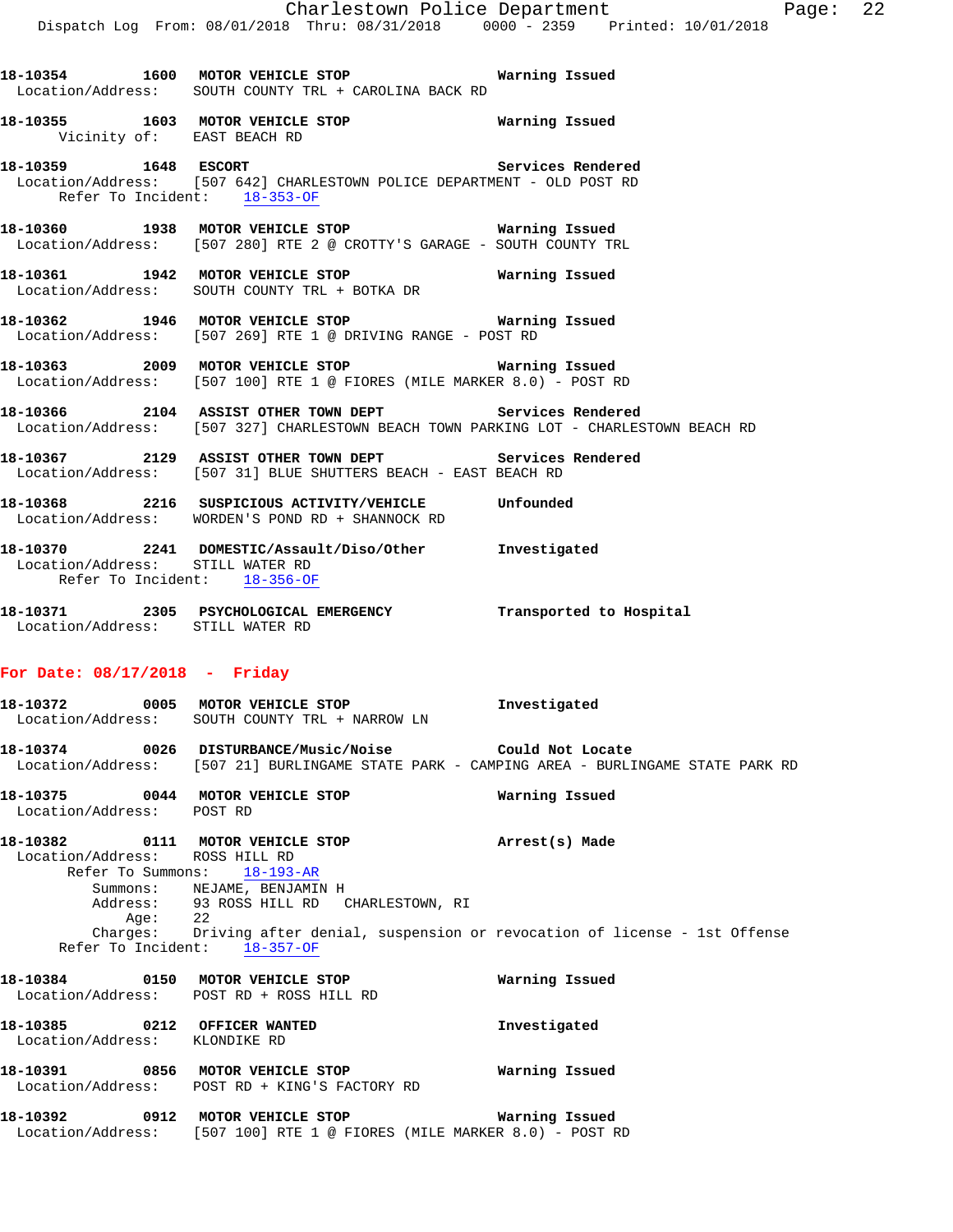**18-10354 1600 MOTOR VEHICLE STOP Warning Issued**  Location/Address: SOUTH COUNTY TRL + CAROLINA BACK RD

**18-10355 1603 MOTOR VEHICLE STOP Warning Issued**  Vicinity of: EAST BEACH RD

**18-10359 1648 ESCORT Services Rendered**  Location/Address: [507 642] CHARLESTOWN POLICE DEPARTMENT - OLD POST RD Refer To Incident: 18-353-OF

**18-10360 1938 MOTOR VEHICLE STOP Warning Issued**  Location/Address: [507 280] RTE 2 @ CROTTY'S GARAGE - SOUTH COUNTY TRL

**18-10361 1942 MOTOR VEHICLE STOP Warning Issued**  Location/Address: SOUTH COUNTY TRL + BOTKA DR

**18-10362 1946 MOTOR VEHICLE STOP Warning Issued**  Location/Address: [507 269] RTE 1 @ DRIVING RANGE - POST RD

**18-10363 2009 MOTOR VEHICLE STOP Warning Issued**  Location/Address: [507 100] RTE 1 @ FIORES (MILE MARKER 8.0) - POST RD

**18-10366 2104 ASSIST OTHER TOWN DEPT Services Rendered**  Location/Address: [507 327] CHARLESTOWN BEACH TOWN PARKING LOT - CHARLESTOWN BEACH RD

**18-10367 2129 ASSIST OTHER TOWN DEPT Services Rendered**  Location/Address: [507 31] BLUE SHUTTERS BEACH - EAST BEACH RD

**18-10368 2216 SUSPICIOUS ACTIVITY/VEHICLE Unfounded**  Location/Address: WORDEN'S POND RD + SHANNOCK RD

**18-10370 2241 DOMESTIC/Assault/Diso/Other Investigated**  Location/Address: STILL WATER RD Refer To Incident: 18-356-OF

**18-10371 2305 PSYCHOLOGICAL EMERGENCY Transported to Hospital**  Location/Address: STILL WATER RD

## **For Date: 08/17/2018 - Friday**

**18-10372 0005 MOTOR VEHICLE STOP Investigated**  Location/Address: SOUTH COUNTY TRL + NARROW LN **18-10374 0026 DISTURBANCE/Music/Noise Could Not Locate**  Location/Address: [507 21] BURLINGAME STATE PARK - CAMPING AREA - BURLINGAME STATE PARK RD

**18-10375 0044 MOTOR VEHICLE STOP Warning Issued**  Location/Address: POST RD

**18-10382 0111 MOTOR VEHICLE STOP Arrest(s) Made**  Location/Address: ROSS HILL RD Refer To Summons: 18-193-AR Summons: NEJAME, BENJAMIN H Address: 93 ROSS HILL RD CHARLESTOWN, RI<br>Aqe: 22 Age: Charges: Driving after denial, suspension or revocation of license - 1st Offense

Refer To Incident: 18-357-OF

**18-10384 0150 MOTOR VEHICLE STOP Warning Issued**  Location/Address: POST RD + ROSS HILL RD **18-10385 0212 OFFICER WANTED Investigated** 

 Location/Address: KLONDIKE RD **18-10391 0856 MOTOR VEHICLE STOP Warning Issued**  Location/Address: POST RD + KING'S FACTORY RD

**18-10392 0912 MOTOR VEHICLE STOP Warning Issued**  Location/Address: [507 100] RTE 1 @ FIORES (MILE MARKER 8.0) - POST RD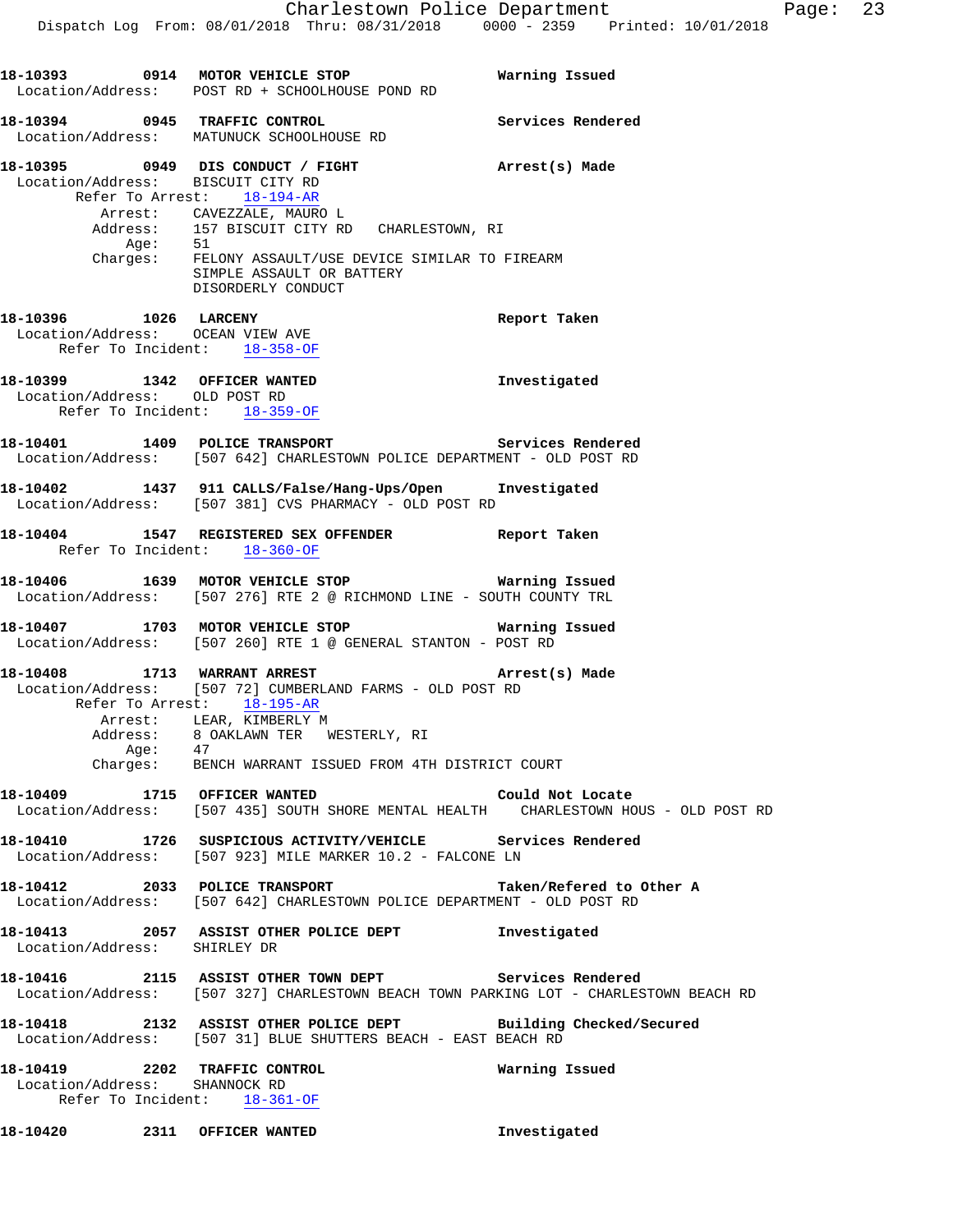|                              | 18-10393 0914 MOTOR VEHICLE STOP                                                                                                                                                                                                                                        | Warning Issued           |
|------------------------------|-------------------------------------------------------------------------------------------------------------------------------------------------------------------------------------------------------------------------------------------------------------------------|--------------------------|
|                              | Location/Address: POST RD + SCHOOLHOUSE POND RD                                                                                                                                                                                                                         |                          |
|                              | 18-10394 0945 TRAFFIC CONTROL<br>Location/Address: MATUNUCK SCHOOLHOUSE RD                                                                                                                                                                                              | Services Rendered        |
|                              | 18-10395 0949 DIS CONDUCT / FIGHT Arrest(s) Made<br>Location/Address: BISCUIT CITY RD                                                                                                                                                                                   |                          |
|                              | Refer To Arrest: 18-194-AR<br>Arrest: CAVEZZALE, MAURO L                                                                                                                                                                                                                |                          |
|                              | Address: 157 BISCUIT CITY RD CHARLESTOWN, RI<br>Age: 51<br>Charges: FELONY ASSAULT/USE DEVICE SIMILAR TO FIREARM                                                                                                                                                        |                          |
|                              | SIMPLE ASSAULT OR BATTERY<br>DISORDERLY CONDUCT                                                                                                                                                                                                                         |                          |
|                              | 18-10396    1026 LARCENY<br>Location/Address: OCEAN VIEW AVE<br>Refer To Incident: 18-358-OF                                                                                                                                                                            | Report Taken             |
|                              | 18-10399 1342 OFFICER WANTED<br>Location/Address: OLD POST RD<br>Refer To Incident: 18-359-OF                                                                                                                                                                           | Investigated             |
|                              | 18-10401 1409 POLICE TRANSPORT Services Rendered<br>Location/Address: [507 642] CHARLESTOWN POLICE DEPARTMENT - OLD POST RD                                                                                                                                             |                          |
|                              | 18-10402 1437 911 CALLS/False/Hang-Ups/Open Investigated<br>Location/Address: [507 381] CVS PHARMACY - OLD POST RD                                                                                                                                                      |                          |
|                              | 18-10404 1547 REGISTERED SEX OFFENDER Report Taken<br>Refer To Incident: 18-360-OF                                                                                                                                                                                      |                          |
|                              | 18-10406 1639 MOTOR VEHICLE STOP 6 Warning Issued<br>Location/Address: [507 276] RTE 2 @ RICHMOND LINE - SOUTH COUNTY TRL                                                                                                                                               |                          |
|                              | 18-10407 1703 MOTOR VEHICLE STOP 6 Warning Issued<br>Location/Address: [507 260] RTE 1 @ GENERAL STANTON - POST RD                                                                                                                                                      |                          |
|                              | 18-10408 1713 WARRANT ARREST 2008 Arrest(s) Made<br>Location/Address: [507 72] CUMBERLAND FARMS - OLD POST RD<br>Refer To Arrest: 18-195-AR<br>Arrest: LEAR, KIMBERLY M<br>$\begin{tabular}{llll} Address: & 8 OAKLAWN TER & WESTERLY, RI \\ Age: & 47 & \end{tabular}$ |                          |
|                              | Charges: BENCH WARRANT ISSUED FROM 4TH DISTRICT COURT                                                                                                                                                                                                                   |                          |
|                              | 18-10409 1715 OFFICER WANTED Could Not Locate<br>Location/Address: [507 435] SOUTH SHORE MENTAL HEALTH CHARLESTOWN HOUS - OLD POST RD                                                                                                                                   |                          |
|                              | 18-10410 1726 SUSPICIOUS ACTIVITY/VEHICLE Services Rendered<br>Location/Address: [507 923] MILE MARKER 10.2 - FALCONE LN                                                                                                                                                |                          |
|                              | 18-10412 2033 POLICE TRANSPORT<br>Location/Address: [507 642] CHARLESTOWN POLICE DEPARTMENT - OLD POST RD                                                                                                                                                               | Taken/Refered to Other A |
| Location/Address: SHIRLEY DR | 18-10413 2057 ASSIST OTHER POLICE DEPT Threstigated                                                                                                                                                                                                                     |                          |
|                              | 18-10416  2115 ASSIST OTHER TOWN DEPT Services Rendered<br>Location/Address: [507 327] CHARLESTOWN BEACH TOWN PARKING LOT - CHARLESTOWN BEACH RD                                                                                                                        |                          |
|                              | 18-10418   2132   ASSIST OTHER POLICE DEPT   Building Checked/Secured<br>Location/Address: [507 31] BLUE SHUTTERS BEACH - EAST BEACH RD                                                                                                                                 |                          |
|                              | 18-10419 2202 TRAFFIC CONTROL<br>Location/Address: SHANNOCK RD<br>Refer To Incident: 18-361-OF                                                                                                                                                                          | Warning Issued           |
|                              | 18-10420 2311 OFFICER WANTED                                                                                                                                                                                                                                            | Investigated             |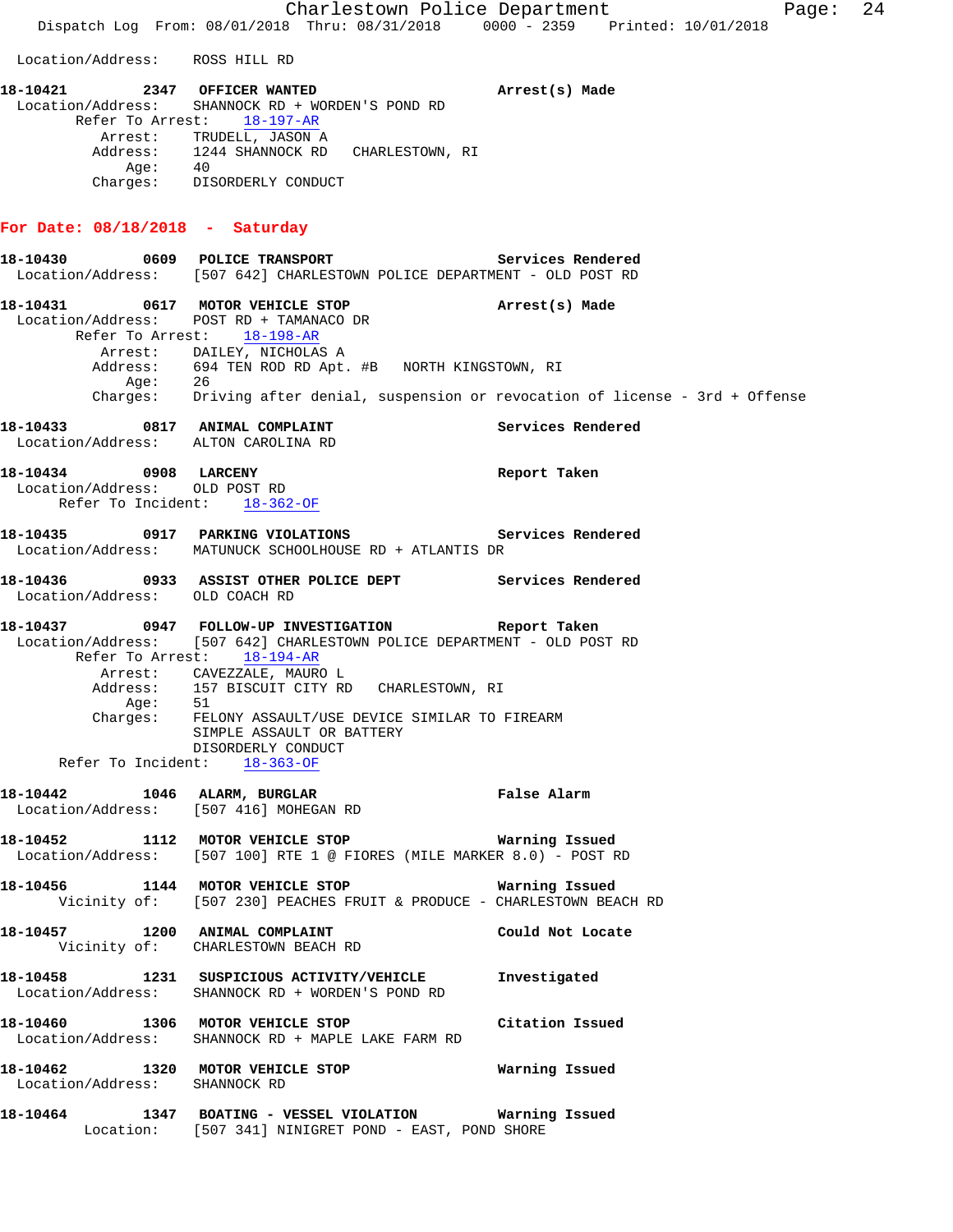Charlestown Police Department Fage: 24 Dispatch Log From: 08/01/2018 Thru: 08/31/2018 0000 - 2359 Printed: 10/01/2018 Location/Address: ROSS HILL RD **18-10421 2347 OFFICER WANTED Arrest(s) Made**  Location/Address: SHANNOCK RD + WORDEN'S POND RD Refer To Arrest: 18-197-AR Arrest: TRUDELL, JASON A Address: 1244 SHANNOCK RD CHARLESTOWN, RI Age: 40 Charges: DISORDERLY CONDUCT **For Date: 08/18/2018 - Saturday 18-10430 0609 POLICE TRANSPORT Services Rendered**  Location/Address: [507 642] CHARLESTOWN POLICE DEPARTMENT - OLD POST RD **18-10431 0617 MOTOR VEHICLE STOP Arrest(s) Made**  Location/Address: POST RD + TAMANACO DR Refer To Arrest: 18-198-AR Arrest: DAILEY, NICHOLAS A Address: 694 TEN ROD RD Apt. #B NORTH KINGSTOWN, RI Age: 26 Charges: Driving after denial, suspension or revocation of license - 3rd + Offense **18-10433 0817 ANIMAL COMPLAINT Services Rendered**  Location/Address: ALTON CAROLINA RD **18-10434 0908 LARCENY Report Taken**  Location/Address: OLD POST RD Refer To Incident: 18-362-OF **18-10435 0917 PARKING VIOLATIONS Services Rendered**  Location/Address: MATUNUCK SCHOOLHOUSE RD + ATLANTIS DR **18-10436 0933 ASSIST OTHER POLICE DEPT Services Rendered**  Location/Address: OLD COACH RD **18-10437 0947 FOLLOW-UP INVESTIGATION Report Taken**  Location/Address: [507 642] CHARLESTOWN POLICE DEPARTMENT - OLD POST RD Refer To Arrest: 18-194-AR Arrest: CAVEZZALE, MAURO L<br>Address: 157 BISCUIT CITY RD 157 BISCUIT CITY RD CHARLESTOWN, RI<br>51  $Age:$  Charges: FELONY ASSAULT/USE DEVICE SIMILAR TO FIREARM SIMPLE ASSAULT OR BATTERY DISORDERLY CONDUCT Refer To Incident: 18-363-OF **18-10442 1046 ALARM, BURGLAR False Alarm**  Location/Address: [507 416] MOHEGAN RD **18-10452 1112 MOTOR VEHICLE STOP Warning Issued**  Location/Address: [507 100] RTE 1 @ FIORES (MILE MARKER 8.0) - POST RD **18-10456 1144 MOTOR VEHICLE STOP Warning Issued**  Vicinity of: [507 230] PEACHES FRUIT & PRODUCE - CHARLESTOWN BEACH RD **18-10457 1200 ANIMAL COMPLAINT Could Not Locate**  Vicinity of: CHARLESTOWN BEACH RD **18-10458 1231 SUSPICIOUS ACTIVITY/VEHICLE Investigated**  Location/Address: SHANNOCK RD + WORDEN'S POND RD **18-10460 1306 MOTOR VEHICLE STOP Citation Issued**  Location/Address: SHANNOCK RD + MAPLE LAKE FARM RD **18-10462 1320 MOTOR VEHICLE STOP Warning Issued**  Location/Address: SHANNOCK RD **18-10464 1347 BOATING - VESSEL VIOLATION Warning Issued**  Location: [507 341] NINIGRET POND - EAST, POND SHORE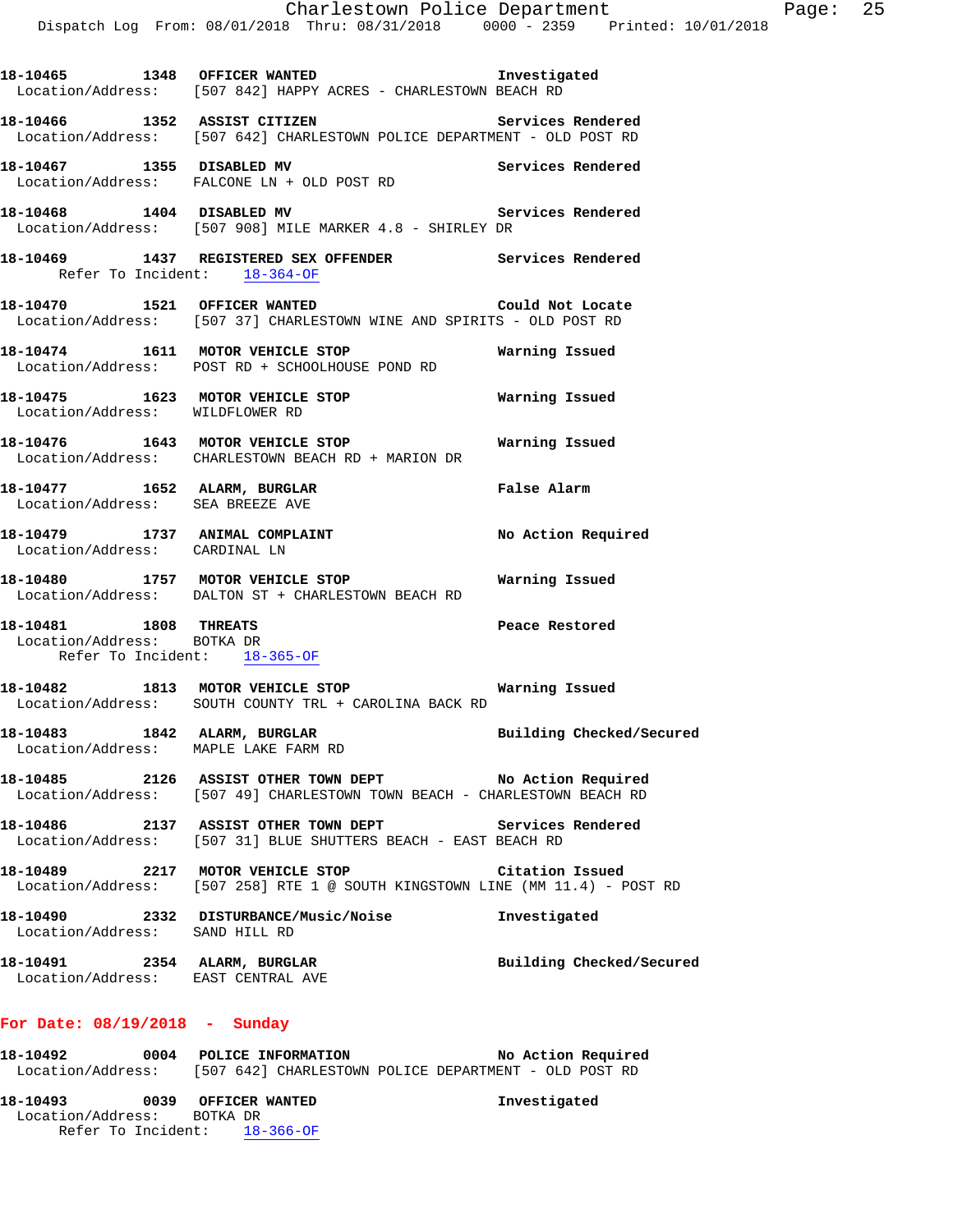| 18-10465 1348 OFFICER WANTED                                       | Location/Address: [507 842] HAPPY ACRES - CHARLESTOWN BEACH RD                                                                      | Investigated             |
|--------------------------------------------------------------------|-------------------------------------------------------------------------------------------------------------------------------------|--------------------------|
|                                                                    | 18-10466 1352 ASSIST CITIZEN Services Rendered<br>Location/Address: [507 642] CHARLESTOWN POLICE DEPARTMENT - OLD POST RD           |                          |
|                                                                    | 18-10467 1355 DISABLED MV<br>Location/Address: FALCONE LN + OLD POST RD                                                             | Services Rendered        |
|                                                                    | 18-10468 1404 DISABLED MV Ser Ser Location/Address: [507 908] MILE MARKER 4.8 - SHIRLEY DR                                          | Services Rendered        |
| Refer To Incident: 18-364-OF                                       | 18-10469 1437 REGISTERED SEX OFFENDER Services Rendered                                                                             |                          |
|                                                                    | 18-10470 1521 OFFICER WANTED Could Not Locate<br>Location/Address: [507 37] CHARLESTOWN WINE AND SPIRITS - OLD POST RD              |                          |
|                                                                    | 18-10474 1611 MOTOR VEHICLE STOP <b>Warning Issued</b><br>Location/Address: POST RD + SCHOOLHOUSE POND RD                           |                          |
| Location/Address: WILDFLOWER RD                                    | 18-10475 1623 MOTOR VEHICLE STOP                                                                                                    | Warning Issued           |
|                                                                    | 18-10476 1643 MOTOR VEHICLE STOP 6 Warning Issued<br>Location/Address: CHARLESTOWN BEACH RD + MARION DR                             |                          |
| Location/Address: SEA BREEZE AVE                                   | 18-10477 1652 ALARM, BURGLAR                                                                                                        | False Alarm              |
| Location/Address: CARDINAL LN                                      | 18-10479 1737 ANIMAL COMPLAINT                                                                                                      | No Action Required       |
|                                                                    | 18-10480 1757 MOTOR VEHICLE STOP <b>Naming Issued</b><br>Location/Address: DALTON ST + CHARLESTOWN BEACH RD                         |                          |
| Location/Address: BOTKA DR<br>Refer To Incident: 18-365-OF         | 18-10481 1808 THREATS                                                                                                               | Peace Restored           |
|                                                                    | 18-10482 1813 MOTOR VEHICLE STOP<br>Location/Address: SOUTH COUNTY TRL + CAROLINA BACK RD                                           | Warning Issued           |
| Location/Address: MAPLE LAKE FARM RD                               | 18-10483 1842 ALARM, BURGLAR 1997 Building Checked/Secured                                                                          |                          |
|                                                                    | 18-10485 2126 ASSIST OTHER TOWN DEPT No Action Required<br>Location/Address: [507 49] CHARLESTOWN TOWN BEACH - CHARLESTOWN BEACH RD |                          |
|                                                                    | 18-10486 2137 ASSIST OTHER TOWN DEPT Services Rendered<br>Location/Address: [507 31] BLUE SHUTTERS BEACH - EAST BEACH RD            |                          |
|                                                                    | 18-10489 2217 MOTOR VEHICLE STOP<br>Location/Address: [507 258] RTE 1 @ SOUTH KINGSTOWN LINE (MM 11.4) - POST RD                    | Citation Issued          |
| Location/Address: SAND HILL RD                                     | 18-10490 2332 DISTURBANCE/Music/Noise                                                                                               | Investigated             |
| 18-10491 2354 ALARM, BURGLAR<br>Location/Address: EAST CENTRAL AVE |                                                                                                                                     | Building Checked/Secured |
| For Date: 08/19/2018 - Sunday                                      |                                                                                                                                     |                          |

**18-10492 0004 POLICE INFORMATION No Action Required**  Location/Address: [507 642] CHARLESTOWN POLICE DEPARTMENT - OLD POST RD **18-10493 0039 OFFICER WANTED Investigated**  Location/Address: BOTKA DR Refer To Incident: 18-366-OF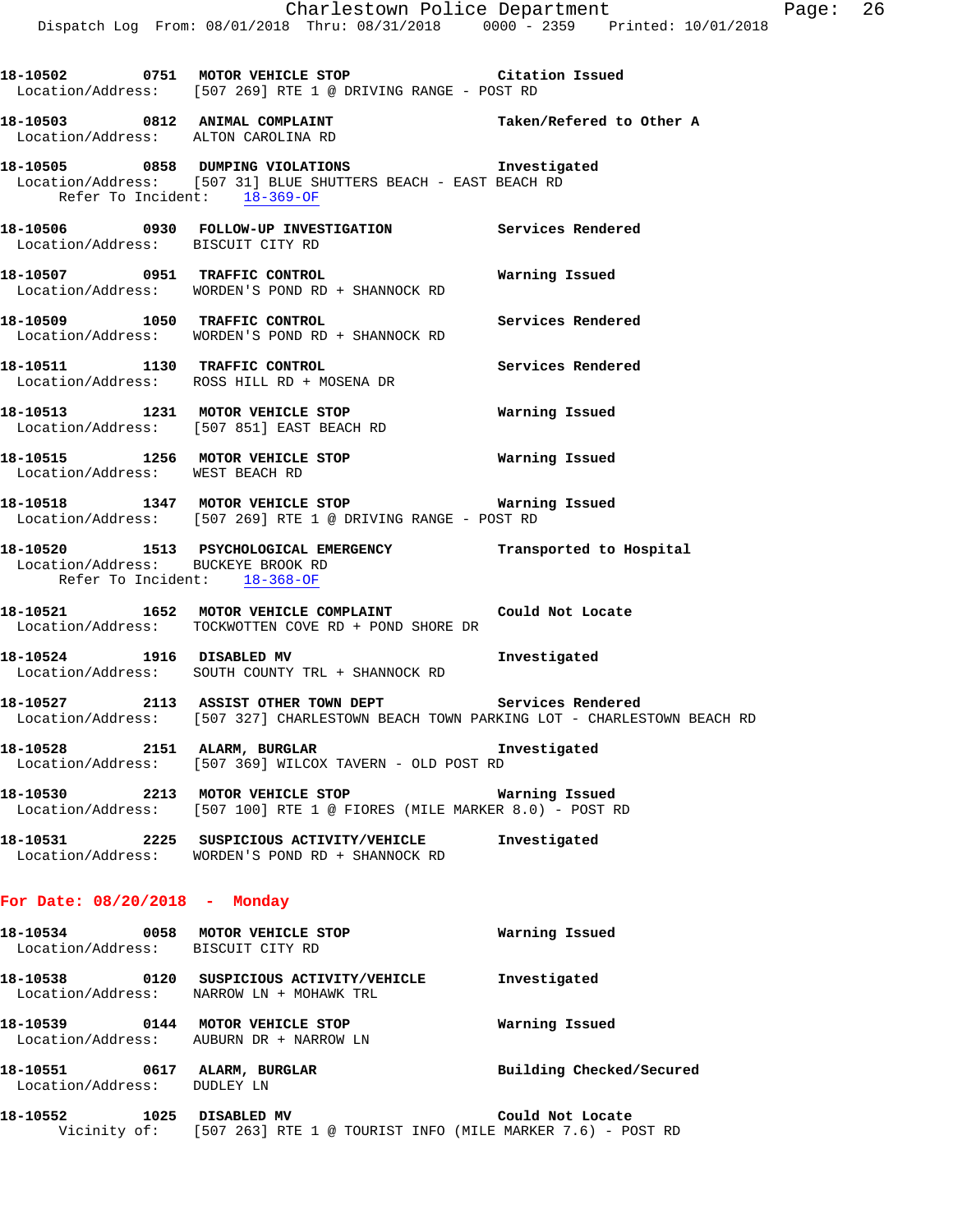|                                                                    | Dispatch Log From: 08/01/2018 Thru: 08/31/2018 0000 - 2359 Printed: 10/01/2018                                                                  | Charlestown Police Department                    | Page: | 26 |
|--------------------------------------------------------------------|-------------------------------------------------------------------------------------------------------------------------------------------------|--------------------------------------------------|-------|----|
|                                                                    |                                                                                                                                                 |                                                  |       |    |
|                                                                    | 18-10502 0751 MOTOR VEHICLE STOP Citation Issued<br>Location/Address: [507 269] RTE 1 @ DRIVING RANGE - POST RD                                 |                                                  |       |    |
| 18-10503 0812 ANIMAL COMPLAINT                                     | Location/Address: ALTON CAROLINA RD                                                                                                             | Taken/Refered to Other A                         |       |    |
| Refer To Incident: 18-369-OF                                       | 18-10505 0858 DUMPING VIOLATIONS<br>Location/Address: [507 31] BLUE SHUTTERS BEACH - EAST BEACH RD                                              | Investigated                                     |       |    |
| Location/Address: BISCUIT CITY RD                                  | 18-10506 0930 FOLLOW-UP INVESTIGATION Services Rendered                                                                                         |                                                  |       |    |
|                                                                    | 18-10507 0951 TRAFFIC CONTROL<br>Location/Address: WORDEN'S POND RD + SHANNOCK RD                                                               | Warning Issued                                   |       |    |
|                                                                    | 18-10509 1050 TRAFFIC CONTROL<br>Location/Address: WORDEN'S POND RD + SHANNOCK RD                                                               | Services Rendered                                |       |    |
|                                                                    | 18-10511 1130 TRAFFIC CONTROL<br>Location/Address: ROSS HILL RD + MOSENA DR                                                                     | Services Rendered                                |       |    |
|                                                                    | 18-10513 1231 MOTOR VEHICLE STOP<br>Location/Address: [507 851] EAST BEACH RD                                                                   | Warning Issued                                   |       |    |
| Location/Address: WEST BEACH RD                                    | 18-10515 1256 MOTOR VEHICLE STOP <b>Warning Issued</b>                                                                                          |                                                  |       |    |
|                                                                    | 18-10518 1347 MOTOR VEHICLE STOP 6 Warning Issued<br>Location/Address: [507 269] RTE 1 @ DRIVING RANGE - POST RD                                |                                                  |       |    |
| Location/Address: BUCKEYE BROOK RD<br>Refer To Incident: 18-368-OF | 18-10520 1513 PSYCHOLOGICAL EMERGENCY Transported to Hospital                                                                                   |                                                  |       |    |
|                                                                    | 18-10521 1652 MOTOR VEHICLE COMPLAINT Could Not Locate<br>Location/Address: TOCKWOTTEN COVE RD + POND SHORE DR                                  |                                                  |       |    |
|                                                                    | 18-10524 1916 DISABLED MV<br>Location/Address: SOUTH COUNTY TRL + SHANNOCK RD                                                                   | Investigated                                     |       |    |
|                                                                    | 18-10527 2113 ASSIST OTHER TOWN DEPT Services Rendered<br>Location/Address: [507 327] CHARLESTOWN BEACH TOWN PARKING LOT - CHARLESTOWN BEACH RD |                                                  |       |    |
|                                                                    | 18-10528 2151 ALARM, BURGLAR<br>Location/Address: [507 369] WILCOX TAVERN - OLD POST RD                                                         | Investigated                                     |       |    |
| $10.10520$ $2212$ $10000$ $15117777$ $15000$                       |                                                                                                                                                 | <b>Title control of the State of All Control</b> |       |    |

**18-10530 2213 MOTOR VEHICLE STOP Warning Issued**  Location/Address: [507 100] RTE 1 @ FIORES (MILE MARKER 8.0) - POST RD

**18-10531 2225 SUSPICIOUS ACTIVITY/VEHICLE Investigated**  Location/Address: WORDEN'S POND RD + SHANNOCK RD

## **For Date: 08/20/2018 - Monday**

| 18-10534<br>Location/Address: | 0058 | MOTOR VEHICLE STOP<br>BISCUIT CITY RD                 | Warning Issued           |
|-------------------------------|------|-------------------------------------------------------|--------------------------|
| 18-10538<br>Location/Address: | 0120 | SUSPICIOUS ACTIVITY/VEHICLE<br>NARROW LN + MOHAWK TRL | Investigated             |
| 18-10539<br>Location/Address: | 0144 | MOTOR VEHICLE STOP<br>AUBURN DR + NARROW LN           | Warning Issued           |
| 18–10551<br>Location/Address: | 0617 | ALARM, BURGLAR<br>DUDLEY LN                           | Building Checked/Secured |

| 18–10552     | 1025 DISABLED MV                                             |  |  | Could Not Locate |  |  |
|--------------|--------------------------------------------------------------|--|--|------------------|--|--|
| Vicinity of: | $[507 263]$ RTE 1 @ TOURIST INFO (MILE MARKER 7.6) - POST RD |  |  |                  |  |  |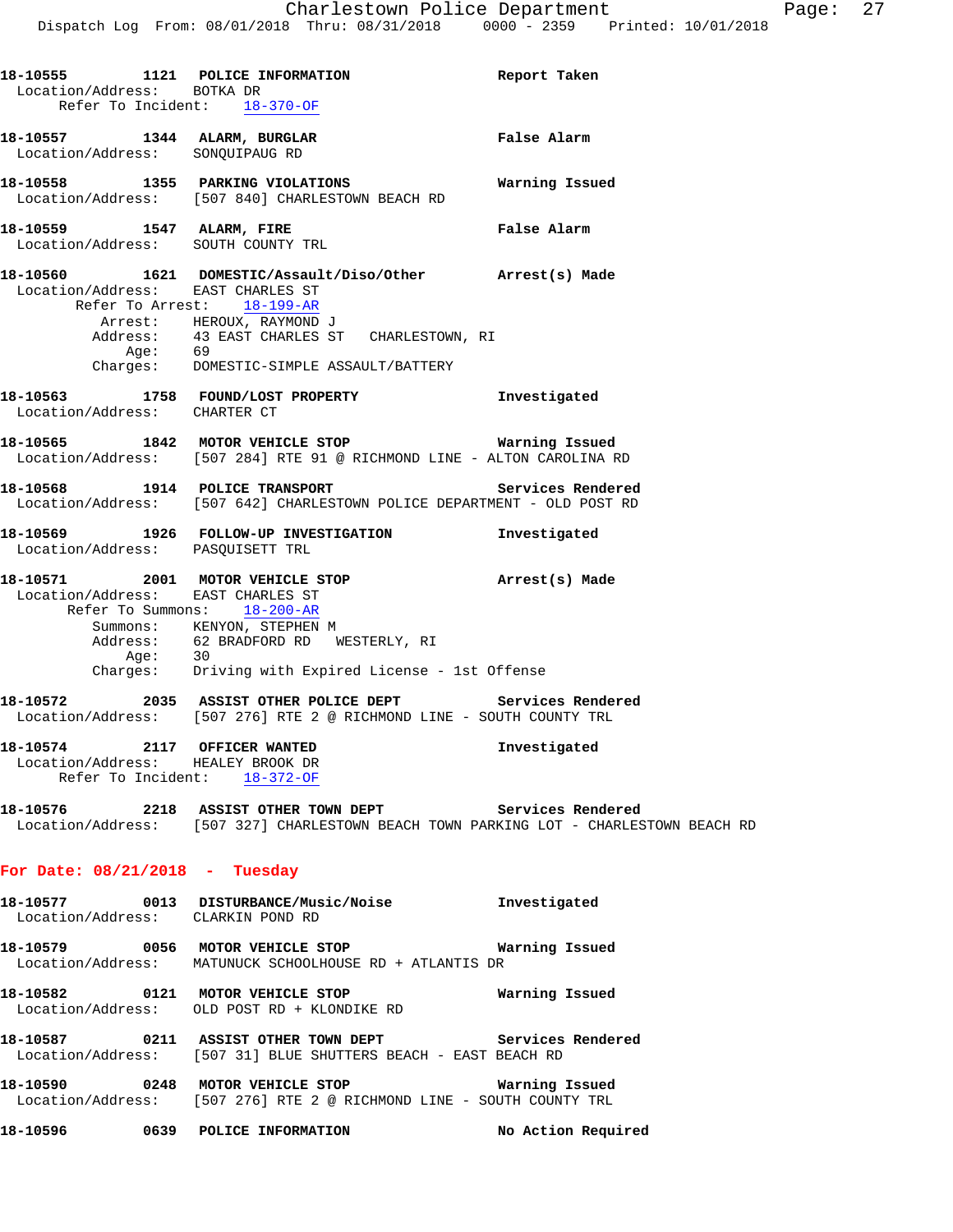| Location/Address: BOTKA DR                                        | 18-10555 1121 POLICE INFORMATION<br>Refer To Incident: 18-370-OF                                                                                                                                                              | Report Taken       |
|-------------------------------------------------------------------|-------------------------------------------------------------------------------------------------------------------------------------------------------------------------------------------------------------------------------|--------------------|
| 18-10557 1344 ALARM, BURGLAR<br>Location/Address: SONQUIPAUG RD   |                                                                                                                                                                                                                               | False Alarm        |
|                                                                   | 18-10558 1355 PARKING VIOLATIONS Warning Issued<br>Location/Address: [507 840] CHARLESTOWN BEACH RD                                                                                                                           |                    |
| 18-10559 1547 ALARM, FIRE                                         | Location/Address: SOUTH COUNTY TRL                                                                                                                                                                                            | False Alarm        |
| Location/Address: EAST CHARLES ST<br>Refer To Arrest: 18-199-AR   | 18-10560 1621 DOMESTIC/Assault/Diso/Other Arrest(s) Made<br>Arrest: HEROUX, RAYMOND J<br>Address: 43 EAST CHARLES ST CHARLESTOWN, RI<br>Age: 69<br>Charges: DOMESTIC-SIMPLE ASSAULT/BATTERY                                   |                    |
| Location/Address: CHARTER CT                                      | 18-10563 1758 FOUND/LOST PROPERTY                                                                                                                                                                                             | Investigated       |
|                                                                   | 18-10565 1842 MOTOR VEHICLE STOP 6 Warning Issued<br>Location/Address: [507 284] RTE 91 @ RICHMOND LINE - ALTON CAROLINA RD                                                                                                   |                    |
|                                                                   | 18-10568 1914 POLICE TRANSPORT Services Rendered<br>Location/Address: [507 642] CHARLESTOWN POLICE DEPARTMENT - OLD POST RD                                                                                                   |                    |
| Location/Address: PASQUISETT TRL                                  | 18-10569 1926 FOLLOW-UP INVESTIGATION 1nvestigated                                                                                                                                                                            |                    |
| Location/Address: EAST CHARLES ST                                 | 18-10571 2001 MOTOR VEHICLE STOP <b>Arrest(s)</b> Made<br>Refer To Summons: 18-200-AR<br>Summons: KENYON, STEPHEN M<br>Address: 62 BRADFORD RD WESTERLY, RI<br>Age: 30<br>Charges: Driving with Expired License - 1st Offense |                    |
|                                                                   | 18-10572 2035 ASSIST OTHER POLICE DEPT Services Rendered<br>Location/Address: [507 276] RTE 2 @ RICHMOND LINE - SOUTH COUNTY TRL                                                                                              |                    |
| 18-10574 2117 OFFICER WANTED<br>Location/Address: HEALEY BROOK DR | Refer To Incident: 18-372-OF                                                                                                                                                                                                  | Investigated       |
|                                                                   | 18-10576 2218 ASSIST OTHER TOWN DEPT Services Rendered<br>Location/Address: [507 327] CHARLESTOWN BEACH TOWN PARKING LOT - CHARLESTOWN BEACH RD                                                                               |                    |
| For Date: $08/21/2018$ - Tuesday                                  |                                                                                                                                                                                                                               |                    |
| Location/Address: CLARKIN POND RD                                 | 18-10577 0013 DISTURBANCE/Music/Noise Investigated                                                                                                                                                                            |                    |
|                                                                   | 18-10579 0056 MOTOR VEHICLE STOP <b>18-10579</b> Warning Issued<br>Location/Address: MATUNUCK SCHOOLHOUSE RD + ATLANTIS DR                                                                                                    |                    |
|                                                                   | 18-10582   0121   MOTOR VEHICLE STOP   Warning Issued Location/Address:   OLD POST RD   kLONDIKE RD                                                                                                                           |                    |
|                                                                   | 18-10587 0211 ASSIST OTHER TOWN DEPT Services Rendered<br>Location/Address: [507 31] BLUE SHUTTERS BEACH - EAST BEACH RD                                                                                                      |                    |
|                                                                   | 18-10590 0248 MOTOR VEHICLE STOP <b>Warning Issued</b><br>Location/Address: [507 276] RTE 2 @ RICHMOND LINE - SOUTH COUNTY TRL                                                                                                |                    |
|                                                                   | 18-10596 0639 POLICE INFORMATION                                                                                                                                                                                              | No Action Required |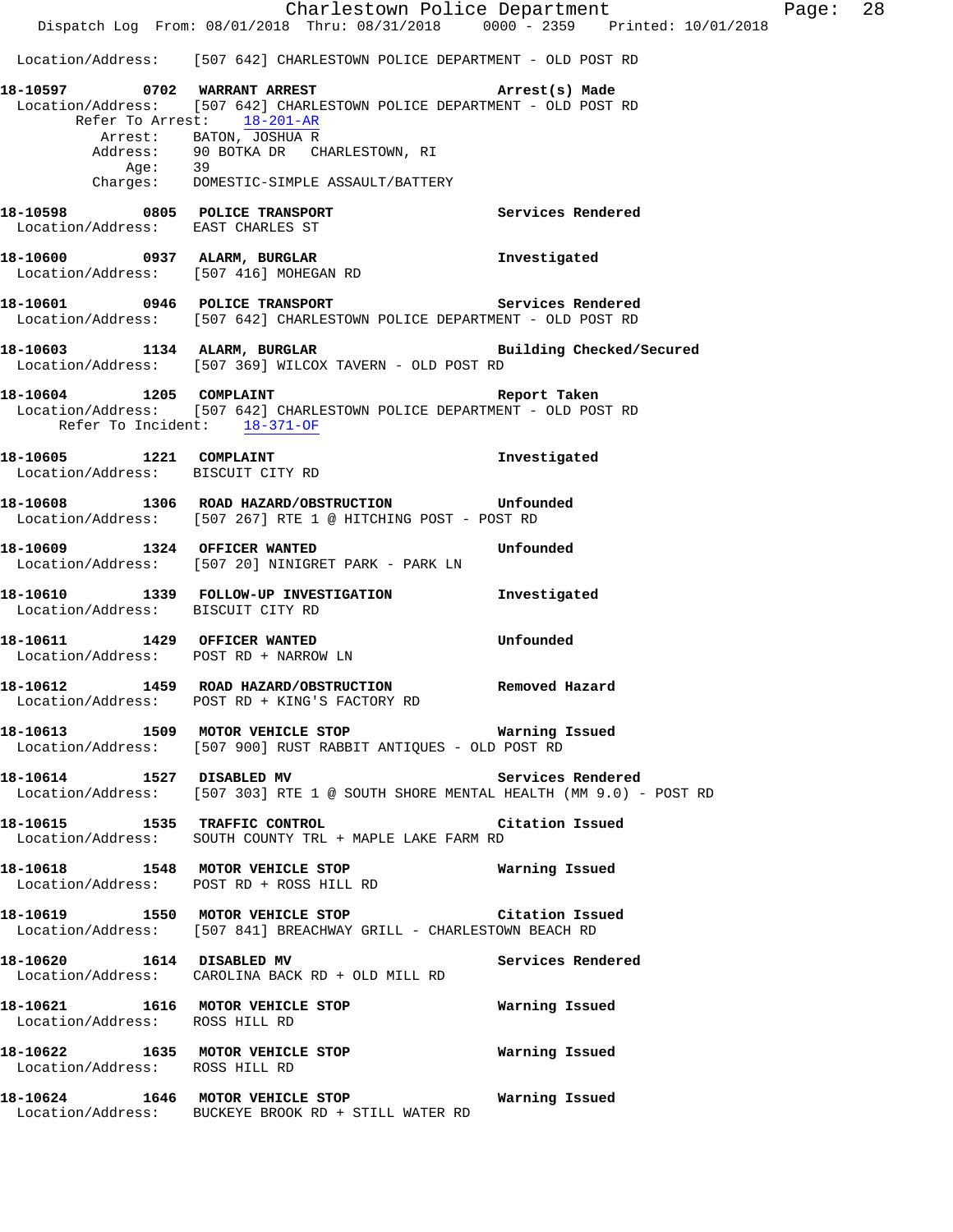Charlestown Police Department Page: 28 Dispatch Log From: 08/01/2018 Thru: 08/31/2018 0000 - 2359 Printed: 10/01/2018 Location/Address: [507 642] CHARLESTOWN POLICE DEPARTMENT - OLD POST RD **18-10597 0702 WARRANT ARREST Arrest(s) Made**  Location/Address: [507 642] CHARLESTOWN POLICE DEPARTMENT - OLD POST RD Refer To Arrest: 18-201-AR Arrest: BATON, JOSHUA R Address: 90 BOTKA DR CHARLESTOWN, RI Age: 39 Charges: DOMESTIC-SIMPLE ASSAULT/BATTERY **18-10598 0805 POLICE TRANSPORT Services Rendered**  Location/Address: EAST CHARLES ST **18-10600 0937 ALARM, BURGLAR Investigated**  Location/Address: [507 416] MOHEGAN RD **18-10601 0946 POLICE TRANSPORT Services Rendered**  Location/Address: [507 642] CHARLESTOWN POLICE DEPARTMENT - OLD POST RD **18-10603 1134 ALARM, BURGLAR Building Checked/Secured**  Location/Address: [507 369] WILCOX TAVERN - OLD POST RD **18-10604 1205 COMPLAINT Report Taken**  Location/Address: [507 642] CHARLESTOWN POLICE DEPARTMENT - OLD POST RD Refer To Incident: 18-371-OF **18-10605 1221 COMPLAINT Investigated**  Location/Address: BISCUIT CITY RD **18-10608 1306 ROAD HAZARD/OBSTRUCTION Unfounded**  Location/Address: [507 267] RTE 1 @ HITCHING POST - POST RD **18-10609 1324 OFFICER WANTED Unfounded**  Location/Address: [507 20] NINIGRET PARK - PARK LN **18-10610 1339 FOLLOW-UP INVESTIGATION Investigated**  Location/Address: BISCUIT CITY RD **18-10611 1429 OFFICER WANTED Unfounded**  Location/Address: POST RD + NARROW LN **18-10612 1459 ROAD HAZARD/OBSTRUCTION Removed Hazard**  Location/Address: POST RD + KING'S FACTORY RD **18-10613 1509 MOTOR VEHICLE STOP Warning Issued**  Location/Address: [507 900] RUST RABBIT ANTIQUES - OLD POST RD **18-10614 1527 DISABLED MV Services Rendered**  Location/Address: [507 303] RTE 1 @ SOUTH SHORE MENTAL HEALTH (MM 9.0) - POST RD **18-10615 1535 TRAFFIC CONTROL Citation Issued**  Location/Address: SOUTH COUNTY TRL + MAPLE LAKE FARM RD **18-10618 1548 MOTOR VEHICLE STOP Warning Issued**  Location/Address: POST RD + ROSS HILL RD **18-10619 1550 MOTOR VEHICLE STOP Citation Issued**  Location/Address: [507 841] BREACHWAY GRILL - CHARLESTOWN BEACH RD 18-10620 1614 DISABLED MV **Services Rendered**  Location/Address: CAROLINA BACK RD + OLD MILL RD **18-10621 1616 MOTOR VEHICLE STOP Warning Issued**  Location/Address: ROSS HILL RD **18-10622 1635 MOTOR VEHICLE STOP Warning Issued**  Location/Address: ROSS HILL RD **18-10624 1646 MOTOR VEHICLE STOP Warning Issued**  Location/Address: BUCKEYE BROOK RD + STILL WATER RD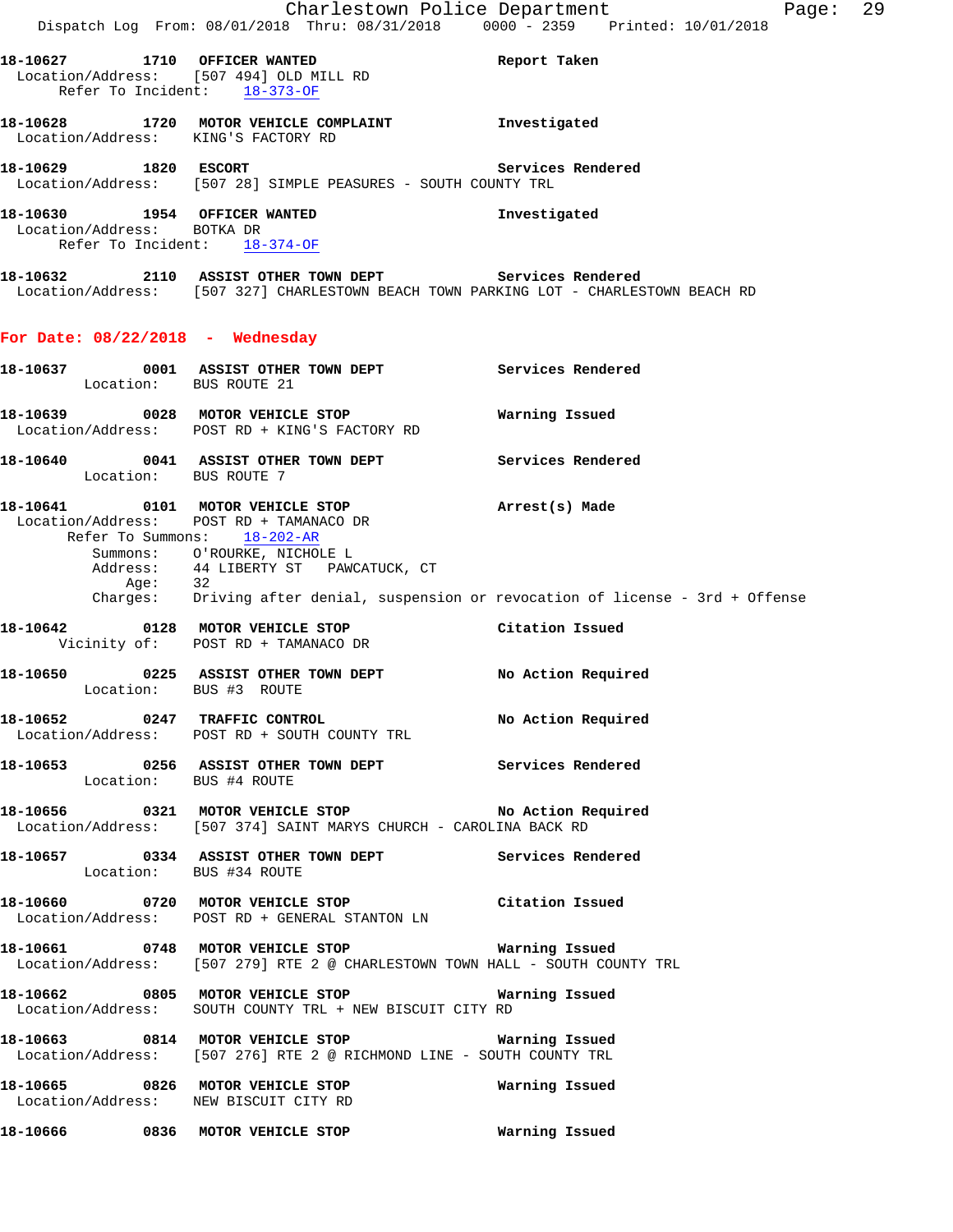|                                                                                            | Dispatch Log From: 08/01/2018 Thru: 08/31/2018 0000 - 2359 Printed: 10/01/2018                                                                  | Charlestown Police Department<br>Page: 29                                          |
|--------------------------------------------------------------------------------------------|-------------------------------------------------------------------------------------------------------------------------------------------------|------------------------------------------------------------------------------------|
| Refer To Incident: 18-373-OF                                                               | 18-10627 1710 OFFICER WANTED Report Taken<br>Location/Address: [507 494] OLD MILL RD                                                            |                                                                                    |
|                                                                                            | 18-10628 1720 MOTOR VEHICLE COMPLAINT Investigated<br>Location/Address: KING'S FACTORY RD                                                       |                                                                                    |
| 18-10629    1820    ESCORT                                                                 | Location/Address: [507 28] SIMPLE PEASURES - SOUTH COUNTY TRL                                                                                   | Services Rendered                                                                  |
| 18-10630 1954 OFFICER WANTED<br>Location/Address: BOTKA DR<br>Refer To Incident: 18-374-OF |                                                                                                                                                 | Investigated                                                                       |
|                                                                                            | 18-10632 2110 ASSIST OTHER TOWN DEPT Services Rendered<br>Location/Address: [507 327] CHARLESTOWN BEACH TOWN PARKING LOT - CHARLESTOWN BEACH RD |                                                                                    |
| For Date: $08/22/2018$ - Wednesday                                                         |                                                                                                                                                 |                                                                                    |
| Location: BUS ROUTE 21                                                                     | 18-10637 0001 ASSIST OTHER TOWN DEPT Services Rendered                                                                                          |                                                                                    |
|                                                                                            | 18-10639 0028 MOTOR VEHICLE STOP<br>Location/Address: POST RD + KING'S FACTORY RD                                                               | Warning Issued                                                                     |
| Location: BUS ROUTE 7                                                                      | 18-10640 0041 ASSIST OTHER TOWN DEPT Services Rendered                                                                                          |                                                                                    |
|                                                                                            | 18-10641 0101 MOTOR VEHICLE STOP<br>Location/Address: POST RD + TAMANACO DR<br>Refer To Summons: 18-202-AR                                      | Arrest(s) Made                                                                     |
| Age: 32                                                                                    | Summons: O'ROURKE, NICHOLE L<br>Address: 44 LIBERTY ST PAWCATUCK, CT                                                                            | Charges: Driving after denial, suspension or revocation of license - 3rd + Offense |
|                                                                                            | 18-10642 0128 MOTOR VEHICLE STOP<br>Vicinity of: POST RD + TAMANACO DR                                                                          | Citation Issued                                                                    |
| Location: BUS #3 ROUTE                                                                     | 18-10650 0225 ASSIST OTHER TOWN DEPT No Action Required                                                                                         |                                                                                    |
|                                                                                            | 18-10652 0247 TRAFFIC CONTROL<br>Location/Address: POST RD + SOUTH COUNTY TRL                                                                   | No Action Required                                                                 |
| Location: BUS #4 ROUTE                                                                     | 18-10653 0256 ASSIST OTHER TOWN DEPT Services Rendered                                                                                          |                                                                                    |
|                                                                                            | 18-10656 0321 MOTOR VEHICLE STOP NO Action Required<br>Location/Address: [507 374] SAINT MARYS CHURCH - CAROLINA BACK RD                        |                                                                                    |
| Location: BUS #34 ROUTE                                                                    | 18-10657 0334 ASSIST OTHER TOWN DEPT Services Rendered                                                                                          |                                                                                    |
|                                                                                            | 18-10660 0720 MOTOR VEHICLE STOP Citation Issued<br>Location/Address: POST RD + GENERAL STANTON LN                                              |                                                                                    |
|                                                                                            | 18-10661 0748 MOTOR VEHICLE STOP <b>Warning Issued</b><br>Location/Address: [507 279] RTE 2 @ CHARLESTOWN TOWN HALL - SOUTH COUNTY TRL          |                                                                                    |
|                                                                                            | Location/Address: SOUTH COUNTY TRL + NEW BISCUIT CITY RD                                                                                        |                                                                                    |
|                                                                                            | 18-10663 6814 MOTOR VEHICLE STOP 60 Warning Issued<br>Location/Address: [507 276] RTE 2 @ RICHMOND LINE - SOUTH COUNTY TRL                      |                                                                                    |
|                                                                                            | 18-10665 0826 MOTOR VEHICLE STOP<br>Location/Address: NEW BISCUIT CITY RD                                                                       | Warning Issued                                                                     |
|                                                                                            | 18-10666  0836 MOTOR VEHICLE STOP                                                                                                               | Warning Issued                                                                     |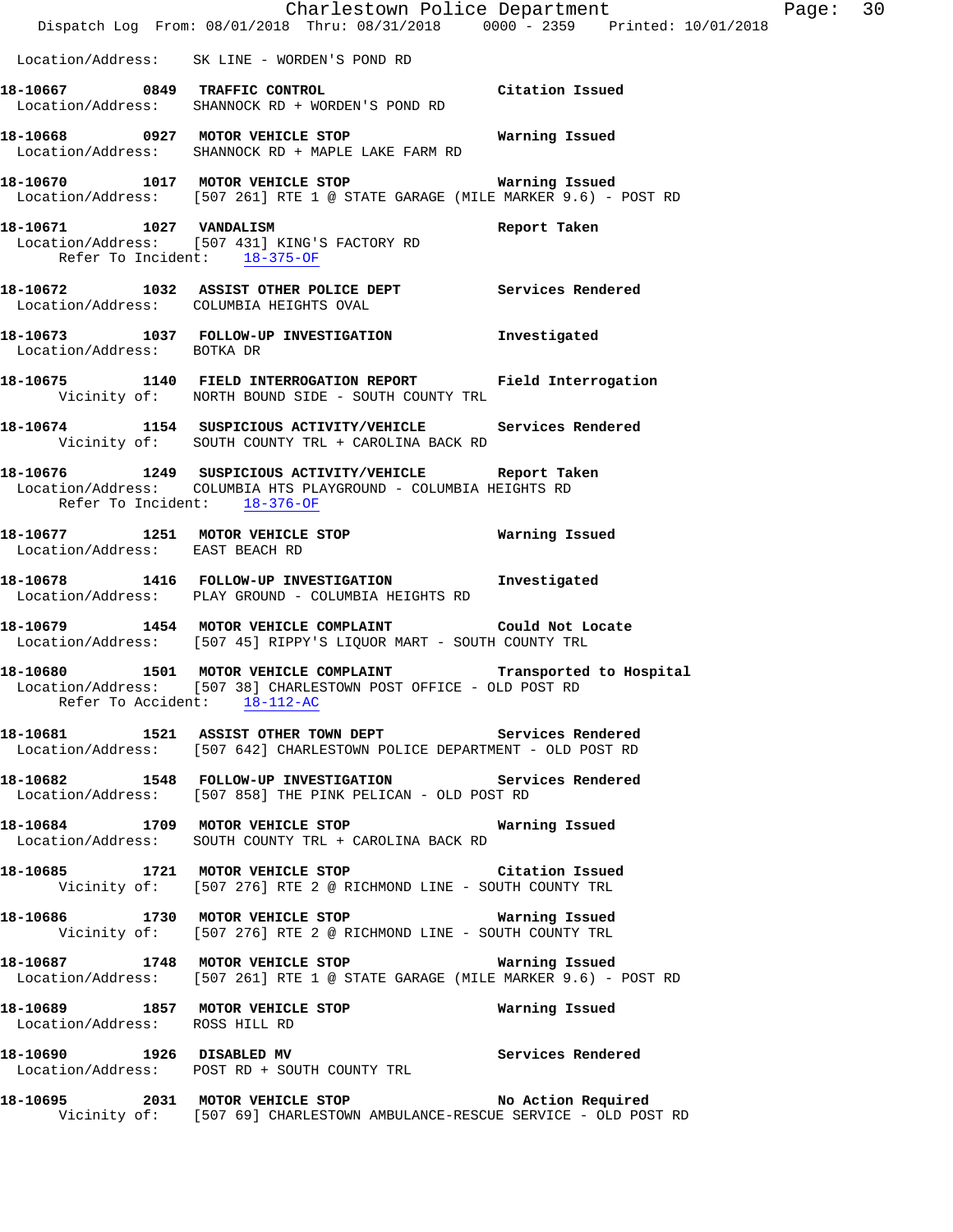|                                 | Dispatch Log From: 08/01/2018 Thru: 08/31/2018 0000 - 2359 Printed: 10/01/2018                                                    | Charlestown Police Department Page: 30 |  |
|---------------------------------|-----------------------------------------------------------------------------------------------------------------------------------|----------------------------------------|--|
|                                 | Location/Address: SK LINE - WORDEN'S POND RD                                                                                      |                                        |  |
|                                 | 18-10667 0849 TRAFFIC CONTROL CONTROL Citation Issued<br>Location/Address: SHANNOCK RD + WORDEN'S POND RD                         |                                        |  |
|                                 | 18-10668 0927 MOTOR VEHICLE STOP <b>WATER</b> Warning Issued<br>Location/Address: SHANNOCK RD + MAPLE LAKE FARM RD                |                                        |  |
|                                 | 18-10670 1017 MOTOR VEHICLE STOP 6 Warning Issued<br>Location/Address: [507 261] RTE 1 @ STATE GARAGE (MILE MARKER 9.6) - POST RD |                                        |  |
| Refer To Incident: 18-375-OF    | 18-10671 1027 VANDALISM 2008 Report Taken<br>Location/Address: [507 431] KING'S FACTORY RD                                        |                                        |  |
|                                 | 18-10672 1032 ASSIST OTHER POLICE DEPT Services Rendered<br>Location/Address: COLUMBIA HEIGHTS OVAL                               |                                        |  |
| Location/Address: BOTKA DR      | 18-10673 1037 FOLLOW-UP INVESTIGATION Investigated                                                                                |                                        |  |
|                                 | 18-10675 1140 FIELD INTERROGATION REPORT Field Interrogation<br>Vicinity of: NORTH BOUND SIDE - SOUTH COUNTY TRL                  |                                        |  |
|                                 | 18-10674 1154 SUSPICIOUS ACTIVITY/VEHICLE Services Rendered<br>Vicinity of: SOUTH COUNTY TRL + CAROLINA BACK RD                   |                                        |  |
| Refer To Incident: 18-376-OF    | 18-10676 1249 SUSPICIOUS ACTIVITY/VEHICLE Report Taken<br>Location/Address: COLUMBIA HTS PLAYGROUND - COLUMBIA HEIGHTS RD         |                                        |  |
| Location/Address: EAST BEACH RD | 18-10677 1251 MOTOR VEHICLE STOP 6 Warning Issued                                                                                 |                                        |  |
|                                 | 18-10678 1416 FOLLOW-UP INVESTIGATION Investigated<br>Location/Address: PLAY GROUND - COLUMBIA HEIGHTS RD                         |                                        |  |
|                                 | 18-10679 1454 MOTOR VEHICLE COMPLAINT Could Not Locate<br>Location/Address: [507 45] RIPPY'S LIQUOR MART - SOUTH COUNTY TRL       |                                        |  |
| Refer To Accident: 18-112-AC    | 18-10680 1501 MOTOR VEHICLE COMPLAINT Transported to Hospital<br>Location/Address: [507 38] CHARLESTOWN POST OFFICE - OLD POST RD |                                        |  |
|                                 | 18-10681 1521 ASSIST OTHER TOWN DEPT Services Rendered<br>Location/Address: [507 642] CHARLESTOWN POLICE DEPARTMENT - OLD POST RD |                                        |  |
|                                 | 18-10682 1548 FOLLOW-UP INVESTIGATION Services Rendered<br>Location/Address: [507 858] THE PINK PELICAN - OLD POST RD             |                                        |  |
|                                 | 18-10684 1709 MOTOR VEHICLE STOP 6 Warning Issued<br>Location/Address: SOUTH COUNTY TRL + CAROLINA BACK RD                        |                                        |  |
|                                 | 18-10685 1721 MOTOR VEHICLE STOP Citation Issued<br>Vicinity of: [507 276] RTE 2 @ RICHMOND LINE - SOUTH COUNTY TRL               |                                        |  |
|                                 | 18-10686 1730 MOTOR VEHICLE STOP 6 Warning Issued<br>Vicinity of: [507 276] RTE 2 @ RICHMOND LINE - SOUTH COUNTY TRL              |                                        |  |
|                                 | 18-10687 1748 MOTOR VEHICLE STOP 6 Warning Issued<br>Location/Address: [507 261] RTE 1 @ STATE GARAGE (MILE MARKER 9.6) - POST RD |                                        |  |
| Location/Address: ROSS HILL RD  | 18-10689 1857 MOTOR VEHICLE STOP                                                                                                  | Warning Issued                         |  |
|                                 | 18-10690 1926 DISABLED MV Services Rendered<br>Location/Address: POST RD + SOUTH COUNTY TRL                                       |                                        |  |
|                                 | 18-10695 2031 MOTOR VEHICLE STOP No Action Required<br>Vicinity of: [507 69] CHARLESTOWN AMBULANCE-RESCUE SERVICE - OLD POST RD   |                                        |  |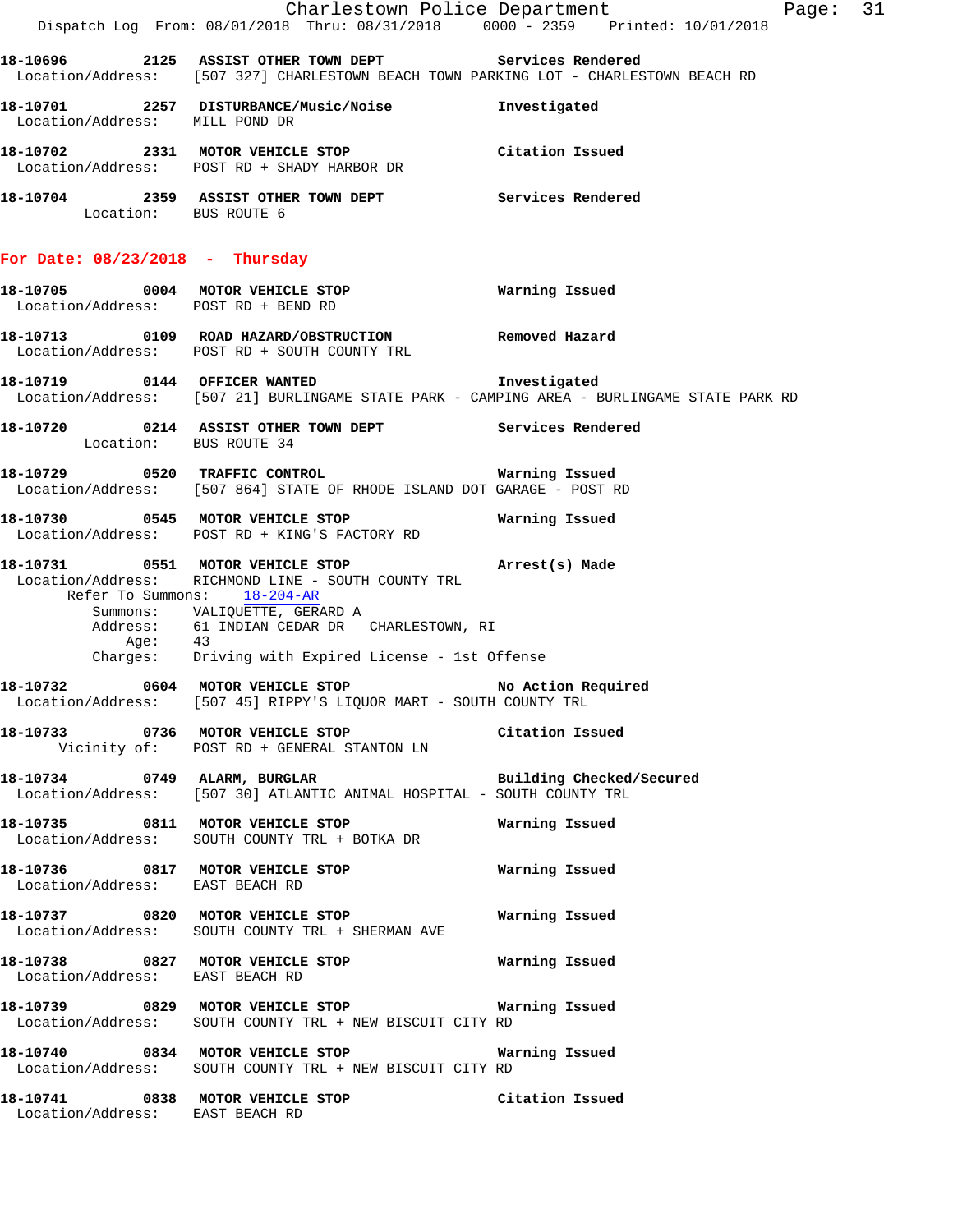|                                     | Dispatch Log From: 08/01/2018 Thru: 08/31/2018 0000 - 2359 Printed: 10/01/2018                                                                                                                                                                                                          | Charlestown Police Department | Page: 31 |  |
|-------------------------------------|-----------------------------------------------------------------------------------------------------------------------------------------------------------------------------------------------------------------------------------------------------------------------------------------|-------------------------------|----------|--|
|                                     | 18-10696 2125 ASSIST OTHER TOWN DEPT Services Rendered<br>Location/Address: [507 327] CHARLESTOWN BEACH TOWN PARKING LOT - CHARLESTOWN BEACH RD                                                                                                                                         |                               |          |  |
| Location/Address: MILL POND DR      | 18-10701 2257 DISTURBANCE/Music/Noise                                                                                                                                                                                                                                                   | Investigated                  |          |  |
|                                     | 18-10702 2331 MOTOR VEHICLE STOP Citation Issued<br>Location/Address: POST RD + SHADY HARBOR DR                                                                                                                                                                                         |                               |          |  |
| Location: BUS ROUTE 6               | 18-10704 2359 ASSIST OTHER TOWN DEPT Services Rendered                                                                                                                                                                                                                                  |                               |          |  |
| For Date: $08/23/2018$ - Thursday   |                                                                                                                                                                                                                                                                                         |                               |          |  |
| Location/Address: POST RD + BEND RD | 18-10705 0004 MOTOR VEHICLE STOP                                                                                                                                                                                                                                                        | Warning Issued                |          |  |
|                                     | 18-10713   0109   ROAD HAZARD/OBSTRUCTION   Removed Hazard<br>Location/Address: POST RD + SOUTH COUNTY TRL                                                                                                                                                                              |                               |          |  |
|                                     | 18-10719 0144 OFFICER WANTED 18-10719<br>Location/Address: [507 21] BURLINGAME STATE PARK - CAMPING AREA - BURLINGAME STATE PARK RD                                                                                                                                                     |                               |          |  |
| Location: BUS ROUTE 34              | 18-10720 0214 ASSIST OTHER TOWN DEPT Services Rendered                                                                                                                                                                                                                                  |                               |          |  |
|                                     | Location/Address: [507 864] STATE OF RHODE ISLAND DOT GARAGE - POST RD                                                                                                                                                                                                                  |                               |          |  |
|                                     | 18-10730 0545 MOTOR VEHICLE STOP<br>Location/Address: POST RD + KING'S FACTORY RD                                                                                                                                                                                                       | Warning Issued                |          |  |
|                                     | 18-10731 0551 MOTOR VEHICLE STOP (Arrest(s) Made<br>Location/Address: RICHMOND LINE - SOUTH COUNTY TRL<br>Refer To Summons: 18-204-AR<br>Summons: VALIQUETTE, GERARD A<br>Address: 61 INDIAN CEDAR DR CHARLESTOWN, RI<br>Age: 43<br>Charges: Driving with Expired License - 1st Offense |                               |          |  |
|                                     | 18-10732 0604 MOTOR VEHICLE STOP<br>Location/Address: [507 45] RIPPY'S LIQUOR MART - SOUTH COUNTY TRL                                                                                                                                                                                   | No Action Required            |          |  |
|                                     | 18-10733 0736 MOTOR VEHICLE STOP Citation Issued<br>Vicinity of: POST RD + GENERAL STANTON LN                                                                                                                                                                                           |                               |          |  |
|                                     | 18-10734 0749 ALARM, BURGLAR BURGER Building Checked/Secured<br>Location/Address: [507 30] ATLANTIC ANIMAL HOSPITAL - SOUTH COUNTY TRL                                                                                                                                                  |                               |          |  |
|                                     | 18-10735 0811 MOTOR VEHICLE STOP<br>Location/Address: SOUTH COUNTY TRL + BOTKA DR                                                                                                                                                                                                       | Warning Issued                |          |  |
|                                     | 18-10736   0817   MOTOR VEHICLE STOP   Warning Issued Location/Address: EAST BEACH RD                                                                                                                                                                                                   |                               |          |  |
|                                     | Location/Address: SOUTH COUNTY TRL + SHERMAN AVE                                                                                                                                                                                                                                        |                               |          |  |
| Location/Address: EAST BEACH RD     | 18-10738 0827 MOTOR VEHICLE STOP 6 Warning Issued                                                                                                                                                                                                                                       |                               |          |  |
|                                     | Location/Address: SOUTH COUNTY TRL + NEW BISCUIT CITY RD                                                                                                                                                                                                                                |                               |          |  |
|                                     | 18-10740 0834 MOTOR VEHICLE STOP 6 Warning Issued<br>Location/Address: SOUTH COUNTY TRL + NEW BISCUIT CITY RD                                                                                                                                                                           |                               |          |  |
| Location/Address: EAST BEACH RD     | 18-10741 0838 MOTOR VEHICLE STOP                                                                                                                                                                                                                                                        | Citation Issued               |          |  |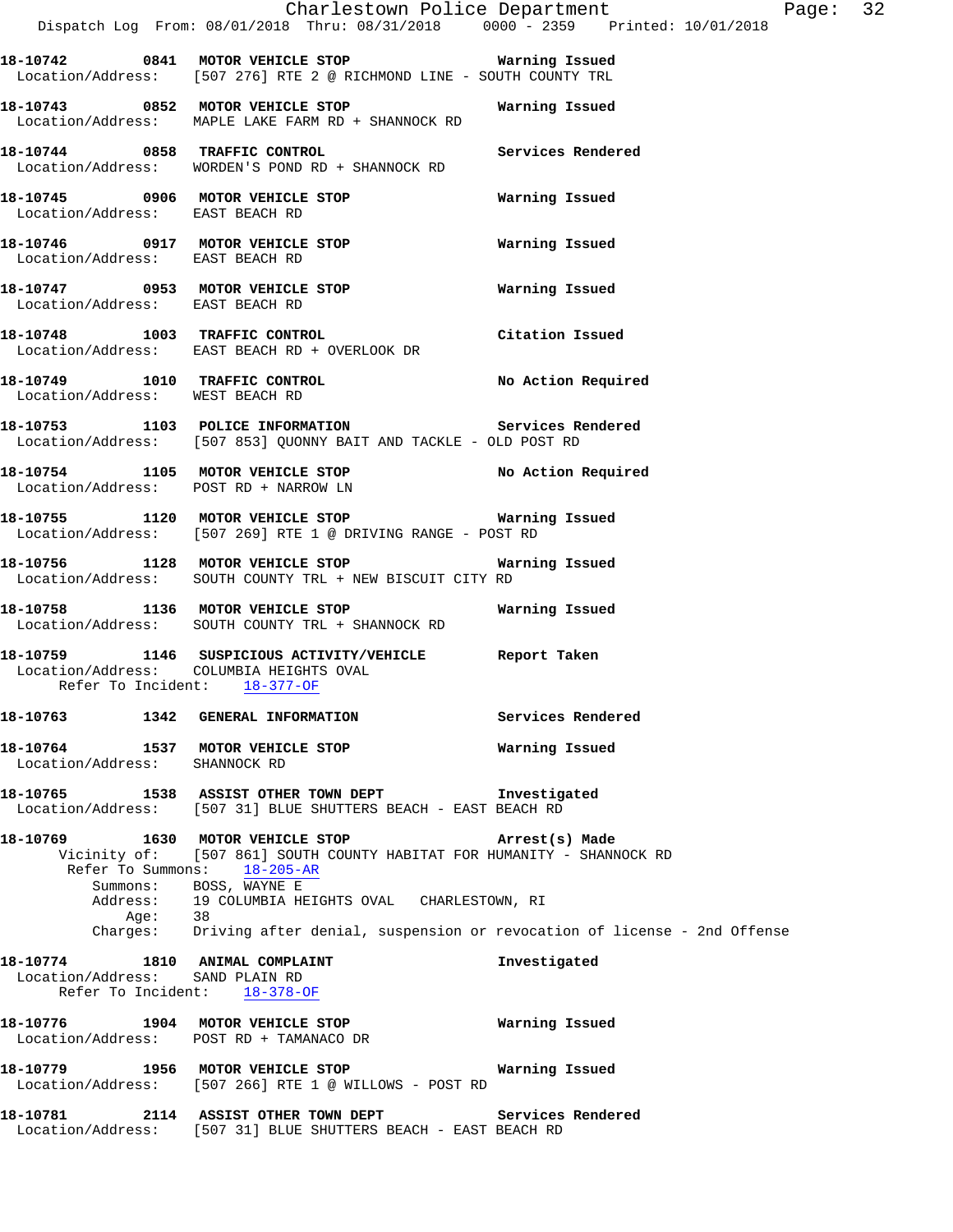|                                                                   | Dispatch Log From: 08/01/2018 Thru: 08/31/2018 0000 - 2359 Printed: 10/01/2018                                                                                      | Charlestown Police Department<br>Page: 32 |
|-------------------------------------------------------------------|---------------------------------------------------------------------------------------------------------------------------------------------------------------------|-------------------------------------------|
|                                                                   | 18-10742 0841 MOTOR VEHICLE STOP 6 Warning Issued<br>Location/Address: [507 276] RTE 2 @ RICHMOND LINE - SOUTH COUNTY TRL                                           |                                           |
|                                                                   | 18-10743 0852 MOTOR VEHICLE STOP<br>Location/Address: MAPLE LAKE FARM RD + SHANNOCK RD                                                                              | Warning Issued                            |
|                                                                   | 18-10744 0858 TRAFFIC CONTROL<br>Location/Address: WORDEN'S POND RD + SHANNOCK RD                                                                                   | Services Rendered                         |
| Location/Address: EAST BEACH RD                                   | 18-10745 0906 MOTOR VEHICLE STOP 6 Warning Issued                                                                                                                   |                                           |
| Location/Address: EAST BEACH RD                                   | 18-10746  0917 MOTOR VEHICLE STOP    Varning Issued                                                                                                                 |                                           |
| Location/Address: EAST BEACH RD                                   | 18-10747 0953 MOTOR VEHICLE STOP                                                                                                                                    | Warning Issued                            |
|                                                                   | 18-10748 1003 TRAFFIC CONTROL<br>Location/Address: EAST BEACH RD + OVERLOOK DR                                                                                      | Citation Issued                           |
| Location/Address: WEST BEACH RD                                   | 18-10749 1010 TRAFFIC CONTROL No Action Required                                                                                                                    |                                           |
|                                                                   | 18-10753 1103 POLICE INFORMATION Services Rendered<br>Location/Address: [507 853] QUONNY BAIT AND TACKLE - OLD POST RD                                              |                                           |
|                                                                   | 18-10754 1105 MOTOR VEHICLE STOP NO Action Required<br>Location/Address: POST RD + NARROW LN                                                                        |                                           |
|                                                                   | 18-10755 1120 MOTOR VEHICLE STOP 6 Warning Issued<br>Location/Address: [507 269] RTE 1 @ DRIVING RANGE - POST RD                                                    |                                           |
|                                                                   | 18-10756 1128 MOTOR VEHICLE STOP Warning Issued<br>Location/Address: SOUTH COUNTY TRL + NEW BISCUIT CITY RD                                                         |                                           |
|                                                                   | 18-10758 1136 MOTOR VEHICLE STOP<br>Location/Address: SOUTH COUNTY TRL + SHANNOCK RD                                                                                | Warning Issued                            |
| Refer To Incident: 18-377-OF                                      | 18-10759 1146 SUSPICIOUS ACTIVITY/VEHICLE Report Taken<br>Location/Address: COLUMBIA HEIGHTS OVAL                                                                   |                                           |
|                                                                   | 18-10763 1342 GENERAL INFORMATION                                                                                                                                   | Services Rendered                         |
| Location/Address:                                                 | 18-10764 1537 MOTOR VEHICLE STOP<br>SHANNOCK RD                                                                                                                     | Warning Issued                            |
|                                                                   | 18-10765 1538 ASSIST OTHER TOWN DEPT<br>Location/Address: [507 31] BLUE SHUTTERS BEACH - EAST BEACH RD                                                              | Investigated                              |
|                                                                   | 18-10769 1630 MOTOR VEHICLE STOP<br>Vicinity of: [507 861] SOUTH COUNTY HABITAT FOR HUMANITY - SHANNOCK RD<br>Refer To Summons: 18-205-AR<br>Summons: BOSS, WAYNE E | Arrest(s) Made                            |
|                                                                   | Address: 19 COLUMBIA HEIGHTS OVAL CHARLESTOWN, RI<br>Age: 38<br>Charges: Driving after denial, suspension or revocation of license - 2nd Offense                    |                                           |
| 18-10774 1810 ANIMAL COMPLAINT<br>Location/Address: SAND PLAIN RD | Refer To Incident: 18-378-OF                                                                                                                                        | Investigated                              |
|                                                                   | 18-10776 1904 MOTOR VEHICLE STOP<br>Location/Address: POST RD + TAMANACO DR                                                                                         | Warning Issued                            |
|                                                                   | 18-10779 1956 MOTOR VEHICLE STOP<br>Location/Address: [507 266] RTE 1 @ WILLOWS - POST RD                                                                           | Warning Issued                            |
| 18-10781                                                          | 2114 ASSIST OTHER TOWN DEPT                                                                                                                                         | Services Rendered                         |

Location/Address: [507 31] BLUE SHUTTERS BEACH - EAST BEACH RD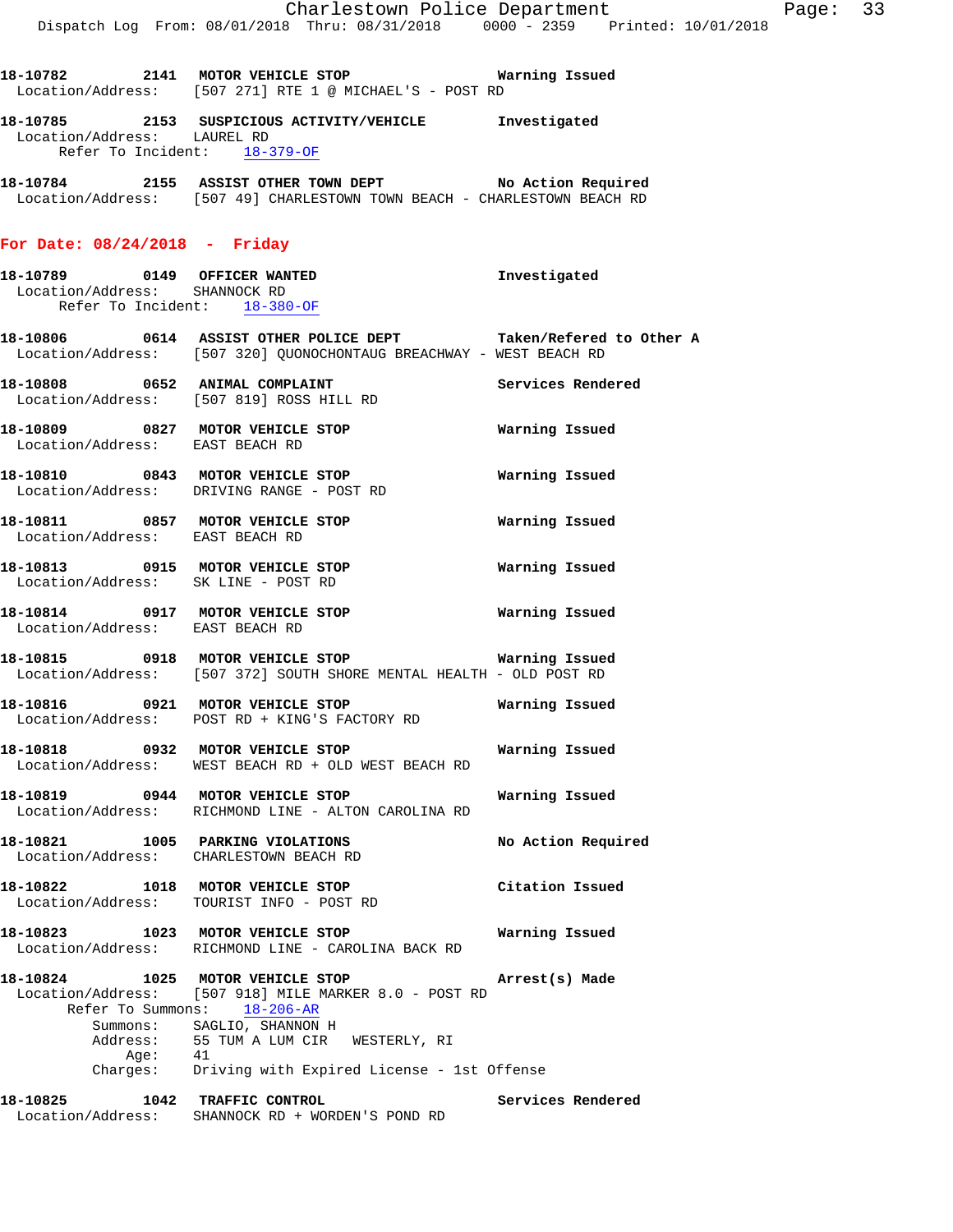**18-10785 2153 SUSPICIOUS ACTIVITY/VEHICLE Investigated**  Location/Address: LAUREL RD Refer To Incident: 18-379-OF

**18-10784 2155 ASSIST OTHER TOWN DEPT No Action Required**  Location/Address: [507 49] CHARLESTOWN TOWN BEACH - CHARLESTOWN BEACH RD

### **For Date: 08/24/2018 - Friday**

Location/Address: EAST BEACH RD

- **18-10789 0149 OFFICER WANTED Investigated**  Location/Address: SHANNOCK RD Refer To Incident: 18-380-OF
- **18-10806 0614 ASSIST OTHER POLICE DEPT Taken/Refered to Other A**  Location/Address: [507 320] QUONOCHONTAUG BREACHWAY - WEST BEACH RD
- **18-10808 0652 ANIMAL COMPLAINT Services Rendered**  Location/Address: [507 819] ROSS HILL RD **18-10809 0827 MOTOR VEHICLE STOP Warning Issued**  Location/Address: EAST BEACH RD
- **18-10810 0843 MOTOR VEHICLE STOP Warning Issued**  Location/Address: DRIVING RANGE - POST RD **18-10811 0857 MOTOR VEHICLE STOP Warning Issued**
- Location/Address: EAST BEACH RD **18-10813 0915 MOTOR VEHICLE STOP Warning Issued**
- Location/Address: SK LINE POST RD **18-10814 0917 MOTOR VEHICLE STOP Warning Issued**
- **18-10815 0918 MOTOR VEHICLE STOP Warning Issued**  Location/Address: [507 372] SOUTH SHORE MENTAL HEALTH - OLD POST RD
- **18-10816 0921 MOTOR VEHICLE STOP Warning Issued**  Location/Address: POST RD + KING'S FACTORY RD
- **18-10818 0932 MOTOR VEHICLE STOP Warning Issued**  Location/Address: WEST BEACH RD + OLD WEST BEACH RD
- **18-10819 0944 MOTOR VEHICLE STOP Warning Issued**  Location/Address: RICHMOND LINE - ALTON CAROLINA RD
- **18-10821 1005 PARKING VIOLATIONS No Action Required**  Location/Address: CHARLESTOWN BEACH RD
- **18-10822 1018 MOTOR VEHICLE STOP Citation Issued**  Location/Address: TOURIST INFO - POST RD
- **18-10823 1023 MOTOR VEHICLE STOP Warning Issued**  Location/Address: RICHMOND LINE - CAROLINA BACK RD
- **18-10824 1025 MOTOR VEHICLE STOP Arrest(s) Made**  Location/Address: [507 918] MILE MARKER 8.0 - POST RD Refer To Summons: 18-206-AR Summons: SAGLIO, SHANNON H Address: 55 TUM A LUM CIR WESTERLY, RI Age: 41 Charges: Driving with Expired License - 1st Offense
- **18-10825 1042 TRAFFIC CONTROL Services Rendered**  Location/Address: SHANNOCK RD + WORDEN'S POND RD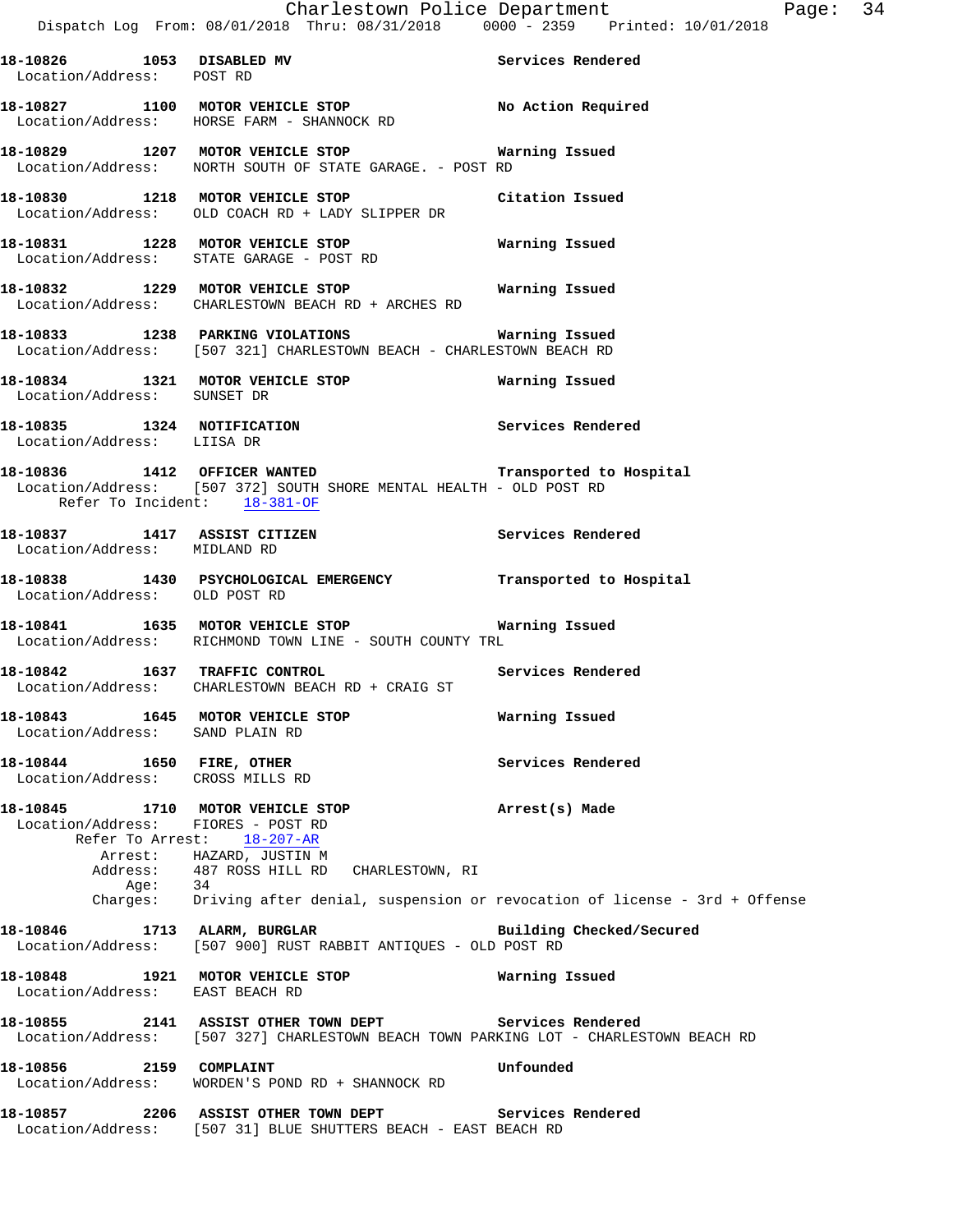**18-10829 1207 MOTOR VEHICLE STOP Warning Issued**  Location/Address: NORTH SOUTH OF STATE GARAGE. - POST RD

**18-10830 1218 MOTOR VEHICLE STOP Citation Issued**  Location/Address: OLD COACH RD + LADY SLIPPER DR

**18-10831 1228 MOTOR VEHICLE STOP Warning Issued**  Location/Address: STATE GARAGE - POST RD

**18-10832 1229 MOTOR VEHICLE STOP Warning Issued**  Location/Address: CHARLESTOWN BEACH RD + ARCHES RD

**18-10833 1238 PARKING VIOLATIONS Warning Issued**  Location/Address: [507 321] CHARLESTOWN BEACH - CHARLESTOWN BEACH RD

**18-10834 1321 MOTOR VEHICLE STOP Warning Issued**  Location/Address: SUNSET DR

**18-10835 1324 NOTIFICATION Services Rendered**  Location/Address: LIISA DR

**18-10836 1412 OFFICER WANTED Transported to Hospital**  Location/Address: [507 372] SOUTH SHORE MENTAL HEALTH - OLD POST RD Refer To Incident: 18-381-OF

**18-10837 1417 ASSIST CITIZEN Services Rendered**  Location/Address: MIDLAND RD

**18-10838 1430 PSYCHOLOGICAL EMERGENCY Transported to Hospital**  Location/Address: OLD POST RD

**18-10841 1635 MOTOR VEHICLE STOP Warning Issued**  Location/Address: RICHMOND TOWN LINE - SOUTH COUNTY TRL

**18-10842 1637 TRAFFIC CONTROL Services Rendered**  Location/Address: CHARLESTOWN BEACH RD + CRAIG ST

**18-10843 1645 MOTOR VEHICLE STOP Warning Issued**  Location/Address: SAND PLAIN RD

**18-10844 1650 FIRE, OTHER Services Rendered**  Location/Address: CROSS MILLS RD

**18-10845 1710 MOTOR VEHICLE STOP Arrest(s) Made**  Location/Address: FIORES - POST RD Refer To Arrest: 18-207-AR Arrest: HAZARD, JUSTIN M<br>Address: 487 ROSS HILL RD 487 ROSS HILL RD CHARLESTOWN, RI Age: 34 Charges: Driving after denial, suspension or revocation of license - 3rd + Offense

18-10846 1713 ALARM, BURGLAR **Building Checked/Secured** Location/Address: [507 900] RUST RABBIT ANTIQUES - OLD POST RD

**18-10848 1921 MOTOR VEHICLE STOP Warning Issued**  Location/Address: EAST BEACH RD

**18-10855 2141 ASSIST OTHER TOWN DEPT Services Rendered**  Location/Address: [507 327] CHARLESTOWN BEACH TOWN PARKING LOT - CHARLESTOWN BEACH RD

**18-10856 2159 COMPLAINT Unfounded**  Location/Address: WORDEN'S POND RD + SHANNOCK RD

**18-10857 2206 ASSIST OTHER TOWN DEPT Services Rendered**  Location/Address: [507 31] BLUE SHUTTERS BEACH - EAST BEACH RD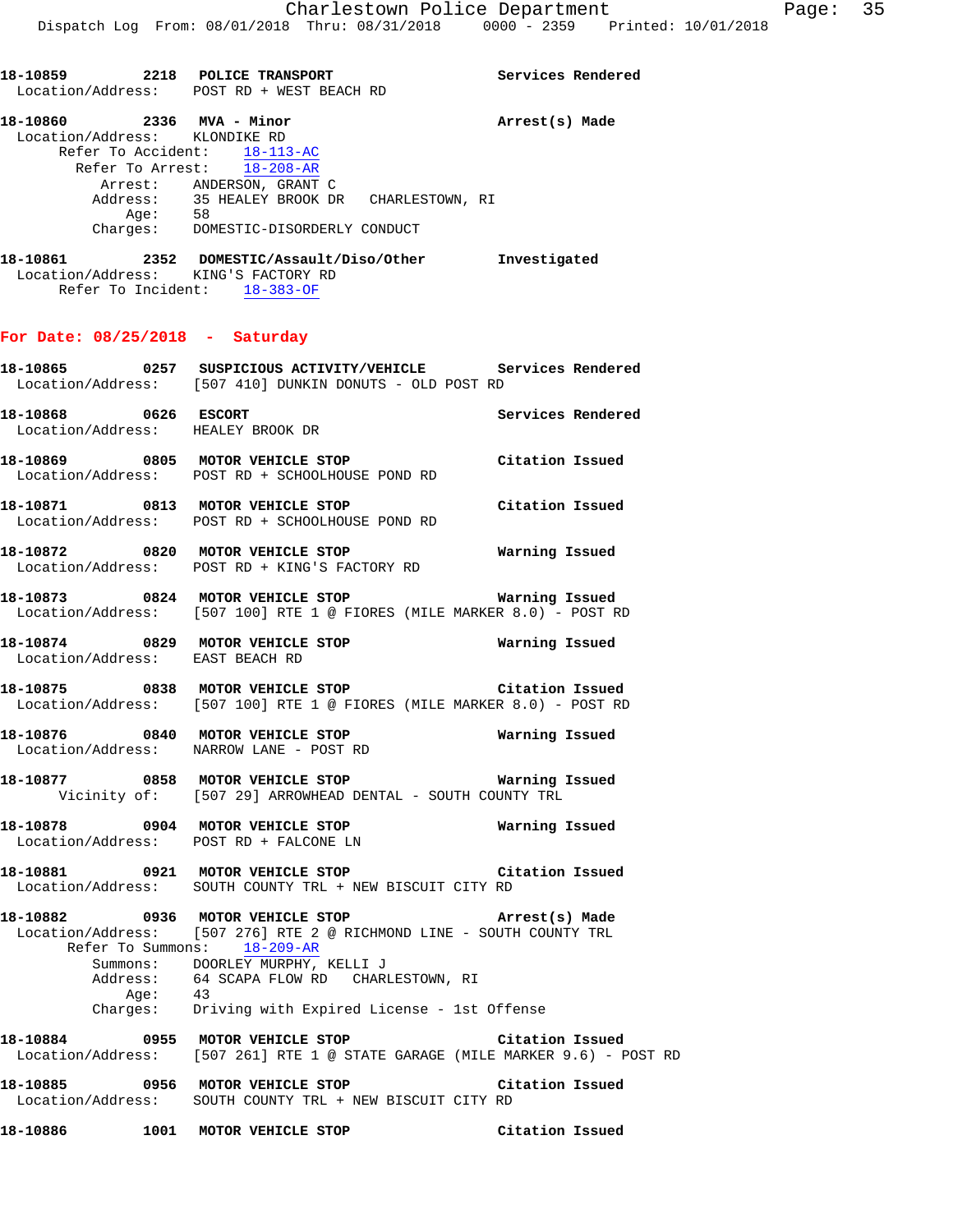**18-10859 2218 POLICE TRANSPORT Services Rendered** 

Location/Address: POST RD + WEST BEACH RD

**18-10860 2336 MVA - Minor Arrest(s) Made**  Location/Address: KLONDIKE RD Refer To Accident: 18-113-AC Refer To Arrest: 18-208-AR Arrest: ANDERSON, GRANT C Address: 35 HEALEY BROOK DR CHARLESTOWN, RI Age: 58 Charges: DOMESTIC-DISORDERLY CONDUCT **18-10861 2352 DOMESTIC/Assault/Diso/Other Investigated**  Location/Address: KING'S FACTORY RD Refer To Incident: 18-383-OF **For Date: 08/25/2018 - Saturday 18-10865 0257 SUSPICIOUS ACTIVITY/VEHICLE Services Rendered**  Location/Address: [507 410] DUNKIN DONUTS - OLD POST RD **18-10868 0626 ESCORT Services Rendered**  Location/Address: HEALEY BROOK DR **18-10869 0805 MOTOR VEHICLE STOP Citation Issued**  Location/Address: POST RD + SCHOOLHOUSE POND RD **18-10871 0813 MOTOR VEHICLE STOP Citation Issued**  Location/Address: POST RD + SCHOOLHOUSE POND RD **18-10872 0820 MOTOR VEHICLE STOP Warning Issued**  Location/Address: POST RD + KING'S FACTORY RD **18-10873 0824 MOTOR VEHICLE STOP Warning Issued**  Location/Address: [507 100] RTE 1 @ FIORES (MILE MARKER 8.0) - POST RD **18-10874 0829 MOTOR VEHICLE STOP Warning Issued**  Location/Address: EAST BEACH RD **18-10875 0838 MOTOR VEHICLE STOP Citation Issued**  Location/Address: [507 100] RTE 1 @ FIORES (MILE MARKER 8.0) - POST RD **18-10876 0840 MOTOR VEHICLE STOP Warning Issued**  Location/Address: NARROW LANE - POST RD **18-10877 0858 MOTOR VEHICLE STOP Warning Issued**  Vicinity of: [507 29] ARROWHEAD DENTAL - SOUTH COUNTY TRL **18-10878 0904 MOTOR VEHICLE STOP Warning Issued**  Location/Address: POST RD + FALCONE LN **18-10881 0921 MOTOR VEHICLE STOP Citation Issued**  Location/Address: SOUTH COUNTY TRL + NEW BISCUIT CITY RD **18-10882 0936 MOTOR VEHICLE STOP Arrest(s) Made**  Location/Address: [507 276] RTE 2 @ RICHMOND LINE - SOUTH COUNTY TRL Refer To Summons: 18-209-AR Summons: DOORLEY MURPHY, KELLI J Address: 64 SCAPA FLOW RD CHARLESTOWN, RI Age:<br>:Charges 43<br>Driving with Expired License - 1st Offense **18-10884 0955 MOTOR VEHICLE STOP Citation Issued**  Location/Address: [507 261] RTE 1 @ STATE GARAGE (MILE MARKER 9.6) - POST RD **18-10885 0956 MOTOR VEHICLE STOP Citation Issued**  Location/Address: SOUTH COUNTY TRL + NEW BISCUIT CITY RD **18-10886 1001 MOTOR VEHICLE STOP Citation Issued**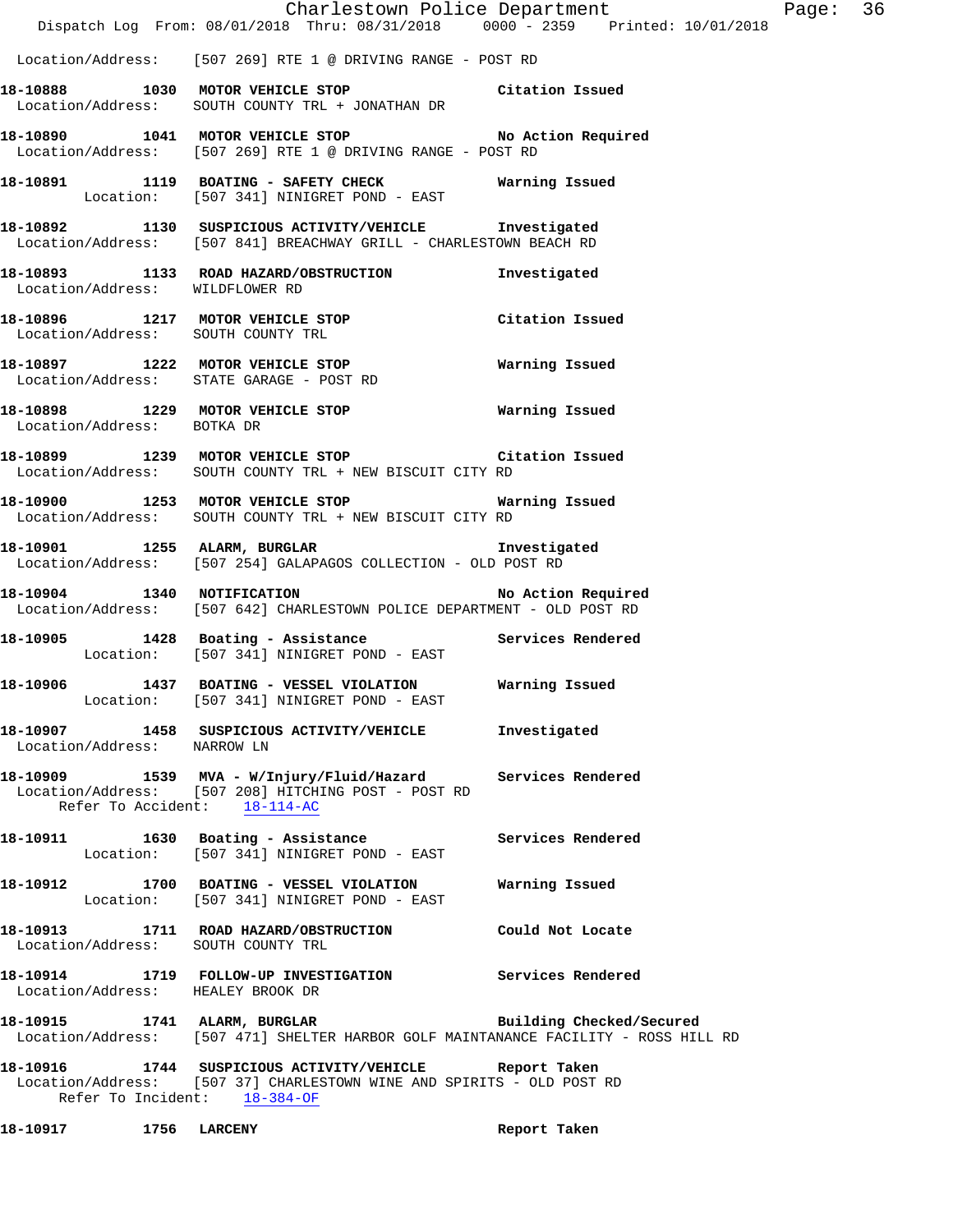|                                    | Charlestown Police Department<br>Dispatch Log From: 08/01/2018 Thru: 08/31/2018 0000 - 2359 Printed: 10/01/2018                                                 |  |
|------------------------------------|-----------------------------------------------------------------------------------------------------------------------------------------------------------------|--|
|                                    | Location/Address: [507 269] RTE 1 @ DRIVING RANGE - POST RD                                                                                                     |  |
|                                    | 18-10888 1030 MOTOR VEHICLE STOP Citation Issued<br>Location/Address: SOUTH COUNTY TRL + JONATHAN DR                                                            |  |
|                                    | 18-10890 1041 MOTOR VEHICLE STOP No Action Required<br>Location/Address: [507 269] RTE 1 @ DRIVING RANGE - POST RD                                              |  |
|                                    | 18-10891 1119 BOATING - SAFETY CHECK Warning Issued<br>Location: [507 341] NINIGRET POND - EAST                                                                 |  |
|                                    | 18-10892 1130 SUSPICIOUS ACTIVITY/VEHICLE Investigated<br>Location/Address: [507 841] BREACHWAY GRILL - CHARLESTOWN BEACH RD                                    |  |
| Location/Address: WILDFLOWER RD    | 18-10893 1133 ROAD HAZARD/OBSTRUCTION Investigated                                                                                                              |  |
|                                    | 18-10896 1217 MOTOR VEHICLE STOP Citation Issued<br>Location/Address: SOUTH COUNTY TRL                                                                          |  |
|                                    | 18-10897 1222 MOTOR VEHICLE STOP Warning Issued<br>Location/Address: STATE GARAGE - POST RD                                                                     |  |
|                                    | 18-10898 1229 MOTOR VEHICLE STOP Warning Issued Location/Address: BOTKA DR                                                                                      |  |
|                                    | 18-10899 1239 MOTOR VEHICLE STOP Citation Issued<br>Location/Address: SOUTH COUNTY TRL + NEW BISCUIT CITY RD                                                    |  |
|                                    | 18-10900 1253 MOTOR VEHICLE STOP Warning Issued<br>Location/Address: SOUTH COUNTY TRL + NEW BISCUIT CITY RD                                                     |  |
|                                    | 18-10901 1255 ALARM, BURGLAR Investigated<br>Location/Address: [507 254] GALAPAGOS COLLECTION - OLD POST RD                                                     |  |
|                                    | 18-10904 1340 NOTIFICATION 18-10904 18-10904<br>Location/Address: [507 642] CHARLESTOWN POLICE DEPARTMENT - OLD POST RD                                         |  |
|                                    | 18-10905 1428 Boating - Assistance Manuel Services Rendered<br>Location: [507 341] NINIGRET POND - EAST                                                         |  |
|                                    | 18-10906 1437 BOATING - VESSEL VIOLATION Warning Issued<br>Location: [507 341] NINIGRET POND - EAST                                                             |  |
| Location/Address: NARROW LN        | 18-10907 1458 SUSPICIOUS ACTIVITY/VEHICLE Investigated                                                                                                          |  |
| Refer To Accident: 18-114-AC       | 18-10909 1539 MVA - W/Injury/Fluid/Hazard Services Rendered<br>Location/Address: [507 208] HITCHING POST - POST RD                                              |  |
|                                    | 18-10911 1630 Boating - Assistance Services Rendered<br>Location: [507 341] NINIGRET POND - EAST                                                                |  |
|                                    | 18-10912 1700 BOATING - VESSEL VIOLATION Warning Issued<br>Location: [507 341] NINIGRET POND - EAST                                                             |  |
| Location/Address: SOUTH COUNTY TRL | 18-10913 1711 ROAD HAZARD/OBSTRUCTION Could Not Locate                                                                                                          |  |
| Location/Address: HEALEY BROOK DR  | 18-10914 1719 FOLLOW-UP INVESTIGATION Services Rendered                                                                                                         |  |
|                                    | 18-10915 1741 ALARM, BURGLAR BURITAR Building Checked/Secured<br>Location/Address: [507 471] SHELTER HARBOR GOLF MAINTANANCE FACILITY - ROSS HILL RD            |  |
|                                    | 18-10916 1744 SUSPICIOUS ACTIVITY/VEHICLE Report Taken<br>Location/Address: [507 37] CHARLESTOWN WINE AND SPIRITS - OLD POST RD<br>Refer To Incident: 18-384-OF |  |

Page: 36

**18-10917 1756 LARCENY Report Taken**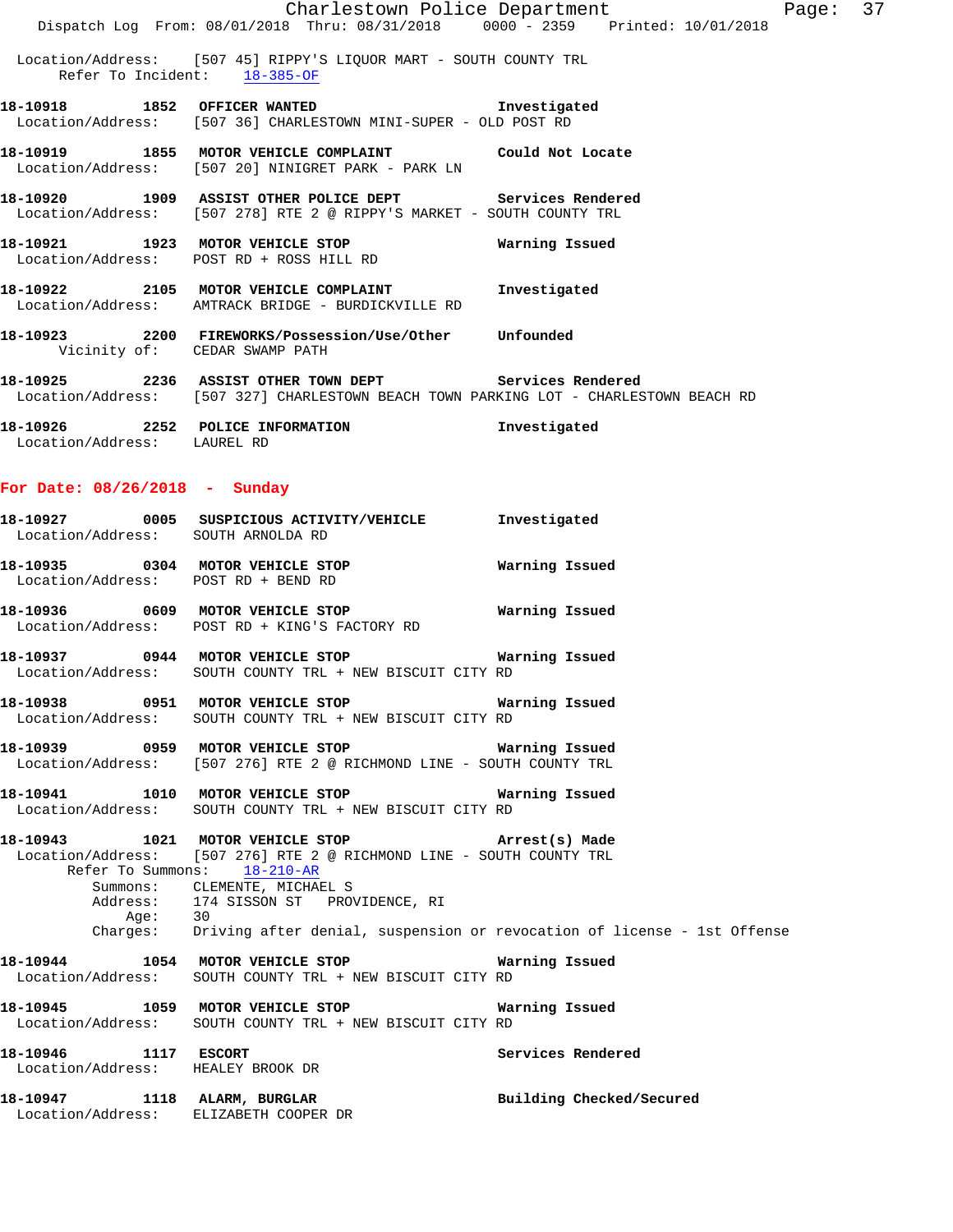|                                     |                                                                                                                                                 | Charlestown Police Department | Page: 37 |  |
|-------------------------------------|-------------------------------------------------------------------------------------------------------------------------------------------------|-------------------------------|----------|--|
|                                     | Dispatch Log From: 08/01/2018 Thru: 08/31/2018 0000 - 2359 Printed: 10/01/2018                                                                  |                               |          |  |
|                                     | Location/Address: [507 45] RIPPY'S LIQUOR MART - SOUTH COUNTY TRL<br>Refer To Incident: 18-385-OF                                               |                               |          |  |
|                                     | 18-10918 1852 OFFICER WANTED 18-10918 Investigated<br>Location/Address: [507 36] CHARLESTOWN MINI-SUPER - OLD POST RD                           |                               |          |  |
|                                     | 18-10919 1855 MOTOR VEHICLE COMPLAINT Could Not Locate<br>Location/Address: [507 20] NINIGRET PARK - PARK LN                                    |                               |          |  |
|                                     | 18-10920 1909 ASSIST OTHER POLICE DEPT Services Rendered<br>Location/Address: [507 278] RTE 2 @ RIPPY'S MARKET - SOUTH COUNTY TRL               |                               |          |  |
|                                     | 18-10921 1923 MOTOR VEHICLE STOP 6 Warning Issued<br>Location/Address: POST RD + ROSS HILL RD                                                   |                               |          |  |
|                                     | 18-10922 2105 MOTOR VEHICLE COMPLAINT Threstigated<br>Location/Address: AMTRACK BRIDGE - BURDICKVILLE RD                                        |                               |          |  |
| Vicinity of: CEDAR SWAMP PATH       | 18-10923 2200 FIREWORKS/Possession/Use/Other Unfounded                                                                                          |                               |          |  |
|                                     | 18-10925 2236 ASSIST OTHER TOWN DEPT Services Rendered<br>Location/Address: [507 327] CHARLESTOWN BEACH TOWN PARKING LOT - CHARLESTOWN BEACH RD |                               |          |  |
| Location/Address: LAUREL RD         | 18-10926 2252 POLICE INFORMATION                                                                                                                | Investigated                  |          |  |
| For Date: 08/26/2018 - Sunday       |                                                                                                                                                 |                               |          |  |
| Location/Address: SOUTH ARNOLDA RD  | 18-10927 0005 SUSPICIOUS ACTIVITY/VEHICLE Investigated                                                                                          |                               |          |  |
| Location/Address: POST RD + BEND RD | 18-10935 0304 MOTOR VEHICLE STOP 6 Warning Issued                                                                                               |                               |          |  |
|                                     |                                                                                                                                                 | Warning Issued                |          |  |

**18-10937 0944 MOTOR VEHICLE STOP Warning Issued**  Location/Address: SOUTH COUNTY TRL + NEW BISCUIT CITY RD

Location/Address: POST RD + KING'S FACTORY RD

**18-10938 0951 MOTOR VEHICLE STOP Warning Issued**  Location/Address: SOUTH COUNTY TRL + NEW BISCUIT CITY RD

**18-10939 0959 MOTOR VEHICLE STOP Warning Issued**  Location/Address: [507 276] RTE 2 @ RICHMOND LINE - SOUTH COUNTY TRL

**18-10941 1010 MOTOR VEHICLE STOP Warning Issued**  Location/Address: SOUTH COUNTY TRL + NEW BISCUIT CITY RD

**18-10943 1021 MOTOR VEHICLE STOP Arrest(s) Made**  Location/Address: [507 276] RTE 2 @ RICHMOND LINE - SOUTH COUNTY TRL Refer To Summons:  $18-210-AR$ Refer To Summons: Summons: CLEMENTE, MICHAEL S Address: 174 SISSON ST PROVIDENCE, RI Age: 30 Charges: Driving after denial, suspension or revocation of license - 1st Offense

**18-10944 1054 MOTOR VEHICLE STOP Warning Issued**  Location/Address: SOUTH COUNTY TRL + NEW BISCUIT CITY RD

**18-10945 1059 MOTOR VEHICLE STOP Warning Issued**  Location/Address: SOUTH COUNTY TRL + NEW BISCUIT CITY RD

**18-10946 1117 ESCORT Services Rendered**  Location/Address: HEALEY BROOK DR

**18-10947 1118 ALARM, BURGLAR Building Checked/Secured**  Location/Address: ELIZABETH COOPER DR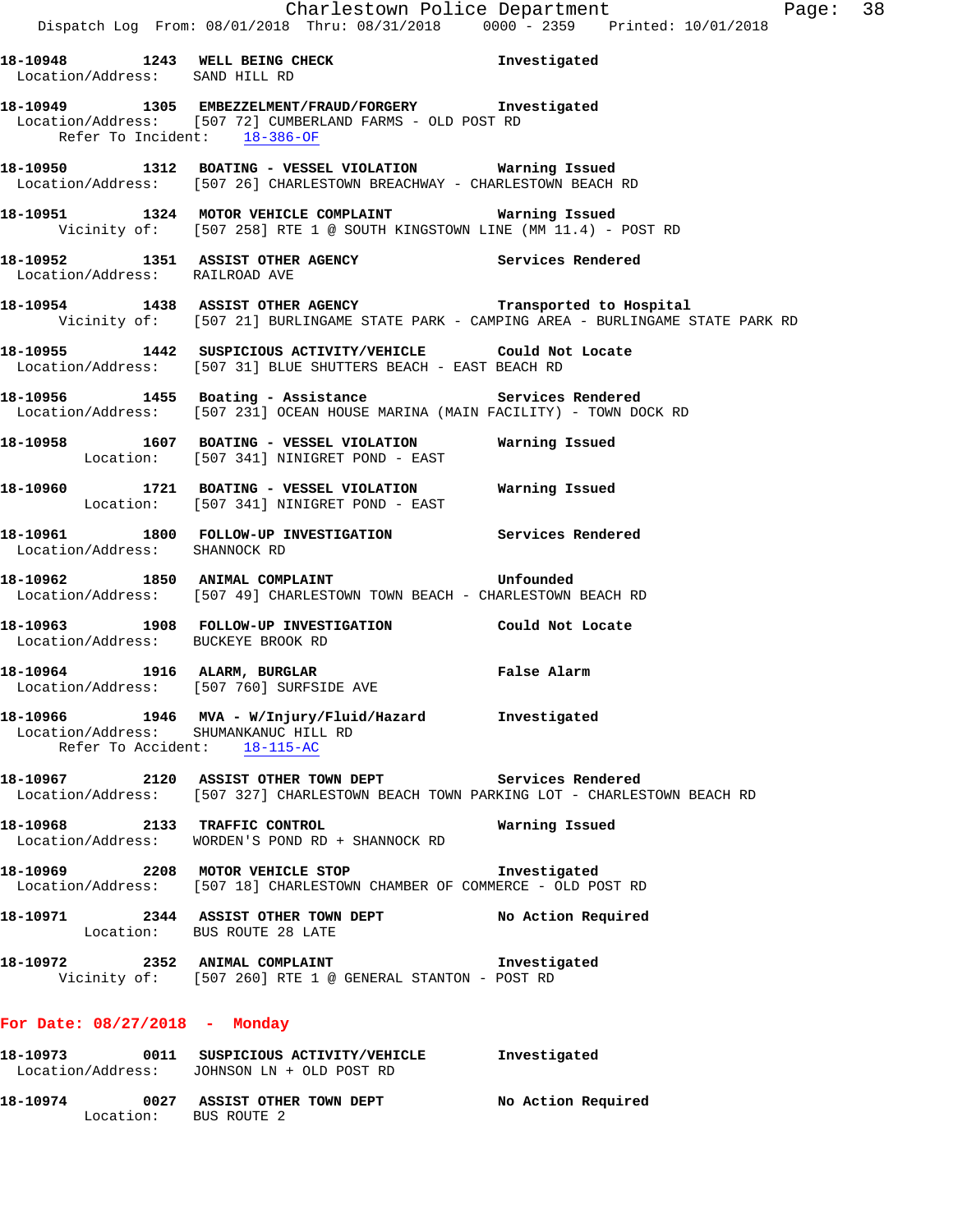**18-10948 1243 WELL BEING CHECK Investigated**  Location/Address: SAND HILL RD **18-10949 1305 EMBEZZELMENT/FRAUD/FORGERY Investigated**  Location/Address: [507 72] CUMBERLAND FARMS - OLD POST RD Refer To Incident: 18-386-OF **18-10950 1312 BOATING - VESSEL VIOLATION Warning Issued**  Location/Address: [507 26] CHARLESTOWN BREACHWAY - CHARLESTOWN BEACH RD **18-10951 1324 MOTOR VEHICLE COMPLAINT Warning Issued**  Vicinity of: [507 258] RTE 1 @ SOUTH KINGSTOWN LINE (MM 11.4) - POST RD **18-10952 1351 ASSIST OTHER AGENCY Services Rendered**  Location/Address: RAILROAD AVE **18-10954 1438 ASSIST OTHER AGENCY Transported to Hospital**  Vicinity of: [507 21] BURLINGAME STATE PARK - CAMPING AREA - BURLINGAME STATE PARK RD **18-10955 1442 SUSPICIOUS ACTIVITY/VEHICLE Could Not Locate**  Location/Address: [507 31] BLUE SHUTTERS BEACH - EAST BEACH RD **18-10956 1455 Boating - Assistance Services Rendered**  Location/Address: [507 231] OCEAN HOUSE MARINA (MAIN FACILITY) - TOWN DOCK RD **18-10958 1607 BOATING - VESSEL VIOLATION Warning Issued**  Location: [507 341] NINIGRET POND - EAST **18-10960 1721 BOATING - VESSEL VIOLATION Warning Issued**  Location: [507 341] NINIGRET POND - EAST **18-10961 1800 FOLLOW-UP INVESTIGATION Services Rendered**  Location/Address: SHANNOCK RD **18-10962 1850 ANIMAL COMPLAINT Unfounded**  Location/Address: [507 49] CHARLESTOWN TOWN BEACH - CHARLESTOWN BEACH RD **18-10963 1908 FOLLOW-UP INVESTIGATION Could Not Locate**  Location/Address: BUCKEYE BROOK RD **18-10964 1916 ALARM, BURGLAR False Alarm**  Location/Address: [507 760] SURFSIDE AVE **18-10966 1946 MVA - W/Injury/Fluid/Hazard Investigated**  Location/Address: SHUMANKANUC HILL RD Refer To Accident: 18-115-AC **18-10967 2120 ASSIST OTHER TOWN DEPT Services Rendered**  Location/Address: [507 327] CHARLESTOWN BEACH TOWN PARKING LOT - CHARLESTOWN BEACH RD **18-10968 2133 TRAFFIC CONTROL Warning Issued**  Location/Address: WORDEN'S POND RD + SHANNOCK RD **18-10969 2208 MOTOR VEHICLE STOP Investigated**  Location/Address: [507 18] CHARLESTOWN CHAMBER OF COMMERCE - OLD POST RD **18-10971 2344 ASSIST OTHER TOWN DEPT No Action Required**  Location: BUS ROUTE 28 LATE **18-10972 2352 ANIMAL COMPLAINT Investigated**  Vicinity of: [507 260] RTE 1 @ GENERAL STANTON - POST RD **For Date: 08/27/2018 - Monday 18-10973 0011 SUSPICIOUS ACTIVITY/VEHICLE Investigated**  Location/Address: JOHNSON LN + OLD POST RD

**18-10974 0027 ASSIST OTHER TOWN DEPT No Action Required**  Location: BUS ROUTE 2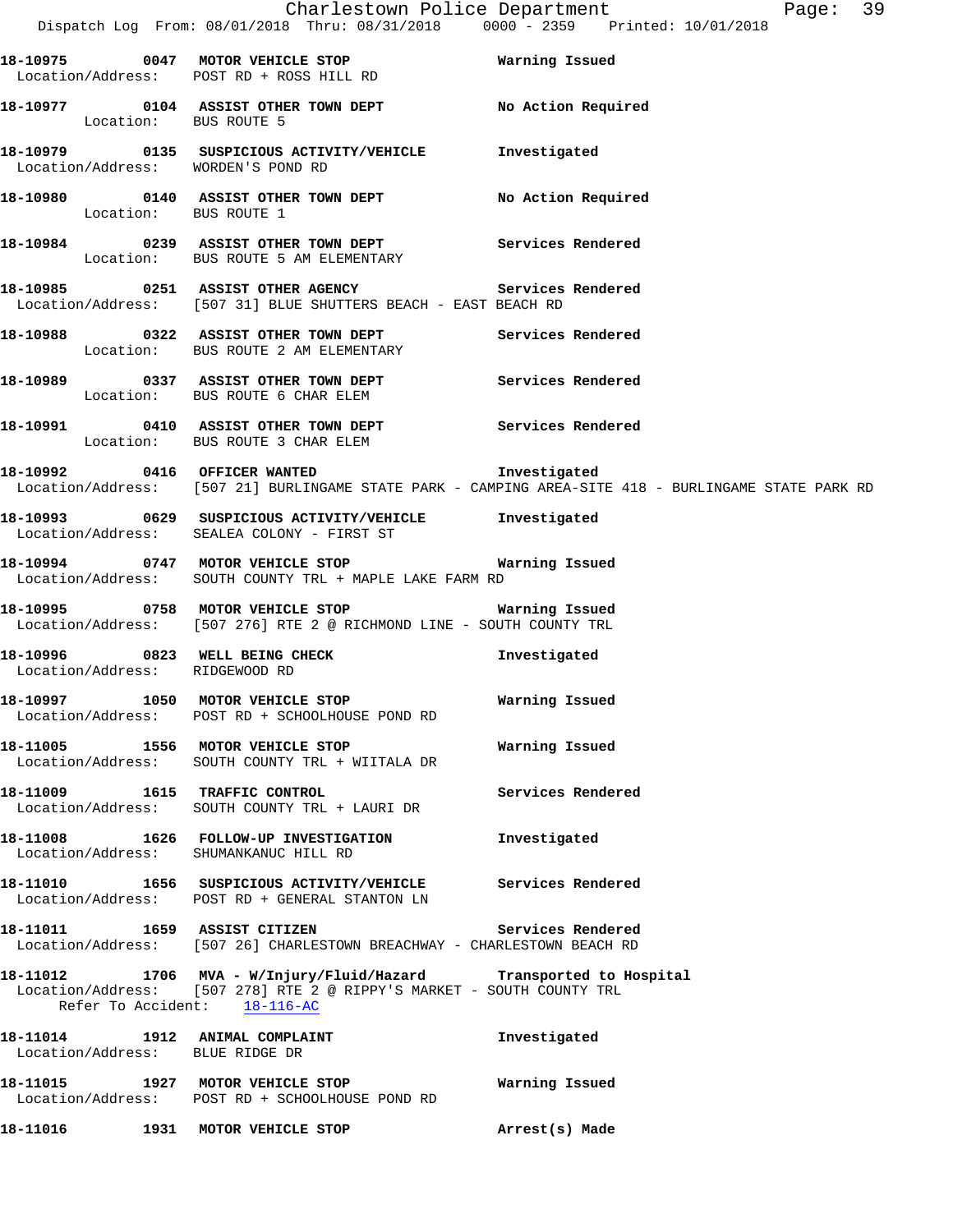|                                       | Dispatch Log From: 08/01/2018 Thru: 08/31/2018  0000 - 2359  Printed: 10/01/2018                                                           | Charlestown Police Department Page: 39                                                              |
|---------------------------------------|--------------------------------------------------------------------------------------------------------------------------------------------|-----------------------------------------------------------------------------------------------------|
|                                       |                                                                                                                                            |                                                                                                     |
|                                       | Location/Address: POST RD + ROSS HILL RD                                                                                                   |                                                                                                     |
| Location: BUS ROUTE 5                 |                                                                                                                                            |                                                                                                     |
| Location/Address: WORDEN'S POND RD    | 18-10979 0135 SUSPICIOUS ACTIVITY/VEHICLE Investigated                                                                                     |                                                                                                     |
| Location: BUS ROUTE 1                 |                                                                                                                                            |                                                                                                     |
|                                       |                                                                                                                                            |                                                                                                     |
|                                       | 18-10985 0251 ASSIST OTHER AGENCY<br>Location/Address: [507 31] BLUE SHUTTERS BEACH - EAST BEACH RD                                        | Services Rendered                                                                                   |
|                                       | 18-10988   0322   ASSIST OTHER TOWN DEPT   Services Rendered   Location:   BUS ROUTE 2 AM ELEMENTARY                                       |                                                                                                     |
|                                       | 18-10989 0337 ASSIST OTHER TOWN DEPT Services Rendered<br>Location: BUS ROUTE 6 CHAR ELEM                                                  |                                                                                                     |
|                                       | 18-10991 0410 ASSIST OTHER TOWN DEPT Services Rendered<br>Location: BUS ROUTE 3 CHAR ELEM                                                  |                                                                                                     |
|                                       | 18-10992 0416 OFFICER WANTED <b>Investigated</b>                                                                                           | Location/Address: [507 21] BURLINGAME STATE PARK - CAMPING AREA-SITE 418 - BURLINGAME STATE PARK RD |
|                                       | 18-10993 0629 SUSPICIOUS ACTIVITY/VEHICLE Tnvestigated<br>Location/Address: SEALEA COLONY - FIRST ST                                       |                                                                                                     |
|                                       | 18-10994 0747 MOTOR VEHICLE STOP <b>Exam Property</b> Warning Issued<br>Location/Address: SOUTH COUNTY TRL + MAPLE LAKE FARM RD            |                                                                                                     |
|                                       | Location/Address: [507 276] RTE 2 @ RICHMOND LINE - SOUTH COUNTY TRL                                                                       |                                                                                                     |
| Location/Address: RIDGEWOOD RD        | 18-10996 0823 WELL BEING CHECK                                                                                                             | Investigated                                                                                        |
|                                       | 18-10997 1050 MOTOR VEHICLE STOP<br>Location/Address: POST RD + SCHOOLHOUSE POND RD                                                        | Warning Issued                                                                                      |
|                                       | 18-11005 1556 MOTOR VEHICLE STOP <b>18-11005</b> Varning Issued<br>Location/Address: SOUTH COUNTY TRL + WIITALA DR                         |                                                                                                     |
| 18-11009 1615 TRAFFIC CONTROL         | Location/Address: SOUTH COUNTY TRL + LAURI DR                                                                                              | Services Rendered                                                                                   |
| Location/Address: SHUMANKANUC HILL RD | 18-11008 1626 FOLLOW-UP INVESTIGATION                                                                                                      | Investigated                                                                                        |
|                                       | 18-11010 1656 SUSPICIOUS ACTIVITY/VEHICLE Services Rendered<br>Location/Address: POST RD + GENERAL STANTON LN                              |                                                                                                     |
|                                       | 18-11011 1659 ASSIST CITIZEN 18-11011 Services Rendered<br>Location/Address: [507 26] CHARLESTOWN BREACHWAY - CHARLESTOWN BEACH RD         |                                                                                                     |
| Refer To Accident: 18-116-AC          | 18-11012 1706 MVA - W/Injury/Fluid/Hazard Transported to Hospital<br>Location/Address: [507 278] RTE 2 @ RIPPY'S MARKET - SOUTH COUNTY TRL |                                                                                                     |
| Location/Address: BLUE RIDGE DR       | 18-11014 1912 ANIMAL COMPLAINT                                                                                                             | Investigated                                                                                        |
|                                       | 18-11015 1927 MOTOR VEHICLE STOP<br>Location/Address: POST RD + SCHOOLHOUSE POND RD                                                        | Warning Issued                                                                                      |
|                                       | 18-11016    1931 MOTOR VEHICLE STOP                                                                                                        | Arrest(s) Made                                                                                      |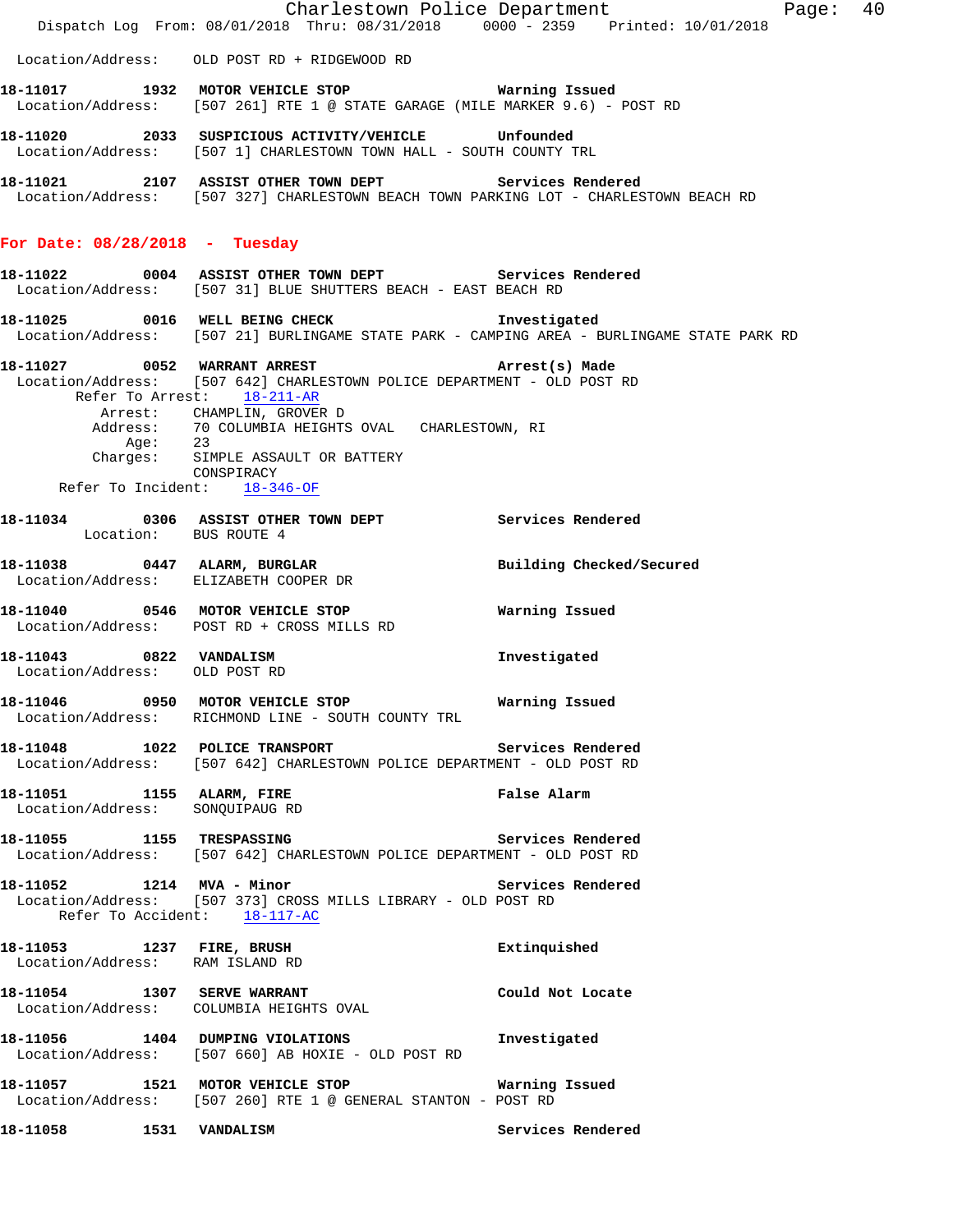|                                                              | Dispatch Log From: 08/01/2018 Thru: 08/31/2018 0000 - 2359 Printed: 10/01/2018                                                                  | Charlestown Police Department The Page: 40 |
|--------------------------------------------------------------|-------------------------------------------------------------------------------------------------------------------------------------------------|--------------------------------------------|
|                                                              | Location/Address: OLD POST RD + RIDGEWOOD RD                                                                                                    |                                            |
|                                                              | 18-11017 1932 MOTOR VEHICLE STOP Warning Issued<br>Location/Address: [507 261] RTE 1 @ STATE GARAGE (MILE MARKER 9.6) - POST RD                 |                                            |
|                                                              | 18-11020 2033 SUSPICIOUS ACTIVITY/VEHICLE Unfounded<br>Location/Address: [507 1] CHARLESTOWN TOWN HALL - SOUTH COUNTY TRL                       |                                            |
|                                                              | 18-11021 2107 ASSIST OTHER TOWN DEPT Services Rendered<br>Location/Address: [507 327] CHARLESTOWN BEACH TOWN PARKING LOT - CHARLESTOWN BEACH RD |                                            |
| For Date: 08/28/2018 - Tuesday                               |                                                                                                                                                 |                                            |
|                                                              | 18-11022 0004 ASSIST OTHER TOWN DEPT Services Rendered<br>Location/Address: [507 31] BLUE SHUTTERS BEACH - EAST BEACH RD                        |                                            |
|                                                              | 18-11025 0016 WELL BEING CHECK 1nvestigated<br>Location/Address: [507 21] BURLINGAME STATE PARK - CAMPING AREA - BURLINGAME STATE PARK RD       |                                            |
|                                                              | 18-11027 0052 WARRANT ARREST 2001 Arrest(s) Made<br>Location/Address: [507 642] CHARLESTOWN POLICE DEPARTMENT - OLD POST RD                     |                                            |
|                                                              | Refer To Arrest: 18-211-AR<br>Arrest: CHAMPLIN, GROVER D<br>Address: 70 COLUMBIA HEIGHTS OVAL CHARLESTOWN, RI                                   |                                            |
|                                                              | Age: 23<br>Charges: SIMPLE ASSAULT OR BATTERY<br>CONSPIRACY                                                                                     |                                            |
|                                                              | Refer To Incident: $18-346-OF$                                                                                                                  |                                            |
| Location: BUS ROUTE 4                                        | 18-11034 0306 ASSIST OTHER TOWN DEPT Services Rendered                                                                                          |                                            |
|                                                              | 18-11038 0447 ALARM, BURGLAR<br>Location/Address: ELIZABETH COOPER DR                                                                           | Building Checked/Secured                   |
|                                                              | 18-11040 0546 MOTOR VEHICLE STOP<br>Location/Address: POST RD + CROSS MILLS RD                                                                  | Warning Issued                             |
| 18-11043 0822 VANDALISM<br>Location/Address: OLD POST RD     |                                                                                                                                                 | Investigated                               |
|                                                              | 18-11046 0950 MOTOR VEHICLE STOP 6 Warning Issued<br>Location/Address: RICHMOND LINE - SOUTH COUNTY TRL                                         |                                            |
|                                                              | 18-11048 1022 POLICE TRANSPORT<br>Location/Address: [507 642] CHARLESTOWN POLICE DEPARTMENT - OLD POST RD                                       | Services Rendered                          |
| 18-11051 1155 ALARM, FIRE<br>Location/Address: SONQUIPAUG RD |                                                                                                                                                 | False Alarm                                |
|                                                              | 18-11055 1155 TRESPASSING<br>Location/Address: [507 642] CHARLESTOWN POLICE DEPARTMENT - OLD POST RD                                            | Services Rendered                          |
|                                                              | 18-11052 1214 MVA - Minor<br>Location/Address: [507 373] CROSS MILLS LIBRARY - OLD POST RD<br>Refer To Accident: 18-117-AC                      | Services Rendered                          |
| Location/Address: RAM ISLAND RD                              | 18-11053 1237 FIRE, BRUSH                                                                                                                       | Extinguished                               |
|                                                              | 18-11054   1307   SERVE WARRANT<br>Location/Address: COLUMBIA HEIGHTS OVAL                                                                      | Could Not Locate                           |
|                                                              | 18-11056 1404 DUMPING VIOLATIONS<br>Location/Address: [507 660] AB HOXIE - OLD POST RD                                                          | Investigated                               |
|                                                              | 18-11057 1521 MOTOR VEHICLE STOP<br>Location/Address: [507 260] RTE 1 @ GENERAL STANTON - POST RD                                               | Warning Issued                             |
| 18-11058 1531 VANDALISM                                      |                                                                                                                                                 | Services Rendered                          |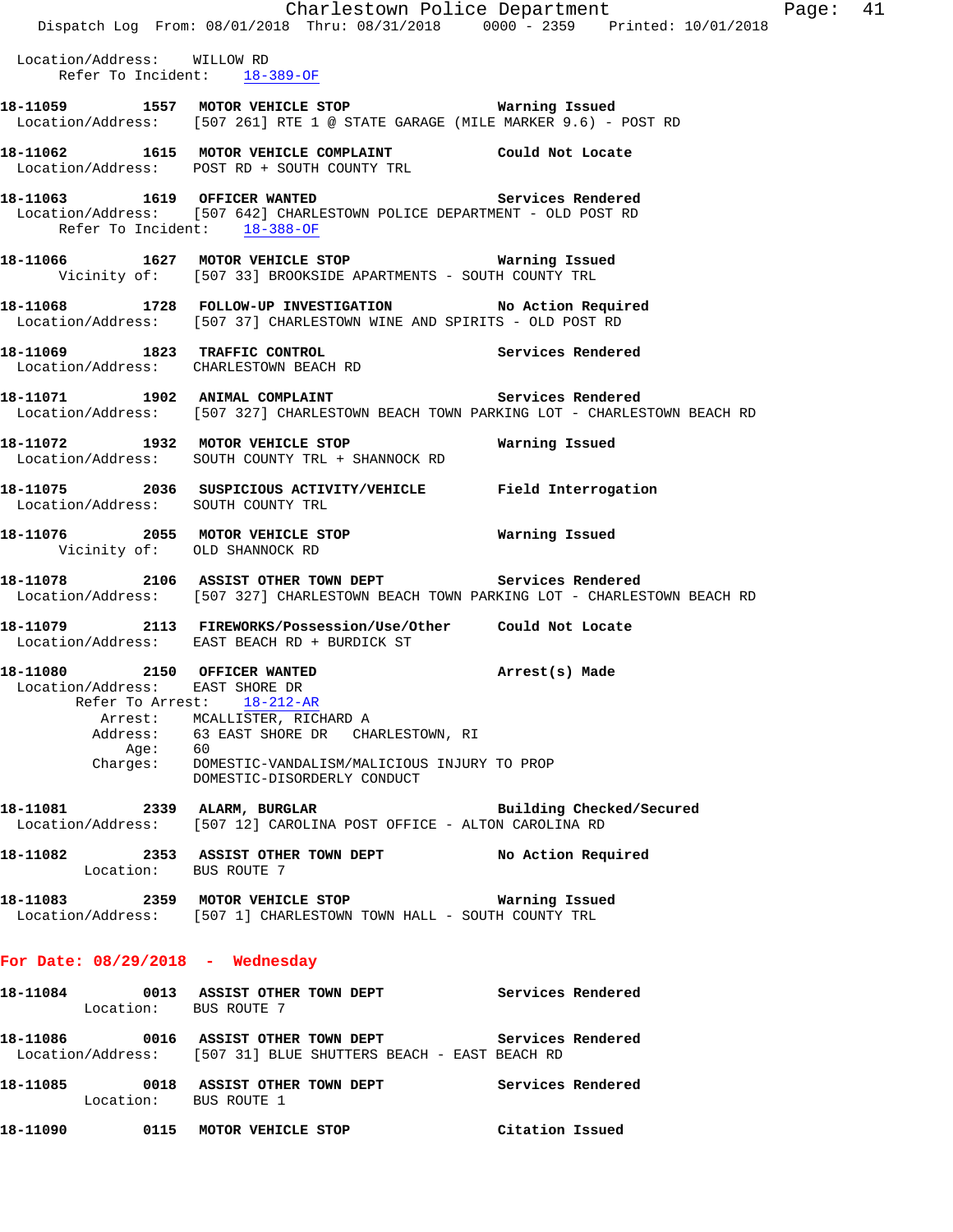|                                                                 |                                                                                                                                                 | Charlestown Police Department | Page: 41 |  |
|-----------------------------------------------------------------|-------------------------------------------------------------------------------------------------------------------------------------------------|-------------------------------|----------|--|
|                                                                 | Dispatch Log From: 08/01/2018 Thru: 08/31/2018 0000 - 2359 Printed: 10/01/2018                                                                  |                               |          |  |
| Location/Address: WILLOW RD                                     | Refer To Incident: 18-389-OF                                                                                                                    |                               |          |  |
|                                                                 | 18-11059 1557 MOTOR VEHICLE STOP 18 Warning Issued<br>Location/Address: [507 261] RTE 1 @ STATE GARAGE (MILE MARKER 9.6) - POST RD              |                               |          |  |
|                                                                 | 18-11062   1615   MOTOR VEHICLE COMPLAINT   Could Not Locate Location/Address:   POST RD + SOUTH COUNTY TRL                                     |                               |          |  |
| Refer To Incident: 18-388-OF                                    | 18-11063 1619 OFFICER WANTED<br>Location/Address: [507 642] CHARLESTOWN POLICE DEPARTMENT - OLD POST RD                                         | Services Rendered             |          |  |
|                                                                 | 18-11066 1627 MOTOR VEHICLE STOP <b>Marning Issued</b><br>Vicinity of: [507 33] BROOKSIDE APARTMENTS - SOUTH COUNTY TRL                         |                               |          |  |
|                                                                 | 18-11068 1728 FOLLOW-UP INVESTIGATION No Action Required<br>Location/Address: [507 37] CHARLESTOWN WINE AND SPIRITS - OLD POST RD               |                               |          |  |
|                                                                 | 18-11069 1823 TRAFFIC CONTROL<br>Location/Address: CHARLESTOWN BEACH RD                                                                         | Services Rendered             |          |  |
|                                                                 | 18-11071 1902 ANIMAL COMPLAINT Services Rendered<br>Location/Address: [507 327] CHARLESTOWN BEACH TOWN PARKING LOT - CHARLESTOWN BEACH RD       |                               |          |  |
|                                                                 | 18-11072 1932 MOTOR VEHICLE STOP<br>Location/Address: SOUTH COUNTY TRL + SHANNOCK RD                                                            | Warning Issued                |          |  |
|                                                                 | 18-11075  2036  SUSPICIOUS ACTIVITY/VEHICLE  Field Interrogation  Location/Address:  SOUTH COUNTY TRL                                           |                               |          |  |
| Vicinity of: OLD SHANNOCK RD                                    |                                                                                                                                                 |                               |          |  |
|                                                                 | 18-11078 2106 ASSIST OTHER TOWN DEPT Services Rendered<br>Location/Address: [507 327] CHARLESTOWN BEACH TOWN PARKING LOT - CHARLESTOWN BEACH RD |                               |          |  |
|                                                                 | 18-11079 2113 FIREWORKS/Possession/Use/Other Could Not Locate<br>Location/Address: EAST BEACH RD + BURDICK ST                                   |                               |          |  |
| 18-11080 2150 OFFICER WANTED<br>Location/Address: EAST SHORE DR | Refer To Arrest: 18-212-AR                                                                                                                      | Arrest(s) Made                |          |  |
|                                                                 | Arrest: MCALLISTER, RICHARD A                                                                                                                   |                               |          |  |
|                                                                 | Address: 63 EAST SHORE DR CHARLESTOWN, RI                                                                                                       |                               |          |  |
|                                                                 | Age: 60<br>Charges: DOMESTIC-VANDALISM/MALICIOUS INJURY TO PROP<br>DOMESTIC-DISORDERLY CONDUCT                                                  |                               |          |  |
|                                                                 | 18-11081 2339 ALARM, BURGLAR<br>Location/Address: [507 12] CAROLINA POST OFFICE - ALTON CAROLINA RD                                             | Building Checked/Secured      |          |  |
| Location: BUS ROUTE 7                                           | 18-11082 2353 ASSIST OTHER TOWN DEPT No Action Required                                                                                         |                               |          |  |
|                                                                 | Location/Address: [507 1] CHARLESTOWN TOWN HALL - SOUTH COUNTY TRL                                                                              |                               |          |  |
| For Date: $08/29/2018$ - Wednesday                              |                                                                                                                                                 |                               |          |  |
| Location: BUS ROUTE 7                                           | 18-11084 0013 ASSIST OTHER TOWN DEPT Services Rendered                                                                                          |                               |          |  |
|                                                                 | 18-11086 6016 ASSIST OTHER TOWN DEPT Services Rendered<br>Location/Address: [507 31] BLUE SHUTTERS BEACH - EAST BEACH RD                        |                               |          |  |
| Location: BUS ROUTE 1                                           | 18-11085 0018 ASSIST OTHER TOWN DEPT Services Rendered                                                                                          |                               |          |  |
|                                                                 | 18-11090   0115 MOTOR VEHICLE STOP   Citation Issued                                                                                            |                               |          |  |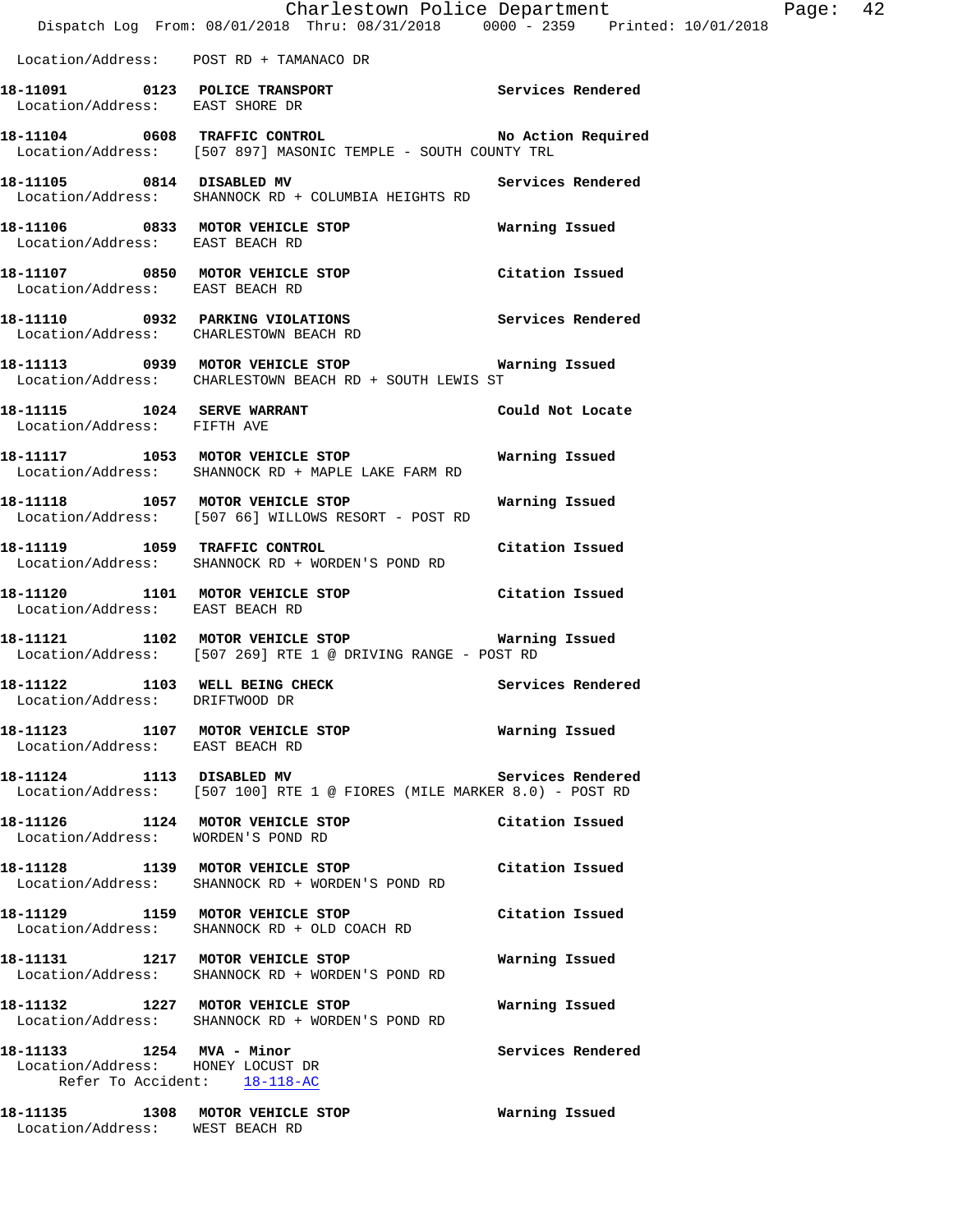|                                                                    | Dispatch Log From: 08/01/2018 Thru: 08/31/2018 0000 - 2359 Printed: 10/01/2018                                    | Charlestown Police Department | Ρ |
|--------------------------------------------------------------------|-------------------------------------------------------------------------------------------------------------------|-------------------------------|---|
|                                                                    | Location/Address: POST RD + TAMANACO DR                                                                           |                               |   |
|                                                                    | 18-11091 0123 POLICE TRANSPORT Services Rendered Location/Address: EAST SHORE DR                                  |                               |   |
|                                                                    | 18-11104 0608 TRAFFIC CONTROL No Action Required<br>Location/Address: [507 897] MASONIC TEMPLE - SOUTH COUNTY TRL |                               |   |
|                                                                    | 18-11105 0814 DISABLED MV Services Rendered<br>Location/Address: SHANNOCK RD + COLUMBIA HEIGHTS RD                |                               |   |
|                                                                    | 18-11106 0833 MOTOR VEHICLE STOP Warning Issued<br>Location/Address: EAST BEACH RD                                |                               |   |
| Location/Address: EAST BEACH RD                                    | 18-11107 0850 MOTOR VEHICLE STOP Citation Issued                                                                  |                               |   |
|                                                                    | 18-11110   0932   PARKING VIOLATIONS   Services Rendered Location/Address:   CHARLESTOWN BEACH RD                 |                               |   |
|                                                                    | 18-11113 0939 MOTOR VEHICLE STOP <b>WATER WATER</b><br>Location/Address: CHARLESTOWN BEACH RD + SOUTH LEWIS ST    |                               |   |
| Location/Address: FIFTH AVE                                        | 18-11115 1024 SERVE WARRANT Could Not Locate                                                                      |                               |   |
|                                                                    | 18-11117 1053 MOTOR VEHICLE STOP Warning Issued<br>Location/Address: SHANNOCK RD + MAPLE LAKE FARM RD             |                               |   |
|                                                                    | Location/Address: [507 66] WILLOWS RESORT - POST RD                                                               |                               |   |
|                                                                    | Citation Issued<br>18-11119 1059 TRAFFIC CONTROL<br>Location/Address: SHANNOCK RD + WORDEN'S POND RD              |                               |   |
| Location/Address: EAST BEACH RD                                    | 18-11120 1101 MOTOR VEHICLE STOP Citation Issued                                                                  |                               |   |
|                                                                    | 18-11121 1102 MOTOR VEHICLE STOP Warning Issued<br>Location/Address: [507 269] RTE 1 @ DRIVING RANGE - POST RD    |                               |   |
| Location/Address: DRIFTWOOD DR                                     | 18-11122 1103 WELL BEING CHECK                                                                                    | Services Rendered             |   |
| Location/Address: EAST BEACH RD                                    | 18-11123 1107 MOTOR VEHICLE STOP                                                                                  | Warning Issued                |   |
| 18-11124 1113 DISABLED MV                                          | Location/Address: [507 100] RTE 1 @ FIORES (MILE MARKER 8.0) - POST RD                                            | Services Rendered             |   |
| Location/Address: WORDEN'S POND RD                                 | 18-11126 1124 MOTOR VEHICLE STOP                                                                                  | Citation Issued               |   |
|                                                                    | 18-11128 1139 MOTOR VEHICLE STOP<br>Location/Address: SHANNOCK RD + WORDEN'S POND RD                              | Citation Issued               |   |
|                                                                    | 18-11129 1159 MOTOR VEHICLE STOP<br>Location/Address: SHANNOCK RD + OLD COACH RD                                  | Citation Issued               |   |
|                                                                    | 18-11131 1217 MOTOR VEHICLE STOP<br>Location/Address: SHANNOCK RD + WORDEN'S POND RD                              | Warning Issued                |   |
|                                                                    | 18-11132 1227 MOTOR VEHICLE STOP<br>Location/Address: SHANNOCK RD + WORDEN'S POND RD                              | Warning Issued                |   |
| 18-11133   1254   MVA - Minor<br>Location/Address: HONEY LOCUST DR | Refer To Accident: 18-118-AC                                                                                      | Services Rendered             |   |
|                                                                    |                                                                                                                   |                               |   |

**18-11135 1308 MOTOR VEHICLE STOP Warning Issued**  Location/Address: WEST BEACH RD

Page: 42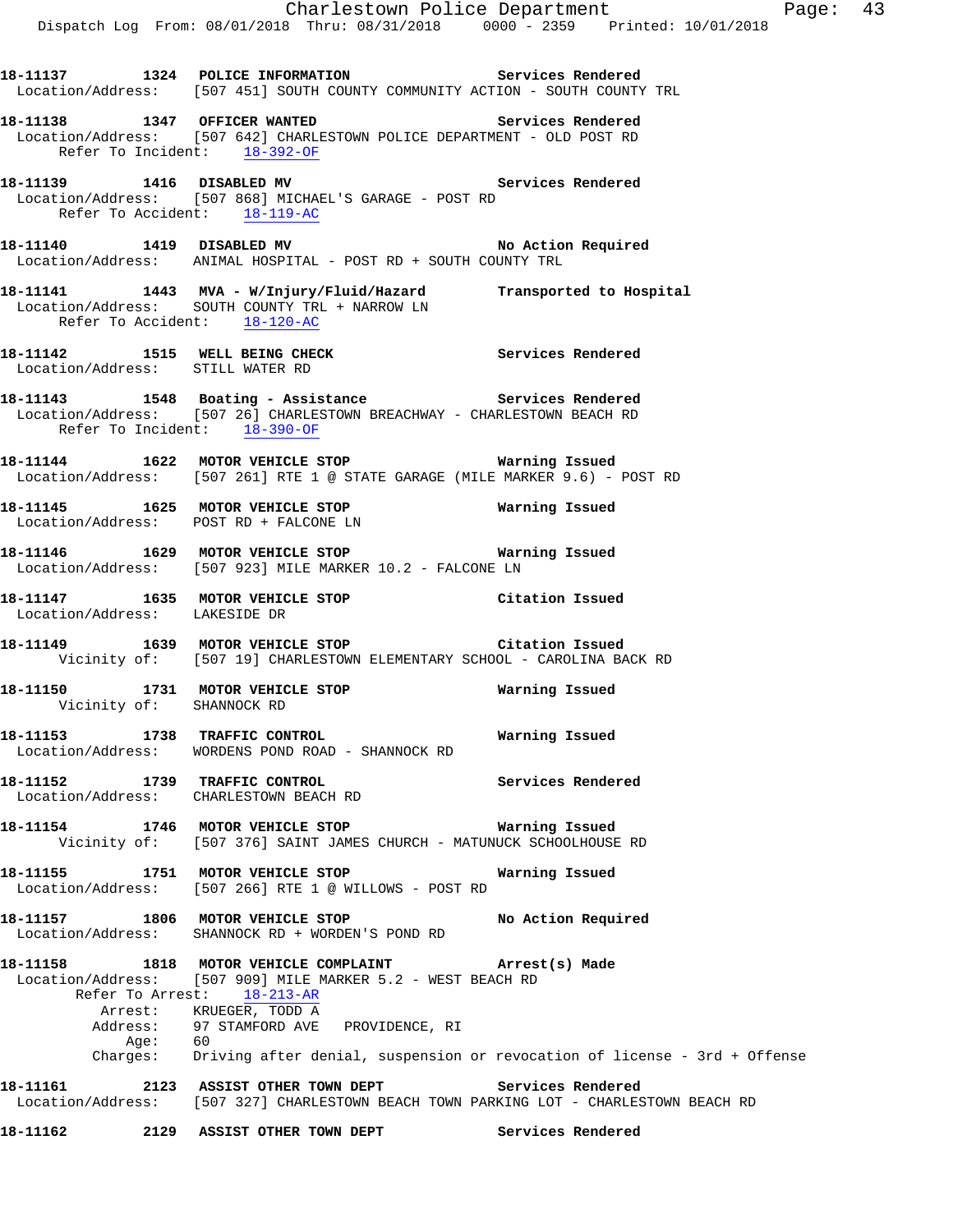**18-11137 1324 POLICE INFORMATION Services Rendered**  Location/Address: [507 451] SOUTH COUNTY COMMUNITY ACTION - SOUTH COUNTY TRL **18-11138 1347 OFFICER WANTED Services Rendered**  Location/Address: [507 642] CHARLESTOWN POLICE DEPARTMENT - OLD POST RD Refer To Incident: 18-392-OF **18-11139 1416 DISABLED MV Services Rendered**  Location/Address: [507 868] MICHAEL'S GARAGE - POST RD Refer To Accident: 18-119-AC 18-11140 **1419** DISABLED MV **No Action Required**  Location/Address: ANIMAL HOSPITAL - POST RD + SOUTH COUNTY TRL **18-11141 1443 MVA - W/Injury/Fluid/Hazard Transported to Hospital**  Location/Address: SOUTH COUNTY TRL + NARROW LN Refer To Accident: 18-120-AC **18-11142 1515 WELL BEING CHECK Services Rendered**  Location/Address: STILL WATER RD 18-11143 1548 Boating - Assistance **18-11143** Services Rendered Location/Address: [507 26] CHARLESTOWN BREACHWAY - CHARLESTOWN BEACH RD Refer To Incident: 18-390-OF **18-11144 1622 MOTOR VEHICLE STOP Warning Issued**  Location/Address: [507 261] RTE 1 @ STATE GARAGE (MILE MARKER 9.6) - POST RD **18-11145 1625 MOTOR VEHICLE STOP Warning Issued**  Location/Address: POST RD + FALCONE LN **18-11146 1629 MOTOR VEHICLE STOP Warning Issued**  Location/Address: [507 923] MILE MARKER 10.2 - FALCONE LN **18-11147 1635 MOTOR VEHICLE STOP Citation Issued**  Location/Address: LAKESIDE DR **18-11149 1639 MOTOR VEHICLE STOP Citation Issued**  Vicinity of: [507 19] CHARLESTOWN ELEMENTARY SCHOOL - CAROLINA BACK RD **18-11150 1731 MOTOR VEHICLE STOP Warning Issued**  Vicinity of: SHANNOCK RD **18-11153 1738 TRAFFIC CONTROL Warning Issued**  Location/Address: WORDENS POND ROAD - SHANNOCK RD **18-11152 1739 TRAFFIC CONTROL Services Rendered**  Location/Address: CHARLESTOWN BEACH RD **18-11154 1746 MOTOR VEHICLE STOP Warning Issued**  Vicinity of: [507 376] SAINT JAMES CHURCH - MATUNUCK SCHOOLHOUSE RD **18-11155 1751 MOTOR VEHICLE STOP Warning Issued**  Location/Address: [507 266] RTE 1 @ WILLOWS - POST RD **18-11157 1806 MOTOR VEHICLE STOP No Action Required**  Location/Address: SHANNOCK RD + WORDEN'S POND RD **18-11158 1818 MOTOR VEHICLE COMPLAINT Arrest(s) Made**  Location/Address: [507 909] MILE MARKER 5.2 - WEST BEACH RD Refer To Arrest: 18-213-AR Arrest: KRUEGER, TODD A Address: 97 STAMFORD AVE PROVIDENCE, RI Age: 60 Charges: Driving after denial, suspension or revocation of license - 3rd + Offense **18-11161 2123 ASSIST OTHER TOWN DEPT Services Rendered**  Location/Address: [507 327] CHARLESTOWN BEACH TOWN PARKING LOT - CHARLESTOWN BEACH RD **18-11162 2129 ASSIST OTHER TOWN DEPT Services Rendered**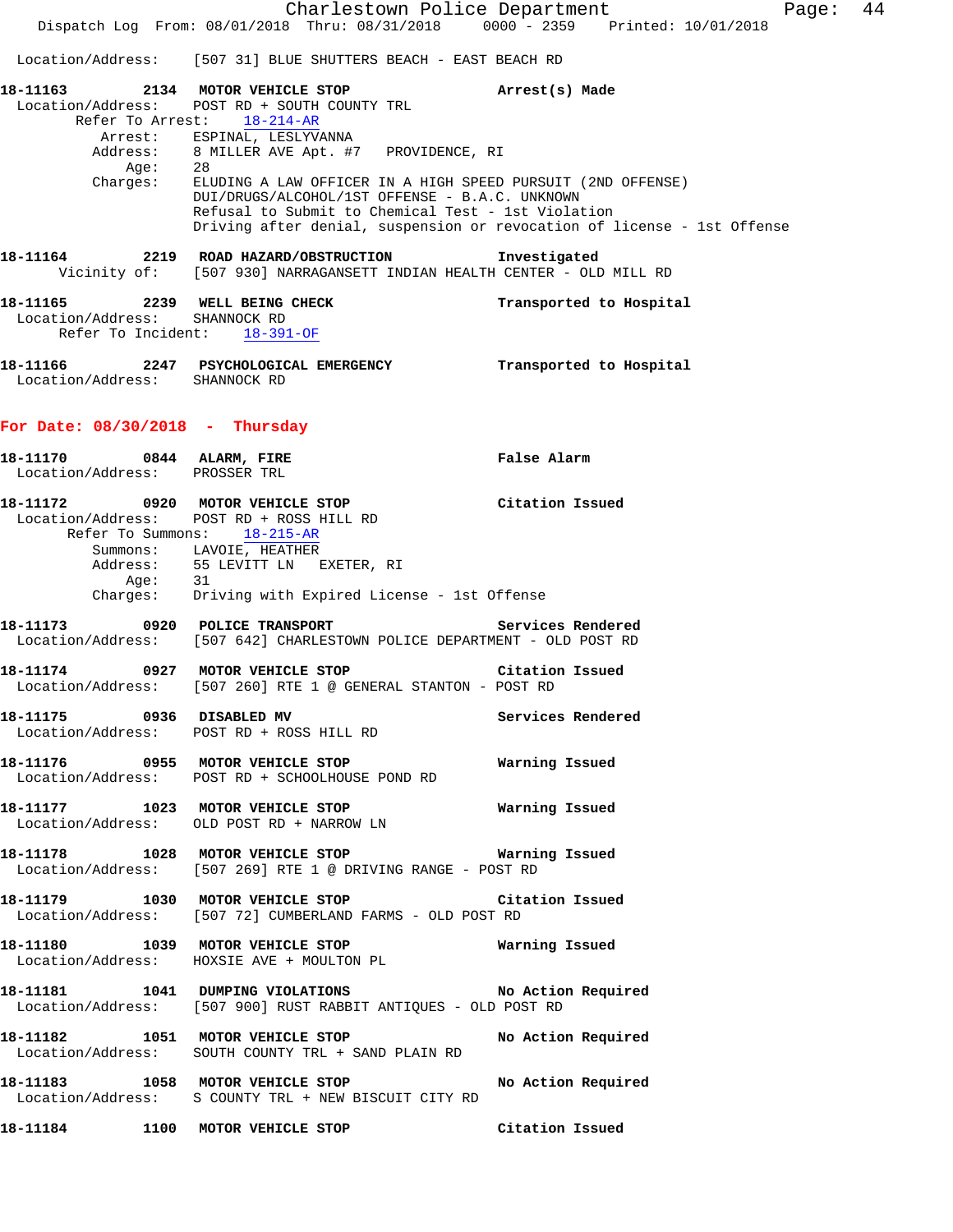Charlestown Police Department Page: 44 Dispatch Log From: 08/01/2018 Thru: 08/31/2018 0000 - 2359 Printed: 10/01/2018 Location/Address: [507 31] BLUE SHUTTERS BEACH - EAST BEACH RD **18-11163 2134 MOTOR VEHICLE STOP Arrest(s) Made**  Location/Address: POST RD + SOUTH COUNTY TRL Refer To Arrest: 18-214-AR Arrest: ESPINAL, LESLYVANNA Address: 8 MILLER AVE Apt. #7 PROVIDENCE, RI Age: 28 Charges: ELUDING A LAW OFFICER IN A HIGH SPEED PURSUIT (2ND OFFENSE) DUI/DRUGS/ALCOHOL/1ST OFFENSE - B.A.C. UNKNOWN Refusal to Submit to Chemical Test - 1st Violation Driving after denial, suspension or revocation of license - 1st Offense **18-11164 2219 ROAD HAZARD/OBSTRUCTION Investigated**  Vicinity of: [507 930] NARRAGANSETT INDIAN HEALTH CENTER - OLD MILL RD **18-11165 2239 WELL BEING CHECK Transported to Hospital**  Location/Address: SHANNOCK RD Refer To Incident: 18-391-OF **18-11166 2247 PSYCHOLOGICAL EMERGENCY Transported to Hospital**  Location/Address: SHANNOCK RD **For Date: 08/30/2018 - Thursday 18-11170 0844 ALARM, FIRE False Alarm**  Location/Address: PROSSER TRL **18-11172 0920 MOTOR VEHICLE STOP Citation Issued**  Location/Address: POST RD + ROSS HILL RD Refer To Summons: 18-215-AR Summons: LAVOIE, HEATHER Address: 55 LEVITT LN EXETER, RI Age: 31 Charges: Driving with Expired License - 1st Offense **18-11173 0920 POLICE TRANSPORT Services Rendered**  Location/Address: [507 642] CHARLESTOWN POLICE DEPARTMENT - OLD POST RD **18-11174 0927 MOTOR VEHICLE STOP Citation Issued**  Location/Address: [507 260] RTE 1 @ GENERAL STANTON - POST RD **18-11175 0936 DISABLED MV Services Rendered**  Location/Address: POST RD + ROSS HILL RD **18-11176 0955 MOTOR VEHICLE STOP Warning Issued**  Location/Address: POST RD + SCHOOLHOUSE POND RD **18-11177 1023 MOTOR VEHICLE STOP Warning Issued**  Location/Address: OLD POST RD + NARROW LN **18-11178 1028 MOTOR VEHICLE STOP Warning Issued**  Location/Address: [507 269] RTE 1 @ DRIVING RANGE - POST RD **18-11179 1030 MOTOR VEHICLE STOP Citation Issued**  Location/Address: [507 72] CUMBERLAND FARMS - OLD POST RD **18-11180 1039 MOTOR VEHICLE STOP Warning Issued**  Location/Address: HOXSIE AVE + MOULTON PL **18-11181 1041 DUMPING VIOLATIONS No Action Required**  Location/Address: [507 900] RUST RABBIT ANTIQUES - OLD POST RD **18-11182 1051 MOTOR VEHICLE STOP No Action Required**  Location/Address: SOUTH COUNTY TRL + SAND PLAIN RD **18-11183 1058 MOTOR VEHICLE STOP No Action Required**  Location/Address: S COUNTY TRL + NEW BISCUIT CITY RD **18-11184 1100 MOTOR VEHICLE STOP Citation Issued**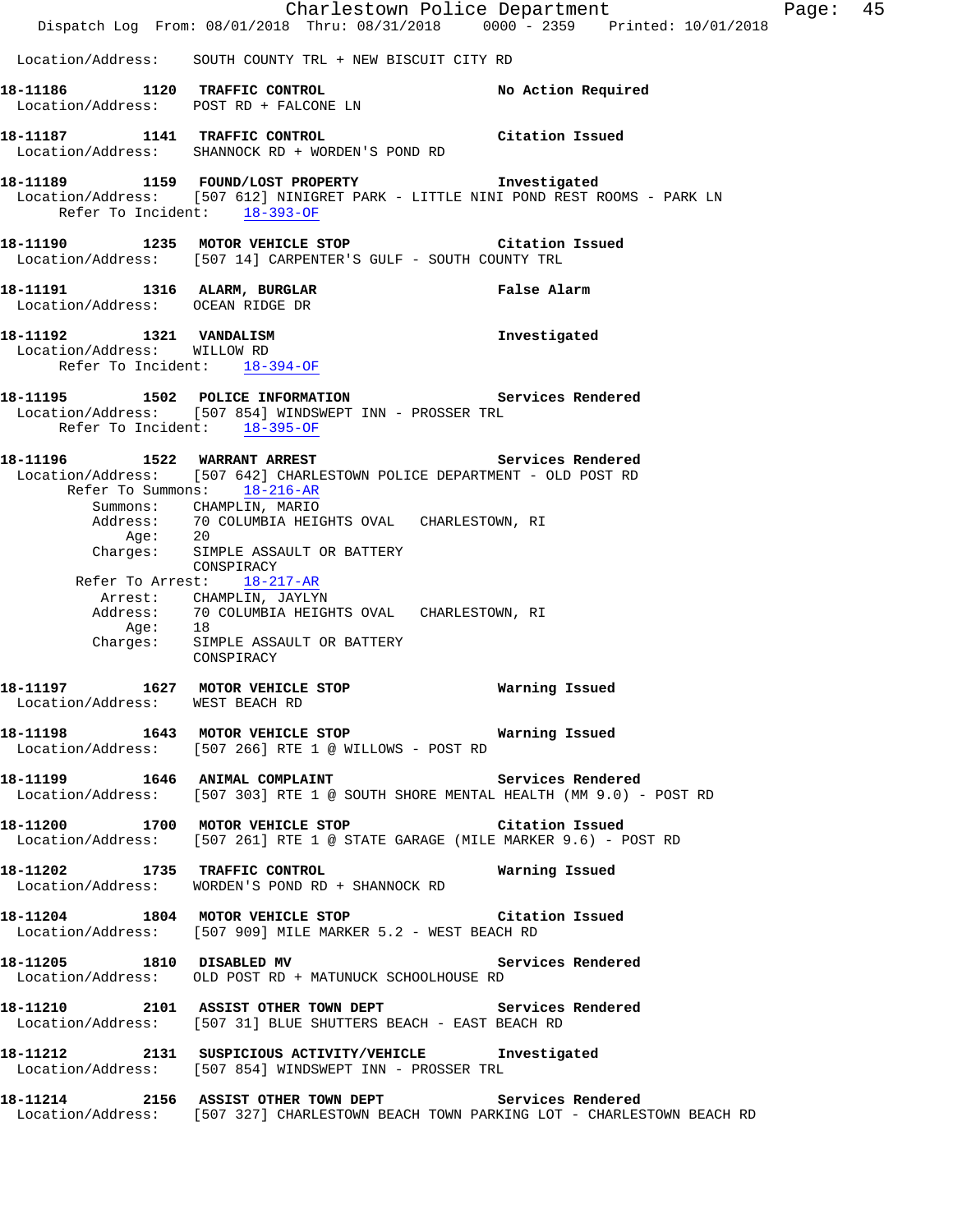|                                                                                        | Dispatch Log From: 08/01/2018 Thru: 08/31/2018 0000 - 2359 Printed: 10/01/2018                                                                  | Charlestown Police Department | Page: 45 |  |
|----------------------------------------------------------------------------------------|-------------------------------------------------------------------------------------------------------------------------------------------------|-------------------------------|----------|--|
|                                                                                        | Location/Address: SOUTH COUNTY TRL + NEW BISCUIT CITY RD                                                                                        |                               |          |  |
|                                                                                        | 18-11186 1120 TRAFFIC CONTROL<br>Location/Address: POST RD + FALCONE LN                                                                         | No Action Required            |          |  |
| 18-11187 1141 TRAFFIC CONTROL                                                          | Location/Address: SHANNOCK RD + WORDEN'S POND RD                                                                                                | Citation Issued               |          |  |
| Refer To Incident: 18-393-OF                                                           | 18-11189 1159 FOUND/LOST PROPERTY 1nvestigated<br>Location/Address: [507 612] NINIGRET PARK - LITTLE NINI POND REST ROOMS - PARK LN             |                               |          |  |
|                                                                                        | 18-11190 1235 MOTOR VEHICLE STOP Citation Issued<br>Location/Address: [507 14] CARPENTER'S GULF - SOUTH COUNTY TRL                              |                               |          |  |
| 18-11191 1316 ALARM, BURGLAR<br>Location/Address: OCEAN RIDGE DR                       |                                                                                                                                                 | False Alarm                   |          |  |
| 18-11192 1321 VANDALISM<br>Location/Address: WILLOW RD<br>Refer To Incident: 18-394-OF |                                                                                                                                                 | Investigated                  |          |  |
| Refer To Incident: 18-395-OF                                                           | 18-11195 1502 POLICE INFORMATION 5ervices Rendered<br>Location/Address: [507 854] WINDSWEPT INN - PROSSER TRL                                   |                               |          |  |
| 18-11196   1522   WARRANT ARREST                                                       | Location/Address: [507 642] CHARLESTOWN POLICE DEPARTMENT - OLD POST RD<br>Refer To Summons: 18-216-AR                                          | Services Rendered             |          |  |
| Age: 20                                                                                | Summons: CHAMPLIN, MARIO<br>Address: 70 COLUMBIA HEIGHTS OVAL CHARLESTOWN, RI<br>Charges: SIMPLE ASSAULT OR BATTERY                             |                               |          |  |
|                                                                                        | CONSPIRACY<br>Refer To Arrest: 18-217-AR                                                                                                        |                               |          |  |
|                                                                                        | Arrest: CHAMPLIN, JAYLYN<br>Address: 70 COLUMBIA HEIGHTS OVAL CHARLESTOWN, RI                                                                   |                               |          |  |
|                                                                                        | Age: 18<br>Charges: SIMPLE ASSAULT OR BATTERY<br>CONSPIRACY                                                                                     |                               |          |  |
| Location/Address: WEST BEACH RD                                                        | 18-11197 1627 MOTOR VEHICLE STOP 18 Warning Issued                                                                                              |                               |          |  |
|                                                                                        | 18-11198 1643 MOTOR VEHICLE STOP 6 Warning Issued<br>Location/Address: [507 266] RTE 1 @ WILLOWS - POST RD                                      |                               |          |  |
|                                                                                        | 18-11199 1646 ANIMAL COMPLAINT 1999 Services Rendered<br>Location/Address: [507 303] RTE 1 @ SOUTH SHORE MENTAL HEALTH (MM 9.0) - POST RD       |                               |          |  |
|                                                                                        | 18-11200 1700 MOTOR VEHICLE STOP Citation Issued<br>Location/Address: [507 261] RTE 1 @ STATE GARAGE (MILE MARKER 9.6) - POST RD                |                               |          |  |
|                                                                                        | 18-11202 1735 TRAFFIC CONTROL<br>Location/Address: WORDEN'S POND RD + SHANNOCK RD                                                               | Warning Issued                |          |  |
|                                                                                        | 18-11204 1804 MOTOR VEHICLE STOP Citation Issued<br>Location/Address: [507 909] MILE MARKER 5.2 - WEST BEACH RD                                 |                               |          |  |
|                                                                                        | 18-11205 1810 DISABLED MV Services Rendered<br>Location/Address: OLD POST RD + MATUNUCK SCHOOLHOUSE RD                                          |                               |          |  |
|                                                                                        | 18-11210 2101 ASSIST OTHER TOWN DEPT Services Rendered<br>Location/Address: [507 31] BLUE SHUTTERS BEACH - EAST BEACH RD                        |                               |          |  |
|                                                                                        | 18-11212 2131 SUSPICIOUS ACTIVITY/VEHICLE Investigated<br>Location/Address: [507 854] WINDSWEPT INN - PROSSER TRL                               |                               |          |  |
|                                                                                        | 18-11214 2156 ASSIST OTHER TOWN DEPT Services Rendered<br>Location/Address: [507 327] CHARLESTOWN BEACH TOWN PARKING LOT - CHARLESTOWN BEACH RD |                               |          |  |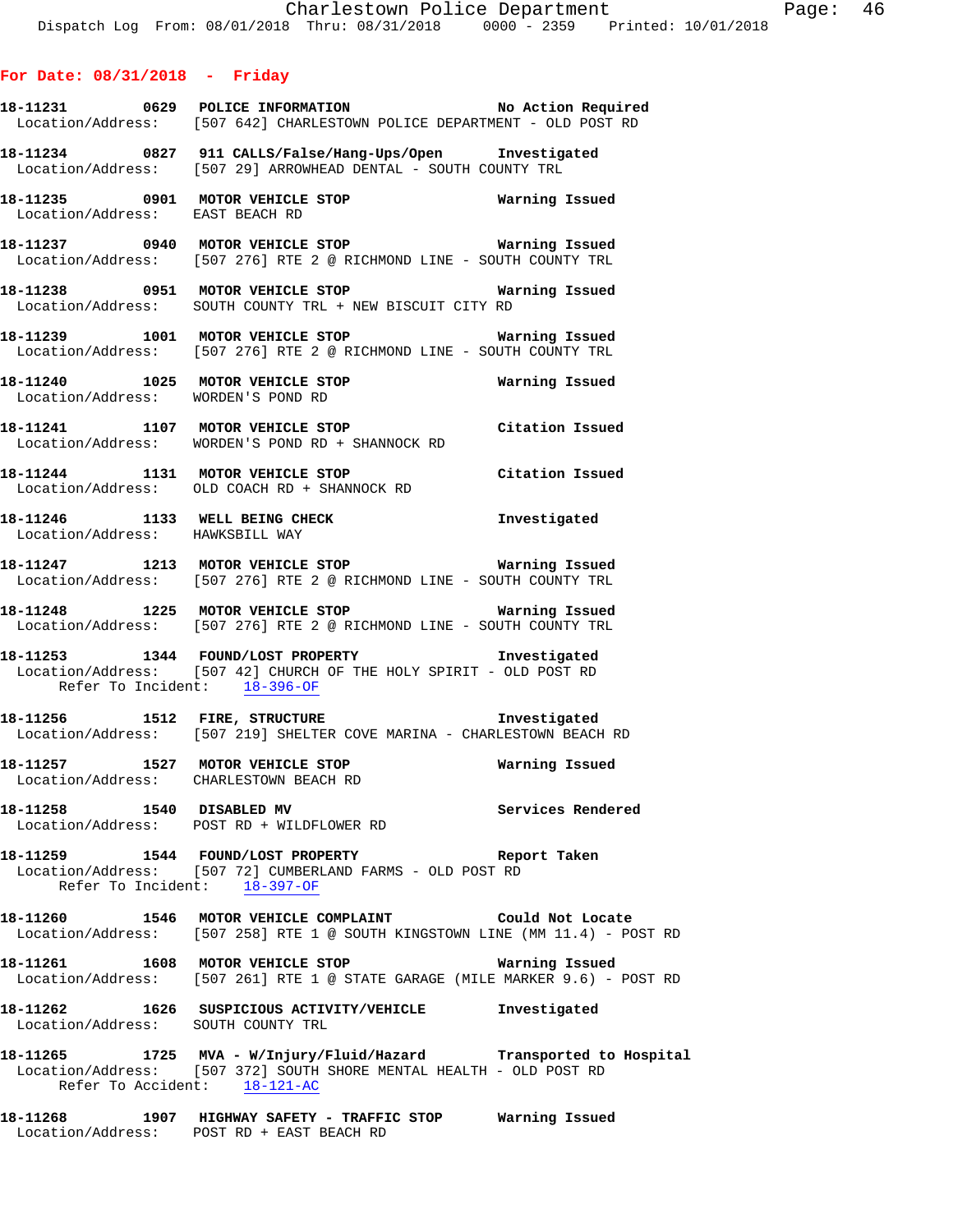- **18-11231 0629 POLICE INFORMATION No Action Required**  Location/Address: [507 642] CHARLESTOWN POLICE DEPARTMENT - OLD POST RD
- **18-11234 0827 911 CALLS/False/Hang-Ups/Open Investigated**  Location/Address: [507 29] ARROWHEAD DENTAL - SOUTH COUNTY TRL
- **18-11235 0901 MOTOR VEHICLE STOP Warning Issued**  Location/Address: EAST BEACH RD
- **18-11237 0940 MOTOR VEHICLE STOP Warning Issued**  Location/Address: [507 276] RTE 2 @ RICHMOND LINE - SOUTH COUNTY TRL
- **18-11238 0951 MOTOR VEHICLE STOP Warning Issued**  Location/Address: SOUTH COUNTY TRL + NEW BISCUIT CITY RD
- **18-11239 1001 MOTOR VEHICLE STOP Warning Issued**  Location/Address: [507 276] RTE 2 @ RICHMOND LINE - SOUTH COUNTY TRL
- **18-11240 1025 MOTOR VEHICLE STOP Warning Issued**  Location/Address: WORDEN'S POND RD
- **18-11241 1107 MOTOR VEHICLE STOP Citation Issued**  Location/Address: WORDEN'S POND RD + SHANNOCK RD
- **18-11244 1131 MOTOR VEHICLE STOP Citation Issued**  Location/Address: OLD COACH RD + SHANNOCK RD
- **18-11246 1133 WELL BEING CHECK Investigated**  Location/Address: HAWKSBILL WAY
- **18-11247 1213 MOTOR VEHICLE STOP Warning Issued**  Location/Address: [507 276] RTE 2 @ RICHMOND LINE - SOUTH COUNTY TRL
- **18-11248 1225 MOTOR VEHICLE STOP Warning Issued**  Location/Address: [507 276] RTE 2 @ RICHMOND LINE - SOUTH COUNTY TRL
- **18-11253 1344 FOUND/LOST PROPERTY Investigated**  Location/Address: [507 42] CHURCH OF THE HOLY SPIRIT - OLD POST RD Refer To Incident: 18-396-OF
- **18-11256 1512 FIRE, STRUCTURE Investigated**  Location/Address: [507 219] SHELTER COVE MARINA - CHARLESTOWN BEACH RD
- **18-11257 1527 MOTOR VEHICLE STOP Warning Issued**  Location/Address: CHARLESTOWN BEACH RD
- **18-11258 1540 DISABLED MV Services Rendered**  Location/Address: POST RD + WILDFLOWER RD
- **18-11259 1544 FOUND/LOST PROPERTY Report Taken**  Location/Address: [507 72] CUMBERLAND FARMS - OLD POST RD Refer To Incident: 18-397-OF
- **18-11260 1546 MOTOR VEHICLE COMPLAINT Could Not Locate**  Location/Address: [507 258] RTE 1 @ SOUTH KINGSTOWN LINE (MM 11.4) - POST RD
- **18-11261 1608 MOTOR VEHICLE STOP Warning Issued**  Location/Address: [507 261] RTE 1 @ STATE GARAGE (MILE MARKER 9.6) - POST RD
- **18-11262 1626 SUSPICIOUS ACTIVITY/VEHICLE Investigated**  Location/Address: SOUTH COUNTY TRL
- **18-11265 1725 MVA W/Injury/Fluid/Hazard Transported to Hospital**  Location/Address: [507 372] SOUTH SHORE MENTAL HEALTH - OLD POST RD Refer To Accident: 18-121-AC
- **18-11268 1907 HIGHWAY SAFETY TRAFFIC STOP Warning Issued**  Location/Address: POST RD + EAST BEACH RD